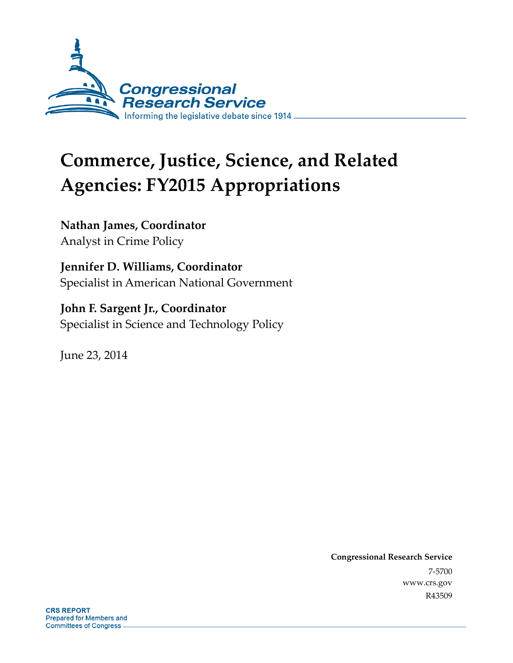

# **Commerce, Justice, Science, and Related Agencies: FY2015 Appropriations**

**Nathan James, Coordinator**  Analyst in Crime Policy

**Jennifer D. Williams, Coordinator**  Specialist in American National Government

**John F. Sargent Jr., Coordinator**  Specialist in Science and Technology Policy

June 23, 2014

**Congressional Research Service**  7-5700 www.crs.gov R43509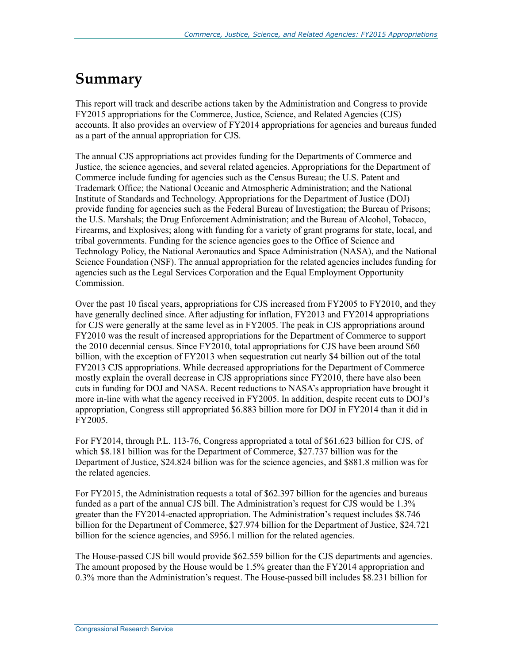## **Summary**

This report will track and describe actions taken by the Administration and Congress to provide FY2015 appropriations for the Commerce, Justice, Science, and Related Agencies (CJS) accounts. It also provides an overview of FY2014 appropriations for agencies and bureaus funded as a part of the annual appropriation for CJS.

The annual CJS appropriations act provides funding for the Departments of Commerce and Justice, the science agencies, and several related agencies. Appropriations for the Department of Commerce include funding for agencies such as the Census Bureau; the U.S. Patent and Trademark Office; the National Oceanic and Atmospheric Administration; and the National Institute of Standards and Technology. Appropriations for the Department of Justice (DOJ) provide funding for agencies such as the Federal Bureau of Investigation; the Bureau of Prisons; the U.S. Marshals; the Drug Enforcement Administration; and the Bureau of Alcohol, Tobacco, Firearms, and Explosives; along with funding for a variety of grant programs for state, local, and tribal governments. Funding for the science agencies goes to the Office of Science and Technology Policy, the National Aeronautics and Space Administration (NASA), and the National Science Foundation (NSF). The annual appropriation for the related agencies includes funding for agencies such as the Legal Services Corporation and the Equal Employment Opportunity **Commission** 

Over the past 10 fiscal years, appropriations for CJS increased from FY2005 to FY2010, and they have generally declined since. After adjusting for inflation, FY2013 and FY2014 appropriations for CJS were generally at the same level as in FY2005. The peak in CJS appropriations around FY2010 was the result of increased appropriations for the Department of Commerce to support the 2010 decennial census. Since FY2010, total appropriations for CJS have been around \$60 billion, with the exception of FY2013 when sequestration cut nearly \$4 billion out of the total FY2013 CJS appropriations. While decreased appropriations for the Department of Commerce mostly explain the overall decrease in CJS appropriations since FY2010, there have also been cuts in funding for DOJ and NASA. Recent reductions to NASA's appropriation have brought it more in-line with what the agency received in FY2005. In addition, despite recent cuts to DOJ's appropriation, Congress still appropriated \$6.883 billion more for DOJ in FY2014 than it did in FY2005.

For FY2014, through P.L. 113-76, Congress appropriated a total of \$61.623 billion for CJS, of which \$8.181 billion was for the Department of Commerce, \$27.737 billion was for the Department of Justice, \$24.824 billion was for the science agencies, and \$881.8 million was for the related agencies.

For FY2015, the Administration requests a total of \$62.397 billion for the agencies and bureaus funded as a part of the annual CJS bill. The Administration's request for CJS would be 1.3% greater than the FY2014-enacted appropriation. The Administration's request includes \$8.746 billion for the Department of Commerce, \$27.974 billion for the Department of Justice, \$24.721 billion for the science agencies, and \$956.1 million for the related agencies.

The House-passed CJS bill would provide \$62.559 billion for the CJS departments and agencies. The amount proposed by the House would be 1.5% greater than the FY2014 appropriation and 0.3% more than the Administration's request. The House-passed bill includes \$8.231 billion for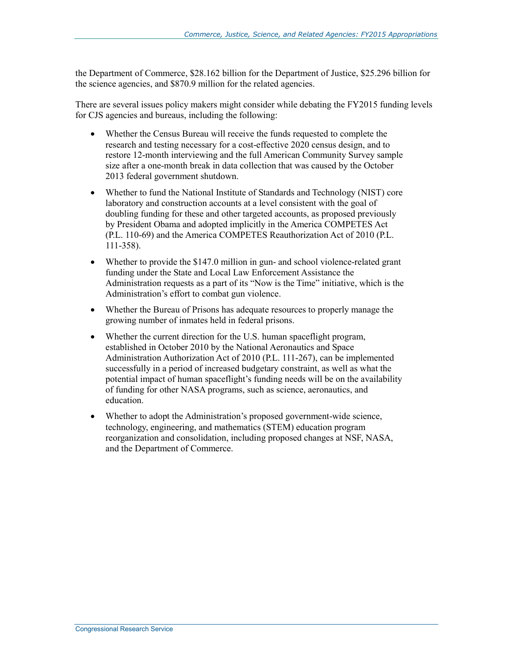the Department of Commerce, \$28.162 billion for the Department of Justice, \$25.296 billion for the science agencies, and \$870.9 million for the related agencies.

There are several issues policy makers might consider while debating the FY2015 funding levels for CJS agencies and bureaus, including the following:

- Whether the Census Bureau will receive the funds requested to complete the research and testing necessary for a cost-effective 2020 census design, and to restore 12-month interviewing and the full American Community Survey sample size after a one-month break in data collection that was caused by the October 2013 federal government shutdown.
- Whether to fund the National Institute of Standards and Technology (NIST) core laboratory and construction accounts at a level consistent with the goal of doubling funding for these and other targeted accounts, as proposed previously by President Obama and adopted implicitly in the America COMPETES Act (P.L. 110-69) and the America COMPETES Reauthorization Act of 2010 (P.L. 111-358).
- Whether to provide the \$147.0 million in gun- and school violence-related grant funding under the State and Local Law Enforcement Assistance the Administration requests as a part of its "Now is the Time" initiative, which is the Administration's effort to combat gun violence.
- Whether the Bureau of Prisons has adequate resources to properly manage the growing number of inmates held in federal prisons.
- Whether the current direction for the U.S. human spaceflight program, established in October 2010 by the National Aeronautics and Space Administration Authorization Act of 2010 (P.L. 111-267), can be implemented successfully in a period of increased budgetary constraint, as well as what the potential impact of human spaceflight's funding needs will be on the availability of funding for other NASA programs, such as science, aeronautics, and education.
- Whether to adopt the Administration's proposed government-wide science, technology, engineering, and mathematics (STEM) education program reorganization and consolidation, including proposed changes at NSF, NASA, and the Department of Commerce.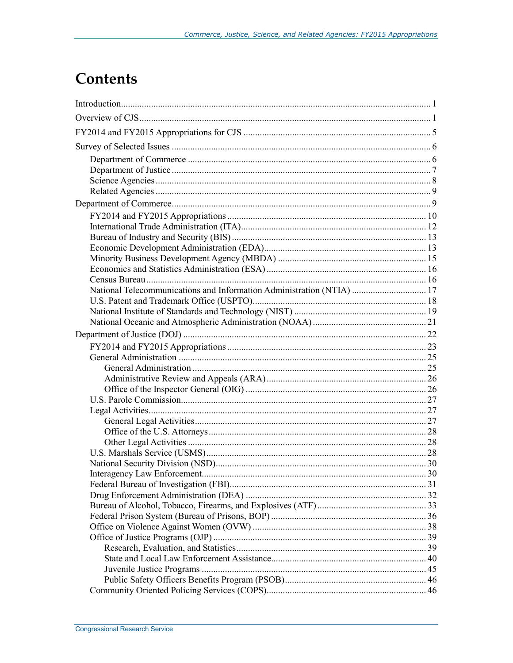# **Contents**

| National Telecommunications and Information Administration (NTIA)  17 |  |
|-----------------------------------------------------------------------|--|
|                                                                       |  |
|                                                                       |  |
|                                                                       |  |
|                                                                       |  |
|                                                                       |  |
|                                                                       |  |
|                                                                       |  |
|                                                                       |  |
|                                                                       |  |
|                                                                       |  |
|                                                                       |  |
|                                                                       |  |
|                                                                       |  |
|                                                                       |  |
|                                                                       |  |
|                                                                       |  |
|                                                                       |  |
|                                                                       |  |
|                                                                       |  |
|                                                                       |  |
|                                                                       |  |
|                                                                       |  |
|                                                                       |  |
|                                                                       |  |
|                                                                       |  |
|                                                                       |  |
|                                                                       |  |
|                                                                       |  |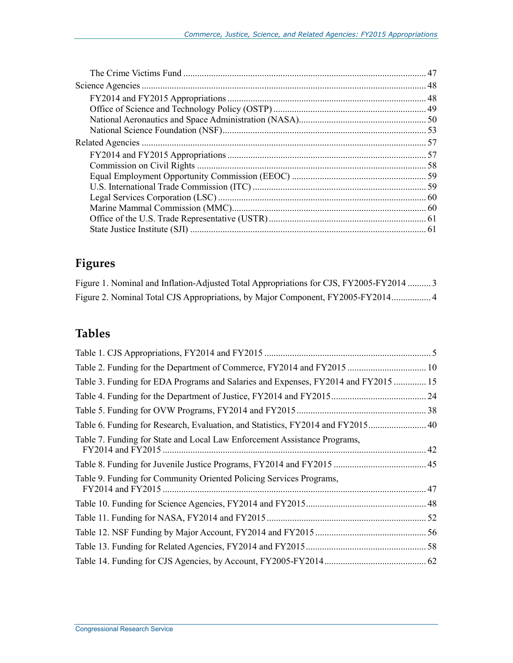## **Figures**

| Figure 1. Nominal and Inflation-Adjusted Total Appropriations for CJS, FY2005-FY2014  3 |  |
|-----------------------------------------------------------------------------------------|--|
| Figure 2. Nominal Total CJS Appropriations, by Major Component, FY2005-FY2014 4         |  |

## **Tables**

| Table 2. Funding for the Department of Commerce, FY2014 and FY2015  10             |  |
|------------------------------------------------------------------------------------|--|
| Table 3. Funding for EDA Programs and Salaries and Expenses, FY2014 and FY2015  15 |  |
|                                                                                    |  |
|                                                                                    |  |
| Table 6. Funding for Research, Evaluation, and Statistics, FY2014 and FY2015 40    |  |
| Table 7. Funding for State and Local Law Enforcement Assistance Programs,          |  |
|                                                                                    |  |
| Table 9. Funding for Community Oriented Policing Services Programs,                |  |
|                                                                                    |  |
|                                                                                    |  |
|                                                                                    |  |
|                                                                                    |  |
|                                                                                    |  |
|                                                                                    |  |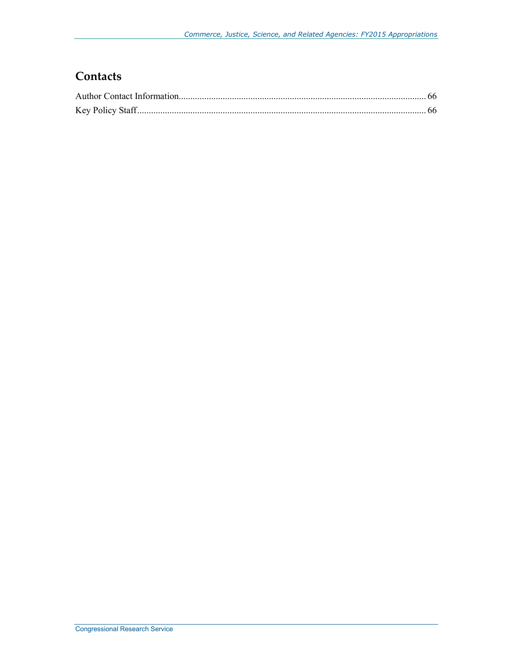## **Contacts**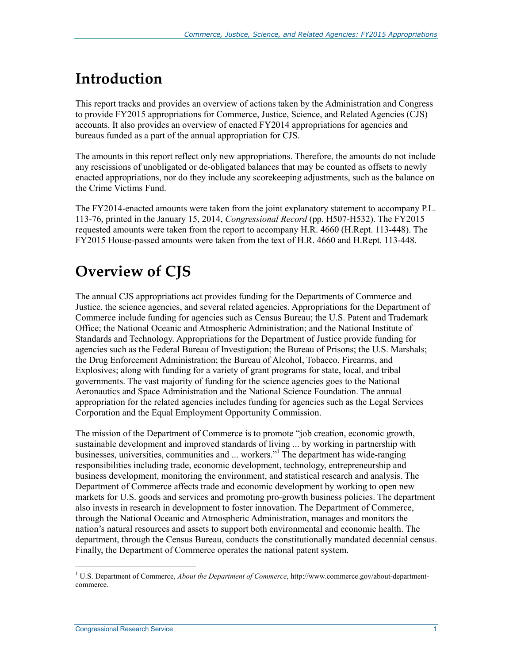# **Introduction**

This report tracks and provides an overview of actions taken by the Administration and Congress to provide FY2015 appropriations for Commerce, Justice, Science, and Related Agencies (CJS) accounts. It also provides an overview of enacted FY2014 appropriations for agencies and bureaus funded as a part of the annual appropriation for CJS.

The amounts in this report reflect only new appropriations. Therefore, the amounts do not include any rescissions of unobligated or de-obligated balances that may be counted as offsets to newly enacted appropriations, nor do they include any scorekeeping adjustments, such as the balance on the Crime Victims Fund.

The FY2014-enacted amounts were taken from the joint explanatory statement to accompany P.L. 113-76, printed in the January 15, 2014, *Congressional Record* (pp. H507-H532). The FY2015 requested amounts were taken from the report to accompany H.R. 4660 (H.Rept. 113-448). The FY2015 House-passed amounts were taken from the text of H.R. 4660 and H.Rept. 113-448.

# **Overview of CJS**

The annual CJS appropriations act provides funding for the Departments of Commerce and Justice, the science agencies, and several related agencies. Appropriations for the Department of Commerce include funding for agencies such as Census Bureau; the U.S. Patent and Trademark Office; the National Oceanic and Atmospheric Administration; and the National Institute of Standards and Technology. Appropriations for the Department of Justice provide funding for agencies such as the Federal Bureau of Investigation; the Bureau of Prisons; the U.S. Marshals; the Drug Enforcement Administration; the Bureau of Alcohol, Tobacco, Firearms, and Explosives; along with funding for a variety of grant programs for state, local, and tribal governments. The vast majority of funding for the science agencies goes to the National Aeronautics and Space Administration and the National Science Foundation. The annual appropriation for the related agencies includes funding for agencies such as the Legal Services Corporation and the Equal Employment Opportunity Commission.

The mission of the Department of Commerce is to promote "job creation, economic growth, sustainable development and improved standards of living ... by working in partnership with businesses, universities, communities and ... workers."<sup>1</sup> The department has wide-ranging responsibilities including trade, economic development, technology, entrepreneurship and business development, monitoring the environment, and statistical research and analysis. The Department of Commerce affects trade and economic development by working to open new markets for U.S. goods and services and promoting pro-growth business policies. The department also invests in research in development to foster innovation. The Department of Commerce, through the National Oceanic and Atmospheric Administration, manages and monitors the nation's natural resources and assets to support both environmental and economic health. The department, through the Census Bureau, conducts the constitutionally mandated decennial census. Finally, the Department of Commerce operates the national patent system.

<sup>1</sup> U.S. Department of Commerce, *About the Department of Commerce*, http://www.commerce.gov/about-departmentcommerce.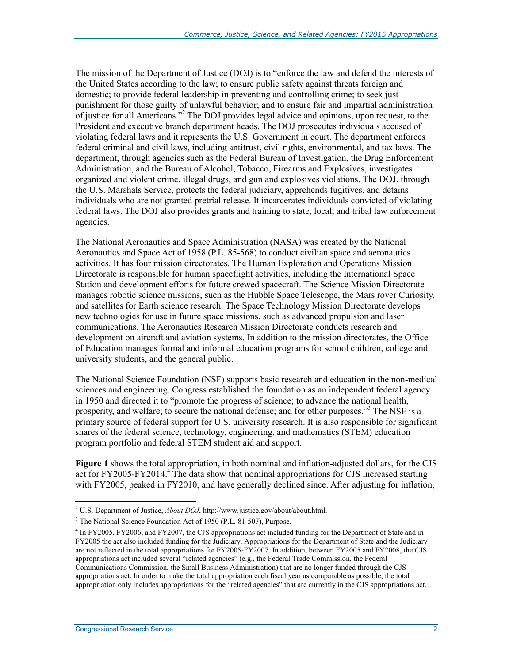The mission of the Department of Justice (DOJ) is to "enforce the law and defend the interests of the United States according to the law; to ensure public safety against threats foreign and domestic; to provide federal leadership in preventing and controlling crime; to seek just punishment for those guilty of unlawful behavior; and to ensure fair and impartial administration of justice for all Americans."<sup>2</sup> The DOJ provides legal advice and opinions, upon request, to the President and executive branch department heads. The DOJ prosecutes individuals accused of violating federal laws and it represents the U.S. Government in court. The department enforces federal criminal and civil laws, including antitrust, civil rights, environmental, and tax laws. The department, through agencies such as the Federal Bureau of Investigation, the Drug Enforcement Administration, and the Bureau of Alcohol, Tobacco, Firearms and Explosives, investigates organized and violent crime, illegal drugs, and gun and explosives violations. The DOJ, through the U.S. Marshals Service, protects the federal judiciary, apprehends fugitives, and detains individuals who are not granted pretrial release. It incarcerates individuals convicted of violating federal laws. The DOJ also provides grants and training to state, local, and tribal law enforcement agencies.

The National Aeronautics and Space Administration (NASA) was created by the National Aeronautics and Space Act of 1958 (P.L. 85-568) to conduct civilian space and aeronautics activities. It has four mission directorates. The Human Exploration and Operations Mission Directorate is responsible for human spaceflight activities, including the International Space Station and development efforts for future crewed spacecraft. The Science Mission Directorate manages robotic science missions, such as the Hubble Space Telescope, the Mars rover Curiosity, and satellites for Earth science research. The Space Technology Mission Directorate develops new technologies for use in future space missions, such as advanced propulsion and laser communications. The Aeronautics Research Mission Directorate conducts research and development on aircraft and aviation systems. In addition to the mission directorates, the Office of Education manages formal and informal education programs for school children, college and university students, and the general public.

The National Science Foundation (NSF) supports basic research and education in the non-medical sciences and engineering. Congress established the foundation as an independent federal agency in 1950 and directed it to "promote the progress of science; to advance the national health, prosperity, and welfare; to secure the national defense; and for other purposes."<sup>3</sup> The NSF is a primary source of federal support for U.S. university research. It is also responsible for significant shares of the federal science, technology, engineering, and mathematics (STEM) education program portfolio and federal STEM student aid and support.

**Figure 1** shows the total appropriation, in both nominal and inflation-adjusted dollars, for the CJS act for FY2005-FY2014.<sup>4</sup> The data show that nominal appropriations for CJS increased starting with FY2005, peaked in FY2010, and have generally declined since. After adjusting for inflation,

<sup>1</sup> 2 U.S. Department of Justice, *About DOJ*, http://www.justice.gov/about/about.html.

<sup>&</sup>lt;sup>3</sup> The National Science Foundation Act of 1950 (P.L. 81-507), Purpose.

<sup>&</sup>lt;sup>4</sup> In FY2005, FY2006, and FY2007, the CJS appropriations act included funding for the Department of State and in FY2005 the act also included funding for the Judiciary. Appropriations for the Department of State and the Judiciary are not reflected in the total appropriations for FY2005-FY2007. In addition, between FY2005 and FY2008, the CJS appropriations act included several "related agencies" (e.g., the Federal Trade Commission, the Federal Communications Commission, the Small Business Administration) that are no longer funded through the CJS appropriations act. In order to make the total appropriation each fiscal year as comparable as possible, the total appropriation only includes appropriations for the "related agencies" that are currently in the CJS appropriations act.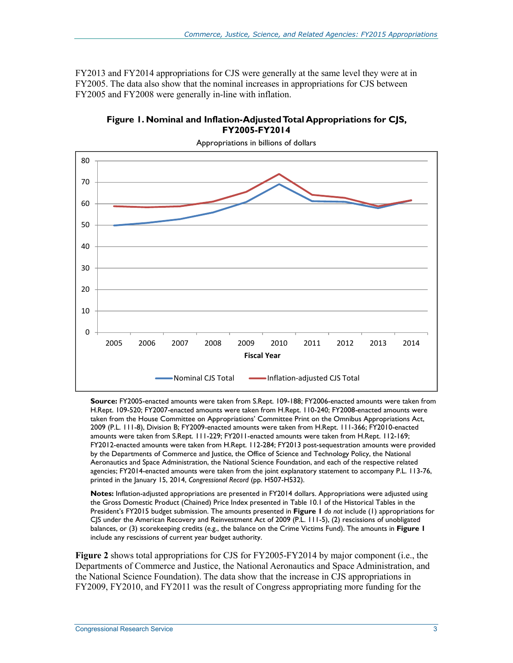FY2013 and FY2014 appropriations for CJS were generally at the same level they were at in FY2005. The data also show that the nominal increases in appropriations for CJS between FY2005 and FY2008 were generally in-line with inflation.



**Figure 1. Nominal and Inflation-Adjusted Total Appropriations for CJS, FY2005-FY2014** 

**Source:** FY2005-enacted amounts were taken from S.Rept. 109-188; FY2006-enacted amounts were taken from H.Rept. 109-520; FY2007-enacted amounts were taken from H.Rept. 110-240; FY2008-enacted amounts were taken from the House Committee on Appropriations' Committee Print on the Omnibus Appropriations Act, 2009 (P.L. 111-8), Division B; FY2009-enacted amounts were taken from H.Rept. 111-366; FY2010-enacted amounts were taken from S.Rept. 111-229; FY2011-enacted amounts were taken from H.Rept. 112-169; FY2012-enacted amounts were taken from H.Rept. 112-284; FY2013 post-sequestration amounts were provided by the Departments of Commerce and Justice, the Office of Science and Technology Policy, the National Aeronautics and Space Administration, the National Science Foundation, and each of the respective related agencies; FY2014-enacted amounts were taken from the joint explanatory statement to accompany P.L. 113-76, printed in the January 15, 2014, *Congressional Record* (pp. H507-H532).

**Notes:** Inflation-adjusted appropriations are presented in FY2014 dollars. Appropriations were adjusted using the Gross Domestic Product (Chained) Price Index presented in Table 10.1 of the Historical Tables in the President's FY2015 budget submission. The amounts presented in **Figure 1** *do not* include (1) appropriations for CJS under the American Recovery and Reinvestment Act of 2009 (P.L. 111-5), (2) rescissions of unobligated balances, or (3) scorekeeping credits (e.g., the balance on the Crime Victims Fund). The amounts in **Figure 1** include any rescissions of current year budget authority.

**Figure 2** shows total appropriations for CJS for FY2005-FY2014 by major component (i.e., the Departments of Commerce and Justice, the National Aeronautics and Space Administration, and the National Science Foundation). The data show that the increase in CJS appropriations in FY2009, FY2010, and FY2011 was the result of Congress appropriating more funding for the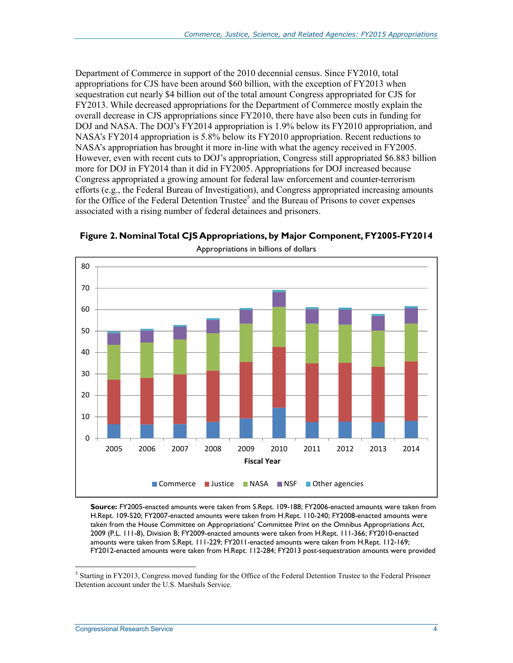Department of Commerce in support of the 2010 decennial census. Since FY2010, total appropriations for CJS have been around \$60 billion, with the exception of FY2013 when sequestration cut nearly \$4 billion out of the total amount Congress appropriated for CJS for FY2013. While decreased appropriations for the Department of Commerce mostly explain the overall decrease in CJS appropriations since FY2010, there have also been cuts in funding for DOJ and NASA. The DOJ's FY2014 appropriation is 1.9% below its FY2010 appropriation, and NASA's FY2014 appropriation is 5.8% below its FY2010 appropriation. Recent reductions to NASA's appropriation has brought it more in-line with what the agency received in FY2005. However, even with recent cuts to DOJ's appropriation, Congress still appropriated \$6.883 billion more for DOJ in FY2014 than it did in FY2005. Appropriations for DOJ increased because Congress appropriated a growing amount for federal law enforcement and counter-terrorism efforts (e.g., the Federal Bureau of Investigation), and Congress appropriated increasing amounts for the Office of the Federal Detention Trustee<sup>5</sup> and the Bureau of Prisons to cover expenses associated with a rising number of federal detainees and prisoners.



**Figure 2. Nominal Total CJS Appropriations, by Major Component, FY2005-FY2014** 

Appropriations in billions of dollars

**Source:** FY2005-enacted amounts were taken from S.Rept. 109-188; FY2006-enacted amounts were taken from H.Rept. 109-520; FY2007-enacted amounts were taken from H.Rept. 110-240; FY2008-enacted amounts were taken from the House Committee on Appropriations' Committee Print on the Omnibus Appropriations Act, 2009 (P.L. 111-8), Division B; FY2009-enacted amounts were taken from H.Rept. 111-366; FY2010-enacted amounts were taken from S.Rept. 111-229; FY2011-enacted amounts were taken from H.Rept. 112-169; FY2012-enacted amounts were taken from H.Rept. 112-284; FY2013 post-sequestration amounts were provided

<sup>&</sup>lt;sup>5</sup> Starting in FY2013, Congress moved funding for the Office of the Federal Detention Trustee to the Federal Prisoner Detention account under the U.S. Marshals Service.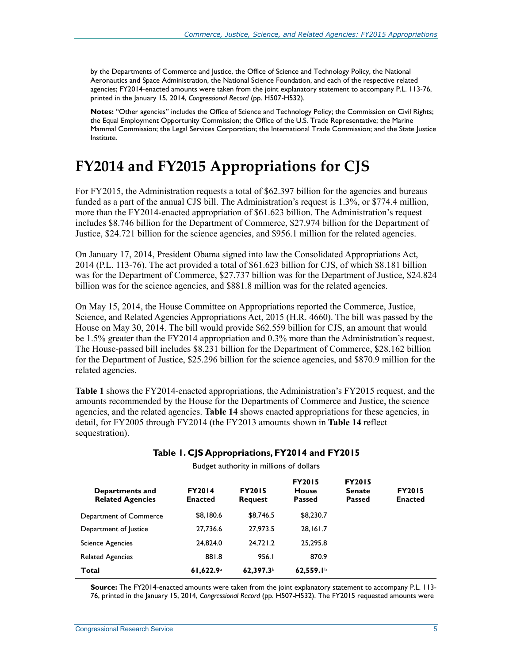by the Departments of Commerce and Justice, the Office of Science and Technology Policy, the National Aeronautics and Space Administration, the National Science Foundation, and each of the respective related agencies; FY2014-enacted amounts were taken from the joint explanatory statement to accompany P.L. 113-76, printed in the January 15, 2014, *Congressional Record* (pp. H507-H532).

**Notes:** "Other agencies" includes the Office of Science and Technology Policy; the Commission on Civil Rights; the Equal Employment Opportunity Commission; the Office of the U.S. Trade Representative; the Marine Mammal Commission; the Legal Services Corporation; the International Trade Commission; and the State Justice Institute.

# **FY2014 and FY2015 Appropriations for CJS**

For FY2015, the Administration requests a total of \$62.397 billion for the agencies and bureaus funded as a part of the annual CJS bill. The Administration's request is 1.3%, or \$774.4 million, more than the FY2014-enacted appropriation of \$61.623 billion. The Administration's request includes \$8.746 billion for the Department of Commerce, \$27.974 billion for the Department of Justice, \$24.721 billion for the science agencies, and \$956.1 million for the related agencies.

On January 17, 2014, President Obama signed into law the Consolidated Appropriations Act, 2014 (P.L. 113-76). The act provided a total of \$61.623 billion for CJS, of which \$8.181 billion was for the Department of Commerce, \$27.737 billion was for the Department of Justice, \$24.824 billion was for the science agencies, and \$881.8 million was for the related agencies.

On May 15, 2014, the House Committee on Appropriations reported the Commerce, Justice, Science, and Related Agencies Appropriations Act, 2015 (H.R. 4660). The bill was passed by the House on May 30, 2014. The bill would provide \$62.559 billion for CJS, an amount that would be 1.5% greater than the FY2014 appropriation and 0.3% more than the Administration's request. The House-passed bill includes \$8.231 billion for the Department of Commerce, \$28.162 billion for the Department of Justice, \$25.296 billion for the science agencies, and \$870.9 million for the related agencies.

**Table 1** shows the FY2014-enacted appropriations, the Administration's FY2015 request, and the amounts recommended by the House for the Departments of Commerce and Justice, the science agencies, and the related agencies. **Table 14** shows enacted appropriations for these agencies, in detail, for FY2005 through FY2014 (the FY2013 amounts shown in **Table 14** reflect sequestration).

| Budget authority in millions of dollars    |                                 |                                 |                                                |                                                 |                                 |
|--------------------------------------------|---------------------------------|---------------------------------|------------------------------------------------|-------------------------------------------------|---------------------------------|
| Departments and<br><b>Related Agencies</b> | <b>FY2014</b><br><b>Enacted</b> | <b>FY2015</b><br><b>Request</b> | <b>FY2015</b><br><b>House</b><br><b>Passed</b> | <b>FY2015</b><br><b>Senate</b><br><b>Passed</b> | <b>FY2015</b><br><b>Enacted</b> |
| Department of Commerce                     | \$8.180.6                       | \$8,746.5                       | \$8,230.7                                      |                                                 |                                 |
| Department of Justice                      | 27.736.6                        | 27,973.5                        | 28.161.7                                       |                                                 |                                 |
| <b>Science Agencies</b>                    | 24.824.0                        | 24.721.2                        | 25.295.8                                       |                                                 |                                 |
| <b>Related Agencies</b>                    | 881.8                           | 956.I                           | 870.9                                          |                                                 |                                 |
| Total                                      | 61,622.9a                       | 62,397.3b                       | 62,559.1                                       |                                                 |                                 |

#### **Table 1. CJS Appropriations, FY2014 and FY2015**

**Source:** The FY2014-enacted amounts were taken from the joint explanatory statement to accompany P.L. 113- 76, printed in the January 15, 2014, *Congressional Record* (pp. H507-H532). The FY2015 requested amounts were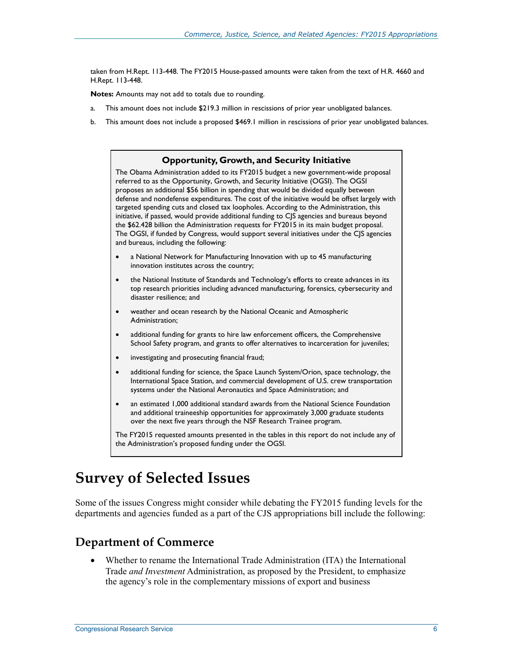taken from H.Rept. 113-448. The FY2015 House-passed amounts were taken from the text of H.R. 4660 and H.Rept. 113-448.

**Notes:** Amounts may not add to totals due to rounding.

- a. This amount does not include \$219.3 million in rescissions of prior year unobligated balances.
- b. This amount does not include a proposed \$469.1 million in rescissions of prior year unobligated balances.

#### **Opportunity, Growth, and Security Initiative**

The Obama Administration added to its FY2015 budget a new government-wide proposal referred to as the Opportunity, Growth, and Security Initiative (OGSI). The OGSI proposes an additional \$56 billion in spending that would be divided equally between defense and nondefense expenditures. The cost of the initiative would be offset largely with targeted spending cuts and closed tax loopholes. According to the Administration, this initiative, if passed, would provide additional funding to CJS agencies and bureaus beyond the \$62.428 billion the Administration requests for FY2015 in its main budget proposal. The OGSI, if funded by Congress, would support several initiatives under the CJS agencies and bureaus, including the following:

- a National Network for Manufacturing Innovation with up to 45 manufacturing innovation institutes across the country;
- the National Institute of Standards and Technology's efforts to create advances in its top research priorities including advanced manufacturing, forensics, cybersecurity and disaster resilience; and
- weather and ocean research by the National Oceanic and Atmospheric Administration;
- additional funding for grants to hire law enforcement officers, the Comprehensive School Safety program, and grants to offer alternatives to incarceration for juveniles;
- investigating and prosecuting financial fraud;
- additional funding for science, the Space Launch System/Orion, space technology, the International Space Station, and commercial development of U.S. crew transportation systems under the National Aeronautics and Space Administration; and
- an estimated 1,000 additional standard awards from the National Science Foundation and additional traineeship opportunities for approximately 3,000 graduate students over the next five years through the NSF Research Trainee program.

The FY2015 requested amounts presented in the tables in this report do not include any of the Administration's proposed funding under the OGSI.

## **Survey of Selected Issues**

Some of the issues Congress might consider while debating the FY2015 funding levels for the departments and agencies funded as a part of the CJS appropriations bill include the following:

#### **Department of Commerce**

• Whether to rename the International Trade Administration (ITA) the International Trade *and Investment* Administration, as proposed by the President, to emphasize the agency's role in the complementary missions of export and business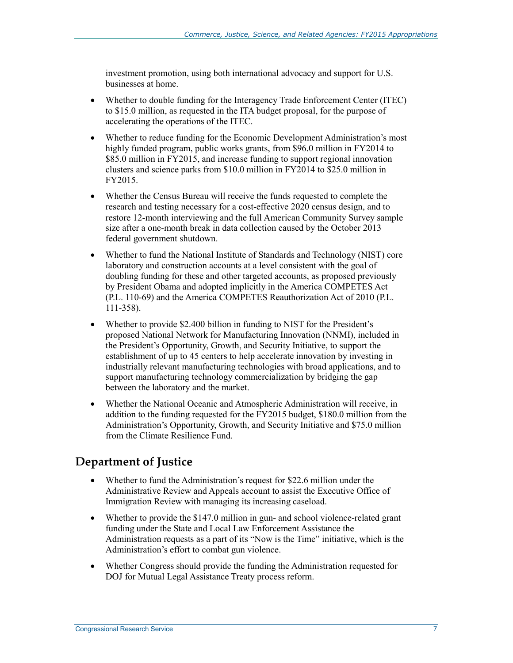investment promotion, using both international advocacy and support for U.S. businesses at home.

- Whether to double funding for the Interagency Trade Enforcement Center (ITEC) to \$15.0 million, as requested in the ITA budget proposal, for the purpose of accelerating the operations of the ITEC.
- Whether to reduce funding for the Economic Development Administration's most highly funded program, public works grants, from \$96.0 million in FY2014 to \$85.0 million in FY2015, and increase funding to support regional innovation clusters and science parks from \$10.0 million in FY2014 to \$25.0 million in FY2015.
- Whether the Census Bureau will receive the funds requested to complete the research and testing necessary for a cost-effective 2020 census design, and to restore 12-month interviewing and the full American Community Survey sample size after a one-month break in data collection caused by the October 2013 federal government shutdown.
- Whether to fund the National Institute of Standards and Technology (NIST) core laboratory and construction accounts at a level consistent with the goal of doubling funding for these and other targeted accounts, as proposed previously by President Obama and adopted implicitly in the America COMPETES Act (P.L. 110-69) and the America COMPETES Reauthorization Act of 2010 (P.L. 111-358).
- Whether to provide \$2.400 billion in funding to NIST for the President's proposed National Network for Manufacturing Innovation (NNMI), included in the President's Opportunity, Growth, and Security Initiative, to support the establishment of up to 45 centers to help accelerate innovation by investing in industrially relevant manufacturing technologies with broad applications, and to support manufacturing technology commercialization by bridging the gap between the laboratory and the market.
- Whether the National Oceanic and Atmospheric Administration will receive, in addition to the funding requested for the FY2015 budget, \$180.0 million from the Administration's Opportunity, Growth, and Security Initiative and \$75.0 million from the Climate Resilience Fund.

#### **Department of Justice**

- Whether to fund the Administration's request for \$22.6 million under the Administrative Review and Appeals account to assist the Executive Office of Immigration Review with managing its increasing caseload.
- Whether to provide the \$147.0 million in gun- and school violence-related grant funding under the State and Local Law Enforcement Assistance the Administration requests as a part of its "Now is the Time" initiative, which is the Administration's effort to combat gun violence.
- Whether Congress should provide the funding the Administration requested for DOJ for Mutual Legal Assistance Treaty process reform.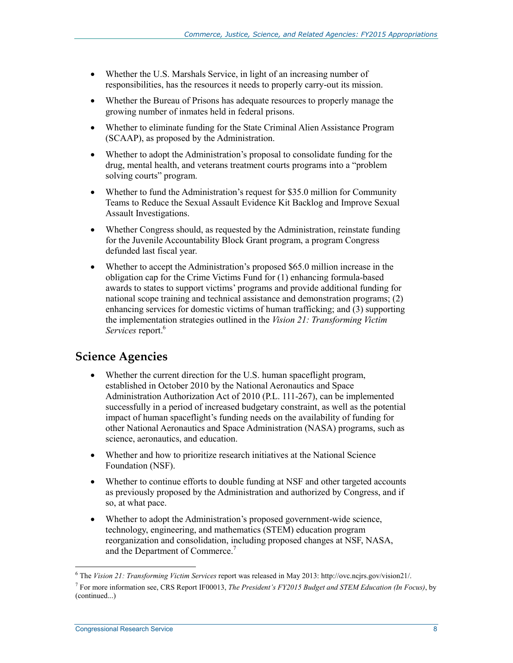- Whether the U.S. Marshals Service, in light of an increasing number of responsibilities, has the resources it needs to properly carry-out its mission.
- Whether the Bureau of Prisons has adequate resources to properly manage the growing number of inmates held in federal prisons.
- Whether to eliminate funding for the State Criminal Alien Assistance Program (SCAAP), as proposed by the Administration.
- Whether to adopt the Administration's proposal to consolidate funding for the drug, mental health, and veterans treatment courts programs into a "problem solving courts" program.
- Whether to fund the Administration's request for \$35.0 million for Community Teams to Reduce the Sexual Assault Evidence Kit Backlog and Improve Sexual Assault Investigations.
- Whether Congress should, as requested by the Administration, reinstate funding for the Juvenile Accountability Block Grant program, a program Congress defunded last fiscal year.
- Whether to accept the Administration's proposed \$65.0 million increase in the obligation cap for the Crime Victims Fund for (1) enhancing formula-based awards to states to support victims' programs and provide additional funding for national scope training and technical assistance and demonstration programs; (2) enhancing services for domestic victims of human trafficking; and (3) supporting the implementation strategies outlined in the *Vision 21: Transforming Victim*  Services report.<sup>6</sup>

#### **Science Agencies**

- Whether the current direction for the U.S. human spaceflight program, established in October 2010 by the National Aeronautics and Space Administration Authorization Act of 2010 (P.L. 111-267), can be implemented successfully in a period of increased budgetary constraint, as well as the potential impact of human spaceflight's funding needs on the availability of funding for other National Aeronautics and Space Administration (NASA) programs, such as science, aeronautics, and education.
- Whether and how to prioritize research initiatives at the National Science Foundation (NSF).
- Whether to continue efforts to double funding at NSF and other targeted accounts as previously proposed by the Administration and authorized by Congress, and if so, at what pace.
- Whether to adopt the Administration's proposed government-wide science, technology, engineering, and mathematics (STEM) education program reorganization and consolidation, including proposed changes at NSF, NASA, and the Department of Commerce.<sup>7</sup>

 6 The *Vision 21: Transforming Victim Services* report was released in May 2013: http://ovc.ncjrs.gov/vision21/.

<sup>7</sup> For more information see, CRS Report IF00013, *The President's FY2015 Budget and STEM Education (In Focus)*, by (continued...)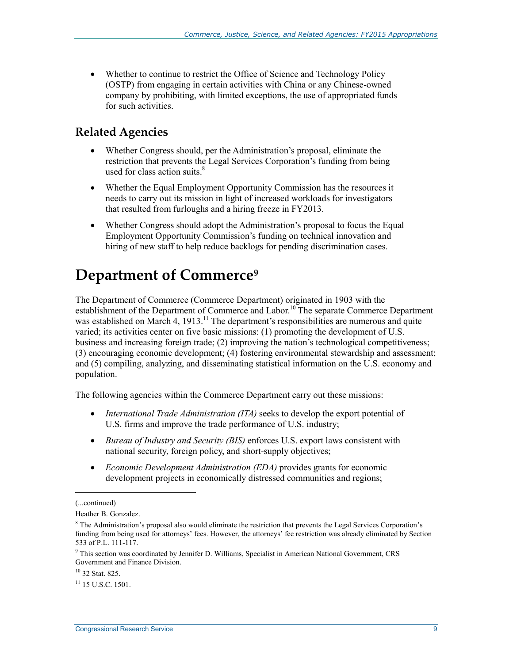• Whether to continue to restrict the Office of Science and Technology Policy (OSTP) from engaging in certain activities with China or any Chinese-owned company by prohibiting, with limited exceptions, the use of appropriated funds for such activities.

#### **Related Agencies**

- Whether Congress should, per the Administration's proposal, eliminate the restriction that prevents the Legal Services Corporation's funding from being used for class action suits.<sup>8</sup>
- Whether the Equal Employment Opportunity Commission has the resources it needs to carry out its mission in light of increased workloads for investigators that resulted from furloughs and a hiring freeze in FY2013.
- Whether Congress should adopt the Administration's proposal to focus the Equal Employment Opportunity Commission's funding on technical innovation and hiring of new staff to help reduce backlogs for pending discrimination cases.

# **Department of Commerce9**

The Department of Commerce (Commerce Department) originated in 1903 with the establishment of the Department of Commerce and Labor.<sup>10</sup> The separate Commerce Department was established on March 4, 1913.<sup>11</sup> The department's responsibilities are numerous and quite varied; its activities center on five basic missions: (1) promoting the development of U.S. business and increasing foreign trade; (2) improving the nation's technological competitiveness; (3) encouraging economic development; (4) fostering environmental stewardship and assessment; and (5) compiling, analyzing, and disseminating statistical information on the U.S. economy and population.

The following agencies within the Commerce Department carry out these missions:

- *International Trade Administration (ITA)* seeks to develop the export potential of U.S. firms and improve the trade performance of U.S. industry;
- *Bureau of Industry and Security (BIS)* enforces U.S. export laws consistent with national security, foreign policy, and short-supply objectives;
- *Economic Development Administration (EDA)* provides grants for economic development projects in economically distressed communities and regions;

 $\overline{a}$ 

<sup>(...</sup>continued)

Heather B. Gonzalez.

<sup>&</sup>lt;sup>8</sup> The Administration's proposal also would eliminate the restriction that prevents the Legal Services Corporation's funding from being used for attorneys' fees. However, the attorneys' fee restriction was already eliminated by Section 533 of P.L. 111-117.

<sup>&</sup>lt;sup>9</sup> This section was coordinated by Jennifer D. Williams, Specialist in American National Government, CRS Government and Finance Division.

<sup>10 32</sup> Stat. 825.

 $^{11}$  15 U.S.C. 1501.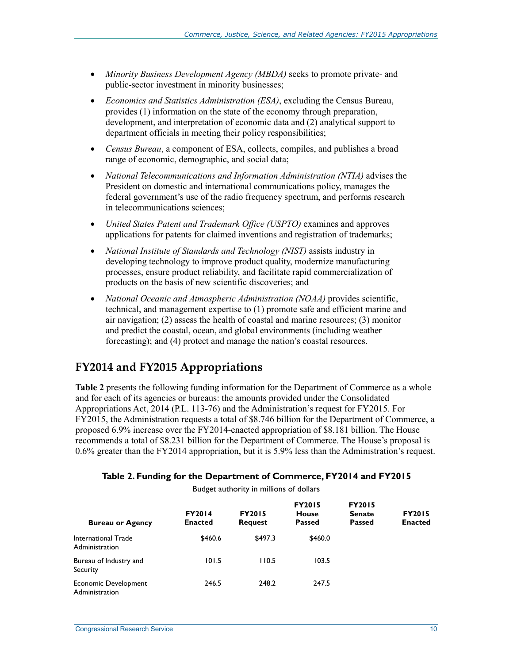- *Minority Business Development Agency (MBDA)* seeks to promote private- and public-sector investment in minority businesses;
- *Economics and Statistics Administration (ESA)*, excluding the Census Bureau, provides (1) information on the state of the economy through preparation, development, and interpretation of economic data and (2) analytical support to department officials in meeting their policy responsibilities;
- *Census Bureau*, a component of ESA, collects, compiles, and publishes a broad range of economic, demographic, and social data;
- *National Telecommunications and Information Administration (NTIA)* advises the President on domestic and international communications policy, manages the federal government's use of the radio frequency spectrum, and performs research in telecommunications sciences;
- *United States Patent and Trademark Office (USPTO)* examines and approves applications for patents for claimed inventions and registration of trademarks;
- *National Institute of Standards and Technology (NIST)* assists industry in developing technology to improve product quality, modernize manufacturing processes, ensure product reliability, and facilitate rapid commercialization of products on the basis of new scientific discoveries; and
- *National Oceanic and Atmospheric Administration (NOAA)* provides scientific, technical, and management expertise to (1) promote safe and efficient marine and air navigation; (2) assess the health of coastal and marine resources; (3) monitor and predict the coastal, ocean, and global environments (including weather forecasting); and (4) protect and manage the nation's coastal resources.

## **FY2014 and FY2015 Appropriations**

**Table 2** presents the following funding information for the Department of Commerce as a whole and for each of its agencies or bureaus: the amounts provided under the Consolidated Appropriations Act, 2014 (P.L. 113-76) and the Administration's request for FY2015. For FY2015, the Administration requests a total of \$8.746 billion for the Department of Commerce, a proposed 6.9% increase over the FY2014-enacted appropriation of \$8.181 billion. The House recommends a total of \$8.231 billion for the Department of Commerce. The House's proposal is 0.6% greater than the FY2014 appropriation, but it is 5.9% less than the Administration's request.

| Budget authority in millions of dollars |                                 |                                 |                                         |                                                 |                                 |
|-----------------------------------------|---------------------------------|---------------------------------|-----------------------------------------|-------------------------------------------------|---------------------------------|
| <b>Bureau or Agency</b>                 | <b>FY2014</b><br><b>Enacted</b> | <b>FY2015</b><br><b>Request</b> | <b>FY2015</b><br>House<br><b>Passed</b> | <b>FY2015</b><br><b>Senate</b><br><b>Passed</b> | <b>FY2015</b><br><b>Enacted</b> |
| International Trade<br>Administration   | \$460.6                         | \$497.3                         | \$460.0                                 |                                                 |                                 |
| Bureau of Industry and<br>Security      | 101.5                           | 110.5                           | 103.5                                   |                                                 |                                 |
| Economic Development<br>Administration  | 246.5                           | 248.2                           | 247.5                                   |                                                 |                                 |

|  |  | Table 2. Funding for the Department of Commerce, FY2014 and FY2015 |
|--|--|--------------------------------------------------------------------|
|--|--|--------------------------------------------------------------------|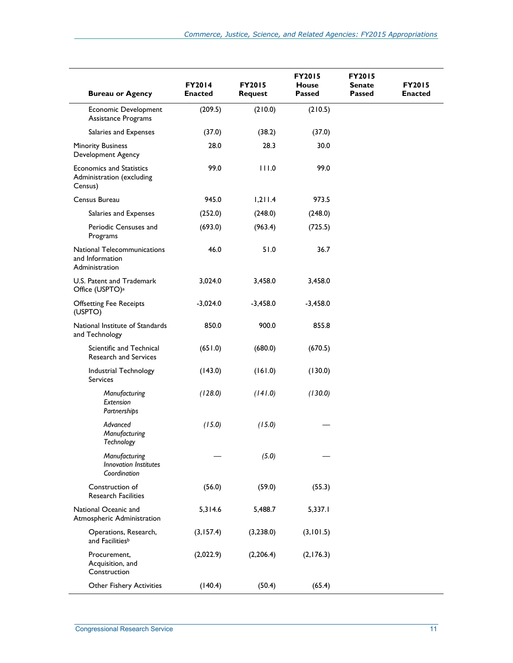|                                                                         | FY2014         | <b>FY2015</b>  | <b>FY2015</b><br><b>House</b> | <b>FY2015</b><br><b>Senate</b> | <b>FY2015</b>  |
|-------------------------------------------------------------------------|----------------|----------------|-------------------------------|--------------------------------|----------------|
| <b>Bureau or Agency</b>                                                 | <b>Enacted</b> | <b>Request</b> | <b>Passed</b>                 | <b>Passed</b>                  | <b>Enacted</b> |
| Economic Development<br>Assistance Programs                             | (209.5)        | (210.0)        | (210.5)                       |                                |                |
| Salaries and Expenses                                                   | (37.0)         | (38.2)         | (37.0)                        |                                |                |
| <b>Minority Business</b><br>Development Agency                          | 28.0           | 28.3           | 30.0                          |                                |                |
| <b>Economics and Statistics</b><br>Administration (excluding<br>Census) | 99.0           | 111.0          | 99.0                          |                                |                |
| Census Bureau                                                           | 945.0          | 1,211.4        | 973.5                         |                                |                |
| Salaries and Expenses                                                   | (252.0)        | (248.0)        | (248.0)                       |                                |                |
| Periodic Censuses and<br>Programs                                       | (693.0)        | (963.4)        | (725.5)                       |                                |                |
| National Telecommunications<br>and Information<br>Administration        | 46.0           | 51.0           | 36.7                          |                                |                |
| U.S. Patent and Trademark<br>Office (USPTO) <sup>a</sup>                | 3,024.0        | 3,458.0        | 3,458.0                       |                                |                |
| <b>Offsetting Fee Receipts</b><br>(USPTO)                               | $-3,024.0$     | $-3,458.0$     | $-3,458.0$                    |                                |                |
| National Institute of Standards<br>and Technology                       | 850.0          | 900.0          | 855.8                         |                                |                |
| Scientific and Technical<br>Research and Services                       | (651.0)        | (680.0)        | (670.5)                       |                                |                |
| Industrial Technology<br><b>Services</b>                                | (143.0)        | (161.0)        | (130.0)                       |                                |                |
| Manufacturing<br>Extension<br>Partnerships                              | (128.0)        | (141.0)        | (130.0)                       |                                |                |
| Advanced<br>Manufacturing<br>Technology                                 | (15.0)         | (15.0)         |                               |                                |                |
| Manufacturing<br><b>Innovation Institutes</b><br>Coordination           |                | (5.0)          |                               |                                |                |
| Construction of<br><b>Research Facilities</b>                           | (56.0)         | (59.0)         | (55.3)                        |                                |                |
| National Oceanic and<br>Atmospheric Administration                      | 5,314.6        | 5,488.7        | 5,337.1                       |                                |                |
| Operations, Research,<br>and Facilities <sup>b</sup>                    | (3, 157.4)     | (3,238.0)      | (3, 101.5)                    |                                |                |
| Procurement,<br>Acquisition, and<br>Construction                        | (2,022.9)      | (2,206.4)      | (2,176.3)                     |                                |                |
| <b>Other Fishery Activities</b>                                         | (140.4)        | (50.4)         | (65.4)                        |                                |                |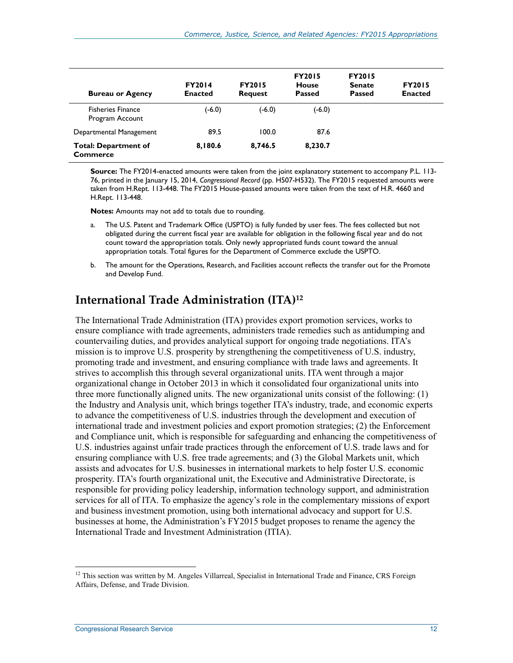| <b>Bureau or Agency</b>                     | <b>FY2014</b><br><b>Enacted</b> | <b>FY2015</b><br><b>Request</b> | <b>FY2015</b><br>House<br><b>Passed</b> | <b>FY2015</b><br><b>Senate</b><br><b>Passed</b> | <b>FY2015</b><br><b>Enacted</b> |
|---------------------------------------------|---------------------------------|---------------------------------|-----------------------------------------|-------------------------------------------------|---------------------------------|
| <b>Fisheries Finance</b><br>Program Account | $(-6.0)$                        | $(-6.0)$                        | $(-6.0)$                                |                                                 |                                 |
| Departmental Management                     | 89.5                            | 100.0                           | 87.6                                    |                                                 |                                 |
| <b>Total: Department of</b><br>Commerce     | 8,180.6                         | 8,746.5                         | 8,230.7                                 |                                                 |                                 |

**Source:** The FY2014-enacted amounts were taken from the joint explanatory statement to accompany P.L. 113- 76, printed in the January 15, 2014, *Congressional Record* (pp. H507-H532). The FY2015 requested amounts were taken from H.Rept. 113-448. The FY2015 House-passed amounts were taken from the text of H.R. 4660 and H.Rept. 113-448.

**Notes:** Amounts may not add to totals due to rounding.

- a. The U.S. Patent and Trademark Office (USPTO) is fully funded by user fees. The fees collected but not obligated during the current fiscal year are available for obligation in the following fiscal year and do not count toward the appropriation totals. Only newly appropriated funds count toward the annual appropriation totals. Total figures for the Department of Commerce exclude the USPTO.
- b. The amount for the Operations, Research, and Facilities account reflects the transfer out for the Promote and Develop Fund.

#### **International Trade Administration (ITA)12**

The International Trade Administration (ITA) provides export promotion services, works to ensure compliance with trade agreements, administers trade remedies such as antidumping and countervailing duties, and provides analytical support for ongoing trade negotiations. ITA's mission is to improve U.S. prosperity by strengthening the competitiveness of U.S. industry, promoting trade and investment, and ensuring compliance with trade laws and agreements. It strives to accomplish this through several organizational units. ITA went through a major organizational change in October 2013 in which it consolidated four organizational units into three more functionally aligned units. The new organizational units consist of the following: (1) the Industry and Analysis unit, which brings together ITA's industry, trade, and economic experts to advance the competitiveness of U.S. industries through the development and execution of international trade and investment policies and export promotion strategies; (2) the Enforcement and Compliance unit, which is responsible for safeguarding and enhancing the competitiveness of U.S. industries against unfair trade practices through the enforcement of U.S. trade laws and for ensuring compliance with U.S. free trade agreements; and (3) the Global Markets unit, which assists and advocates for U.S. businesses in international markets to help foster U.S. economic prosperity. ITA's fourth organizational unit, the Executive and Administrative Directorate, is responsible for providing policy leadership, information technology support, and administration services for all of ITA. To emphasize the agency's role in the complementary missions of export and business investment promotion, using both international advocacy and support for U.S. businesses at home, the Administration's FY2015 budget proposes to rename the agency the International Trade and Investment Administration (ITIA).

 $12$  This section was written by M. Angeles Villarreal, Specialist in International Trade and Finance, CRS Foreign Affairs, Defense, and Trade Division.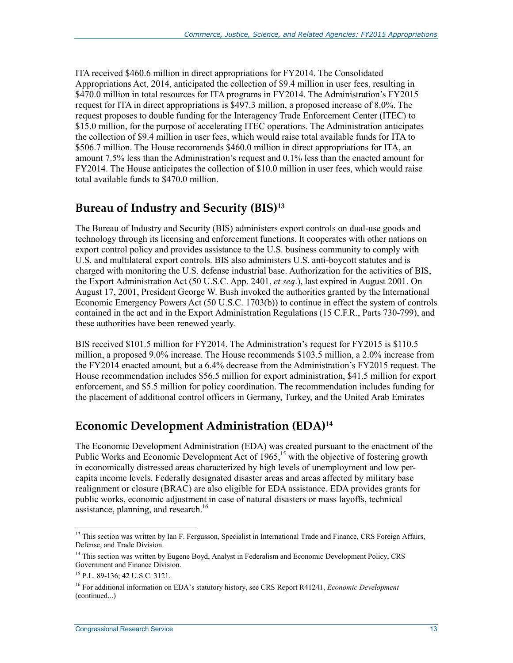ITA received \$460.6 million in direct appropriations for FY2014. The Consolidated Appropriations Act, 2014, anticipated the collection of \$9.4 million in user fees, resulting in \$470.0 million in total resources for ITA programs in FY2014. The Administration's FY2015 request for ITA in direct appropriations is \$497.3 million, a proposed increase of 8.0%. The request proposes to double funding for the Interagency Trade Enforcement Center (ITEC) to \$15.0 million, for the purpose of accelerating ITEC operations. The Administration anticipates the collection of \$9.4 million in user fees, which would raise total available funds for ITA to \$506.7 million. The House recommends \$460.0 million in direct appropriations for ITA, an amount 7.5% less than the Administration's request and 0.1% less than the enacted amount for FY2014. The House anticipates the collection of \$10.0 million in user fees, which would raise total available funds to \$470.0 million.

#### **Bureau of Industry and Security (BIS)13**

The Bureau of Industry and Security (BIS) administers export controls on dual-use goods and technology through its licensing and enforcement functions. It cooperates with other nations on export control policy and provides assistance to the U.S. business community to comply with U.S. and multilateral export controls. BIS also administers U.S. anti-boycott statutes and is charged with monitoring the U.S. defense industrial base. Authorization for the activities of BIS, the Export Administration Act (50 U.S.C. App. 2401, *et seq*.), last expired in August 2001. On August 17, 2001, President George W. Bush invoked the authorities granted by the International Economic Emergency Powers Act (50 U.S.C. 1703(b)) to continue in effect the system of controls contained in the act and in the Export Administration Regulations (15 C.F.R., Parts 730-799), and these authorities have been renewed yearly.

BIS received \$101.5 million for FY2014. The Administration's request for FY2015 is \$110.5 million, a proposed 9.0% increase. The House recommends \$103.5 million, a 2.0% increase from the FY2014 enacted amount, but a 6.4% decrease from the Administration's FY2015 request. The House recommendation includes \$56.5 million for export administration, \$41.5 million for export enforcement, and \$5.5 million for policy coordination. The recommendation includes funding for the placement of additional control officers in Germany, Turkey, and the United Arab Emirates

## **Economic Development Administration (EDA)14**

The Economic Development Administration (EDA) was created pursuant to the enactment of the Public Works and Economic Development Act of  $1965$ ,<sup>15</sup> with the objective of fostering growth in economically distressed areas characterized by high levels of unemployment and low percapita income levels. Federally designated disaster areas and areas affected by military base realignment or closure (BRAC) are also eligible for EDA assistance. EDA provides grants for public works, economic adjustment in case of natural disasters or mass layoffs, technical assistance, planning, and research.<sup>16</sup>

<sup>1</sup> <sup>13</sup> This section was written by Ian F. Fergusson, Specialist in International Trade and Finance, CRS Foreign Affairs, Defense, and Trade Division.

<sup>&</sup>lt;sup>14</sup> This section was written by Eugene Boyd, Analyst in Federalism and Economic Development Policy, CRS Government and Finance Division.

<sup>15</sup> P.L. 89-136; 42 U.S.C. 3121.

<sup>16</sup> For additional information on EDA's statutory history, see CRS Report R41241, *Economic Development*  (continued...)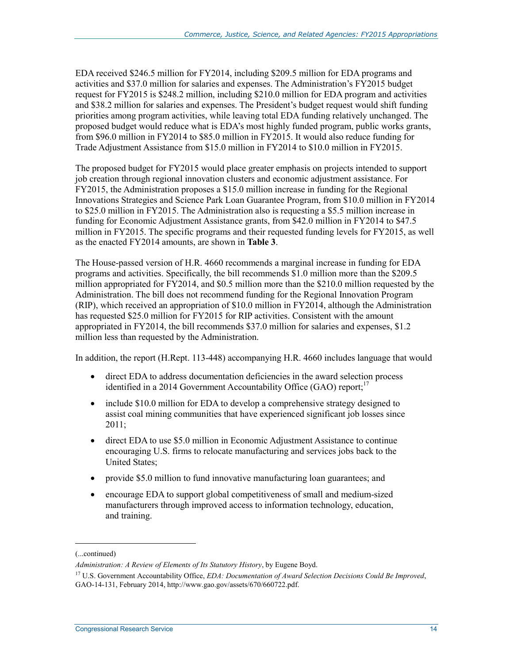EDA received \$246.5 million for FY2014, including \$209.5 million for EDA programs and activities and \$37.0 million for salaries and expenses. The Administration's FY2015 budget request for FY2015 is \$248.2 million, including \$210.0 million for EDA program and activities and \$38.2 million for salaries and expenses. The President's budget request would shift funding priorities among program activities, while leaving total EDA funding relatively unchanged. The proposed budget would reduce what is EDA's most highly funded program, public works grants, from \$96.0 million in FY2014 to \$85.0 million in FY2015. It would also reduce funding for Trade Adjustment Assistance from \$15.0 million in FY2014 to \$10.0 million in FY2015.

The proposed budget for FY2015 would place greater emphasis on projects intended to support job creation through regional innovation clusters and economic adjustment assistance. For FY2015, the Administration proposes a \$15.0 million increase in funding for the Regional Innovations Strategies and Science Park Loan Guarantee Program, from \$10.0 million in FY2014 to \$25.0 million in FY2015. The Administration also is requesting a \$5.5 million increase in funding for Economic Adjustment Assistance grants, from \$42.0 million in FY2014 to \$47.5 million in FY2015. The specific programs and their requested funding levels for FY2015, as well as the enacted FY2014 amounts, are shown in **Table 3**.

The House-passed version of H.R. 4660 recommends a marginal increase in funding for EDA programs and activities. Specifically, the bill recommends \$1.0 million more than the \$209.5 million appropriated for FY2014, and \$0.5 million more than the \$210.0 million requested by the Administration. The bill does not recommend funding for the Regional Innovation Program (RIP), which received an appropriation of \$10.0 million in FY2014, although the Administration has requested \$25.0 million for FY2015 for RIP activities. Consistent with the amount appropriated in FY2014, the bill recommends \$37.0 million for salaries and expenses, \$1.2 million less than requested by the Administration.

In addition, the report (H.Rept. 113-448) accompanying H.R. 4660 includes language that would

- direct EDA to address documentation deficiencies in the award selection process identified in a 2014 Government Accountability Office (GAO) report;<sup>17</sup>
- include \$10.0 million for EDA to develop a comprehensive strategy designed to assist coal mining communities that have experienced significant job losses since 2011;
- direct EDA to use \$5.0 million in Economic Adjustment Assistance to continue encouraging U.S. firms to relocate manufacturing and services jobs back to the United States;
- provide \$5.0 million to fund innovative manufacturing loan guarantees; and
- encourage EDA to support global competitiveness of small and medium-sized manufacturers through improved access to information technology, education, and training.

<sup>(...</sup>continued)

*Administration: A Review of Elements of Its Statutory History*, by Eugene Boyd.

<sup>17</sup> U.S. Government Accountability Office, *EDA: Documentation of Award Selection Decisions Could Be Improved*, GAO-14-131, February 2014, http://www.gao.gov/assets/670/660722.pdf.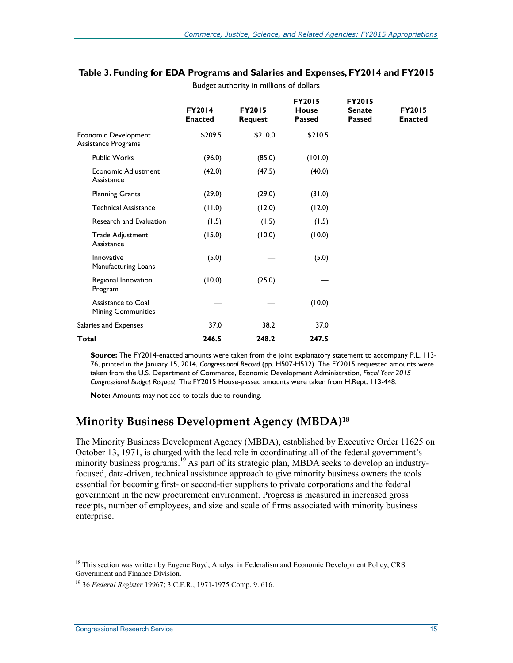|                                                 | <b>FY2014</b><br><b>Enacted</b> | <b>FY2015</b><br><b>Request</b> | <b>FY2015</b><br><b>House</b><br><b>Passed</b> | <b>FY2015</b><br><b>Senate</b><br><b>Passed</b> | <b>FY2015</b><br><b>Enacted</b> |
|-------------------------------------------------|---------------------------------|---------------------------------|------------------------------------------------|-------------------------------------------------|---------------------------------|
| Economic Development<br>Assistance Programs     | \$209.5                         | \$210.0                         | \$210.5                                        |                                                 |                                 |
| <b>Public Works</b>                             | (96.0)                          | (85.0)                          | (0.101)                                        |                                                 |                                 |
| Economic Adjustment<br>Assistance               | (42.0)                          | (47.5)                          | (40.0)                                         |                                                 |                                 |
| <b>Planning Grants</b>                          | (29.0)                          | (29.0)                          | (31.0)                                         |                                                 |                                 |
| <b>Technical Assistance</b>                     | (11.0)                          | (12.0)                          | (12.0)                                         |                                                 |                                 |
| <b>Research and Evaluation</b>                  | (1.5)                           | (1.5)                           | (1.5)                                          |                                                 |                                 |
| Trade Adjustment<br>Assistance                  | (15.0)                          | (10.0)                          | (10.0)                                         |                                                 |                                 |
| Innovative<br>Manufacturing Loans               | (5.0)                           |                                 | (5.0)                                          |                                                 |                                 |
| Regional Innovation<br>Program                  | (10.0)                          | (25.0)                          |                                                |                                                 |                                 |
| Assistance to Coal<br><b>Mining Communities</b> |                                 |                                 | (10.0)                                         |                                                 |                                 |
| Salaries and Expenses                           | 37.0                            | 38.2                            | 37.0                                           |                                                 |                                 |
| Total                                           | 246.5                           | 248.2                           | 247.5                                          |                                                 |                                 |

#### **Table 3. Funding for EDA Programs and Salaries and Expenses, FY2014 and FY2015**  Budget authority in millions of dollars

**Source:** The FY2014-enacted amounts were taken from the joint explanatory statement to accompany P.L. 113- 76, printed in the January 15, 2014, *Congressional Record* (pp. H507-H532). The FY2015 requested amounts were taken from the U.S. Department of Commerce, Economic Development Administration, *Fiscal Year 2015 Congressional Budget Request*. The FY2015 House-passed amounts were taken from H.Rept. 113-448.

**Note:** Amounts may not add to totals due to rounding.

## **Minority Business Development Agency (MBDA)18**

The Minority Business Development Agency (MBDA), established by Executive Order 11625 on October 13, 1971, is charged with the lead role in coordinating all of the federal government's minority business programs.<sup>19</sup> As part of its strategic plan, MBDA seeks to develop an industryfocused, data-driven, technical assistance approach to give minority business owners the tools essential for becoming first- or second-tier suppliers to private corporations and the federal government in the new procurement environment. Progress is measured in increased gross receipts, number of employees, and size and scale of firms associated with minority business enterprise.

<sup>1</sup> <sup>18</sup> This section was written by Eugene Boyd, Analyst in Federalism and Economic Development Policy, CRS Government and Finance Division.

<sup>19 36</sup> *Federal Register* 19967; 3 C.F.R., 1971-1975 Comp. 9. 616.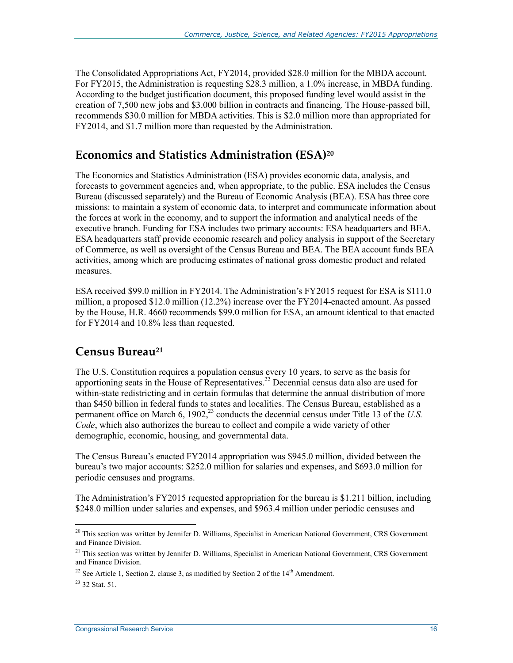The Consolidated Appropriations Act, FY2014, provided \$28.0 million for the MBDA account. For FY2015, the Administration is requesting \$28.3 million, a 1.0% increase, in MBDA funding. According to the budget justification document, this proposed funding level would assist in the creation of 7,500 new jobs and \$3.000 billion in contracts and financing. The House-passed bill, recommends \$30.0 million for MBDA activities. This is \$2.0 million more than appropriated for FY2014, and \$1.7 million more than requested by the Administration.

#### **Economics and Statistics Administration (ESA)20**

The Economics and Statistics Administration (ESA) provides economic data, analysis, and forecasts to government agencies and, when appropriate, to the public. ESA includes the Census Bureau (discussed separately) and the Bureau of Economic Analysis (BEA). ESA has three core missions: to maintain a system of economic data, to interpret and communicate information about the forces at work in the economy, and to support the information and analytical needs of the executive branch. Funding for ESA includes two primary accounts: ESA headquarters and BEA. ESA headquarters staff provide economic research and policy analysis in support of the Secretary of Commerce, as well as oversight of the Census Bureau and BEA. The BEA account funds BEA activities, among which are producing estimates of national gross domestic product and related measures.

ESA received \$99.0 million in FY2014. The Administration's FY2015 request for ESA is \$111.0 million, a proposed \$12.0 million (12.2%) increase over the FY2014-enacted amount. As passed by the House, H.R. 4660 recommends \$99.0 million for ESA, an amount identical to that enacted for FY2014 and 10.8% less than requested.

#### **Census Bureau21**

The U.S. Constitution requires a population census every 10 years, to serve as the basis for apportioning seats in the House of Representatives.<sup>22</sup> Decennial census data also are used for within-state redistricting and in certain formulas that determine the annual distribution of more than \$450 billion in federal funds to states and localities. The Census Bureau, established as a permanent office on March 6, 1902,<sup>23</sup> conducts the decennial census under Title 13 of the *U.S. Code*, which also authorizes the bureau to collect and compile a wide variety of other demographic, economic, housing, and governmental data.

The Census Bureau's enacted FY2014 appropriation was \$945.0 million, divided between the bureau's two major accounts: \$252.0 million for salaries and expenses, and \$693.0 million for periodic censuses and programs.

The Administration's FY2015 requested appropriation for the bureau is \$1.211 billion, including \$248.0 million under salaries and expenses, and \$963.4 million under periodic censuses and

<sup>&</sup>lt;sup>20</sup> This section was written by Jennifer D. Williams, Specialist in American National Government, CRS Government and Finance Division.

<sup>&</sup>lt;sup>21</sup> This section was written by Jennifer D. Williams, Specialist in American National Government, CRS Government and Finance Division.

<sup>&</sup>lt;sup>22</sup> See Article 1, Section 2, clause 3, as modified by Section 2 of the  $14<sup>th</sup>$  Amendment.

 $^{23}$  32 Stat. 51.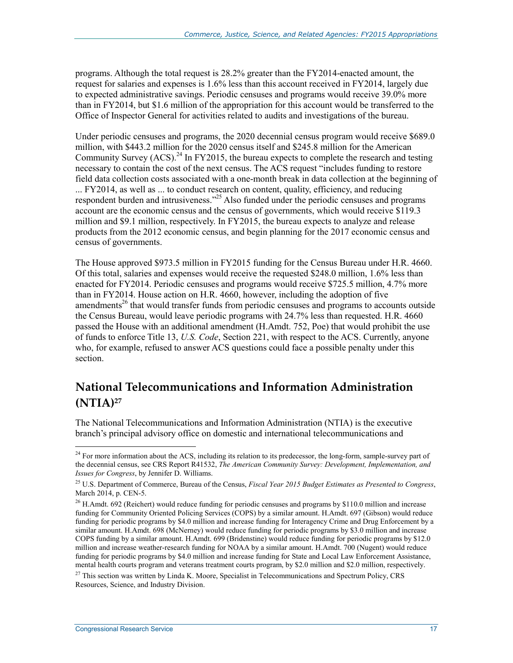programs. Although the total request is 28.2% greater than the FY2014-enacted amount, the request for salaries and expenses is 1.6% less than this account received in FY2014, largely due to expected administrative savings. Periodic censuses and programs would receive 39.0% more than in FY2014, but \$1.6 million of the appropriation for this account would be transferred to the Office of Inspector General for activities related to audits and investigations of the bureau.

Under periodic censuses and programs, the 2020 decennial census program would receive \$689.0 million, with \$443.2 million for the 2020 census itself and \$245.8 million for the American Community Survey  $(ACS)^{24}$  In FY2015, the bureau expects to complete the research and testing necessary to contain the cost of the next census. The ACS request "includes funding to restore field data collection costs associated with a one-month break in data collection at the beginning of ... FY2014, as well as ... to conduct research on content, quality, efficiency, and reducing respondent burden and intrusiveness."<sup>25</sup> Also funded under the periodic censuses and programs account are the economic census and the census of governments, which would receive \$119.3 million and \$9.1 million, respectively. In FY2015, the bureau expects to analyze and release products from the 2012 economic census, and begin planning for the 2017 economic census and census of governments.

The House approved \$973.5 million in FY2015 funding for the Census Bureau under H.R. 4660. Of this total, salaries and expenses would receive the requested \$248.0 million, 1.6% less than enacted for FY2014. Periodic censuses and programs would receive \$725.5 million, 4.7% more than in FY2014. House action on H.R. 4660, however, including the adoption of five amendments<sup>26</sup> that would transfer funds from periodic censuses and programs to accounts outside the Census Bureau, would leave periodic programs with 24.7% less than requested. H.R. 4660 passed the House with an additional amendment (H.Amdt. 752, Poe) that would prohibit the use of funds to enforce Title 13, *U.S. Code*, Section 221, with respect to the ACS. Currently, anyone who, for example, refused to answer ACS questions could face a possible penalty under this section.

## **National Telecommunications and Information Administration (NTIA)27**

The National Telecommunications and Information Administration (NTIA) is the executive branch's principal advisory office on domestic and international telecommunications and

<sup>1</sup>  $24$  For more information about the ACS, including its relation to its predecessor, the long-form, sample-survey part of the decennial census, see CRS Report R41532, *The American Community Survey: Development, Implementation, and Issues for Congress*, by Jennifer D. Williams.

<sup>25</sup> U.S. Department of Commerce, Bureau of the Census, *Fiscal Year 2015 Budget Estimates as Presented to Congress*, March 2014, p. CEN-5.

<sup>&</sup>lt;sup>26</sup> H.Amdt. 692 (Reichert) would reduce funding for periodic censuses and programs by \$110.0 million and increase funding for Community Oriented Policing Services (COPS) by a similar amount. H.Amdt. 697 (Gibson) would reduce funding for periodic programs by \$4.0 million and increase funding for Interagency Crime and Drug Enforcement by a similar amount. H.Amdt. 698 (McNerney) would reduce funding for periodic programs by \$3.0 million and increase COPS funding by a similar amount. H.Amdt. 699 (Bridenstine) would reduce funding for periodic programs by \$12.0 million and increase weather-research funding for NOAA by a similar amount. H.Amdt. 700 (Nugent) would reduce funding for periodic programs by \$4.0 million and increase funding for State and Local Law Enforcement Assistance, mental health courts program and veterans treatment courts program, by \$2.0 million and \$2.0 million, respectively.

<sup>&</sup>lt;sup>27</sup> This section was written by Linda K. Moore, Specialist in Telecommunications and Spectrum Policy, CRS Resources, Science, and Industry Division.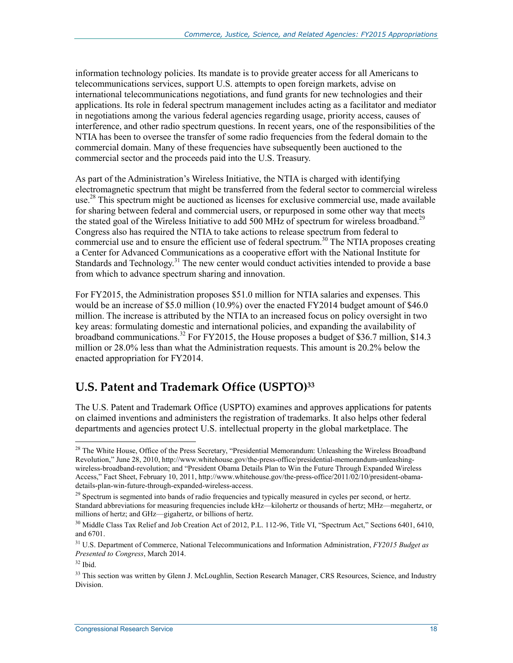information technology policies. Its mandate is to provide greater access for all Americans to telecommunications services, support U.S. attempts to open foreign markets, advise on international telecommunications negotiations, and fund grants for new technologies and their applications. Its role in federal spectrum management includes acting as a facilitator and mediator in negotiations among the various federal agencies regarding usage, priority access, causes of interference, and other radio spectrum questions. In recent years, one of the responsibilities of the NTIA has been to oversee the transfer of some radio frequencies from the federal domain to the commercial domain. Many of these frequencies have subsequently been auctioned to the commercial sector and the proceeds paid into the U.S. Treasury.

As part of the Administration's Wireless Initiative, the NTIA is charged with identifying electromagnetic spectrum that might be transferred from the federal sector to commercial wireless use.<sup>28</sup> This spectrum might be auctioned as licenses for exclusive commercial use, made available for sharing between federal and commercial users, or repurposed in some other way that meets the stated goal of the Wireless Initiative to add 500 MHz of spectrum for wireless broadband.<sup>29</sup> Congress also has required the NTIA to take actions to release spectrum from federal to commercial use and to ensure the efficient use of federal spectrum.<sup>30</sup> The NTIA proposes creating a Center for Advanced Communications as a cooperative effort with the National Institute for Standards and Technology.<sup>31</sup> The new center would conduct activities intended to provide a base from which to advance spectrum sharing and innovation.

For FY2015, the Administration proposes \$51.0 million for NTIA salaries and expenses. This would be an increase of \$5.0 million (10.9%) over the enacted FY2014 budget amount of \$46.0 million. The increase is attributed by the NTIA to an increased focus on policy oversight in two key areas: formulating domestic and international policies, and expanding the availability of broadband communications.<sup>32</sup> For FY2015, the House proposes a budget of \$36.7 million, \$14.3 million or 28.0% less than what the Administration requests. This amount is 20.2% below the enacted appropriation for FY2014.

## **U.S. Patent and Trademark Office (USPTO)33**

The U.S. Patent and Trademark Office (USPTO) examines and approves applications for patents on claimed inventions and administers the registration of trademarks. It also helps other federal departments and agencies protect U.S. intellectual property in the global marketplace. The

<sup>&</sup>lt;sup>28</sup> The White House, Office of the Press Secretary, "Presidential Memorandum: Unleashing the Wireless Broadband Revolution," June 28, 2010, http://www.whitehouse.gov/the-press-office/presidential-memorandum-unleashingwireless-broadband-revolution; and "President Obama Details Plan to Win the Future Through Expanded Wireless Access," Fact Sheet, February 10, 2011, http://www.whitehouse.gov/the-press-office/2011/02/10/president-obamadetails-plan-win-future-through-expanded-wireless-access.

 $29$  Spectrum is segmented into bands of radio frequencies and typically measured in cycles per second, or hertz. Standard abbreviations for measuring frequencies include kHz—kilohertz or thousands of hertz; MHz—megahertz, or millions of hertz; and GHz—gigahertz, or billions of hertz.

<sup>&</sup>lt;sup>30</sup> Middle Class Tax Relief and Job Creation Act of 2012, P.L. 112-96, Title VI, "Spectrum Act," Sections 6401, 6410, and 6701.

<sup>31</sup> U.S. Department of Commerce, National Telecommunications and Information Administration, *FY2015 Budget as Presented to Congress*, March 2014.

<sup>32</sup> Ibid.

<sup>&</sup>lt;sup>33</sup> This section was written by Glenn J. McLoughlin, Section Research Manager, CRS Resources, Science, and Industry Division.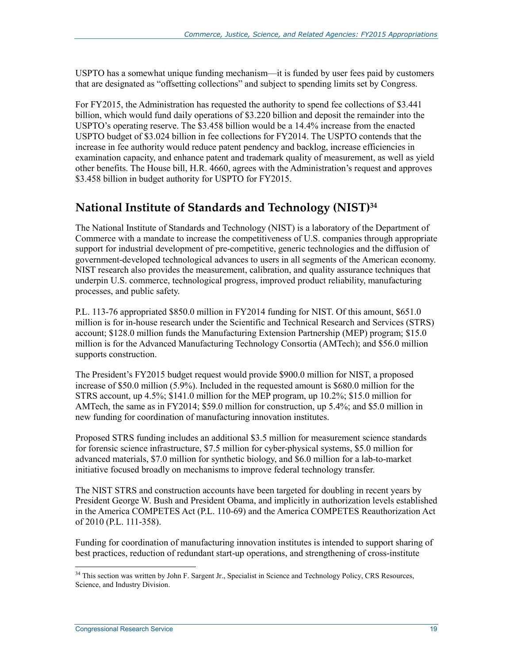USPTO has a somewhat unique funding mechanism—it is funded by user fees paid by customers that are designated as "offsetting collections" and subject to spending limits set by Congress.

For FY2015, the Administration has requested the authority to spend fee collections of \$3.441 billion, which would fund daily operations of \$3.220 billion and deposit the remainder into the USPTO's operating reserve. The \$3.458 billion would be a 14.4% increase from the enacted USPTO budget of \$3.024 billion in fee collections for FY2014. The USPTO contends that the increase in fee authority would reduce patent pendency and backlog, increase efficiencies in examination capacity, and enhance patent and trademark quality of measurement, as well as yield other benefits. The House bill, H.R. 4660, agrees with the Administration's request and approves \$3.458 billion in budget authority for USPTO for FY2015.

#### **National Institute of Standards and Technology (NIST)34**

The National Institute of Standards and Technology (NIST) is a laboratory of the Department of Commerce with a mandate to increase the competitiveness of U.S. companies through appropriate support for industrial development of pre-competitive, generic technologies and the diffusion of government-developed technological advances to users in all segments of the American economy. NIST research also provides the measurement, calibration, and quality assurance techniques that underpin U.S. commerce, technological progress, improved product reliability, manufacturing processes, and public safety.

P.L. 113-76 appropriated \$850.0 million in FY2014 funding for NIST. Of this amount, \$651.0 million is for in-house research under the Scientific and Technical Research and Services (STRS) account; \$128.0 million funds the Manufacturing Extension Partnership (MEP) program; \$15.0 million is for the Advanced Manufacturing Technology Consortia (AMTech); and \$56.0 million supports construction.

The President's FY2015 budget request would provide \$900.0 million for NIST, a proposed increase of \$50.0 million (5.9%). Included in the requested amount is \$680.0 million for the STRS account, up 4.5%; \$141.0 million for the MEP program, up 10.2%; \$15.0 million for AMTech, the same as in FY2014; \$59.0 million for construction, up 5.4%; and \$5.0 million in new funding for coordination of manufacturing innovation institutes.

Proposed STRS funding includes an additional \$3.5 million for measurement science standards for forensic science infrastructure, \$7.5 million for cyber-physical systems, \$5.0 million for advanced materials, \$7.0 million for synthetic biology, and \$6.0 million for a lab-to-market initiative focused broadly on mechanisms to improve federal technology transfer.

The NIST STRS and construction accounts have been targeted for doubling in recent years by President George W. Bush and President Obama, and implicitly in authorization levels established in the America COMPETES Act (P.L. 110-69) and the America COMPETES Reauthorization Act of 2010 (P.L. 111-358).

Funding for coordination of manufacturing innovation institutes is intended to support sharing of best practices, reduction of redundant start-up operations, and strengthening of cross-institute

<sup>&</sup>lt;sup>34</sup> This section was written by John F. Sargent Jr., Specialist in Science and Technology Policy, CRS Resources, Science, and Industry Division.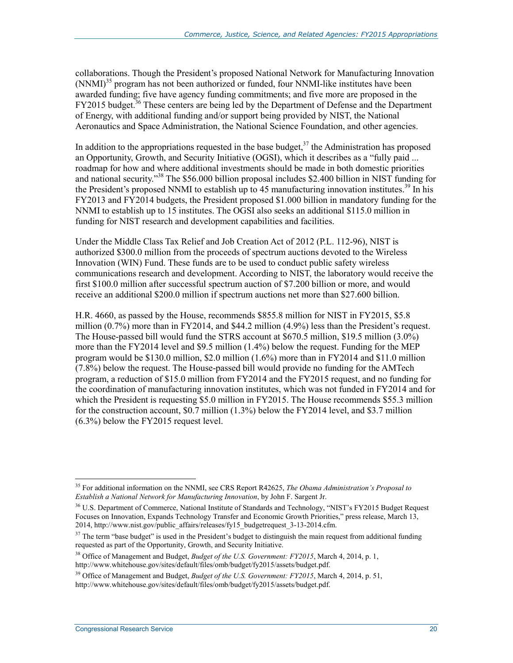collaborations. Though the President's proposed National Network for Manufacturing Innovation  $(NNMI)^{35}$  program has not been authorized or funded, four NNMI-like institutes have been awarded funding; five have agency funding commitments; and five more are proposed in the FY2015 budget.<sup>36</sup> These centers are being led by the Department of Defense and the Department of Energy, with additional funding and/or support being provided by NIST, the National Aeronautics and Space Administration, the National Science Foundation, and other agencies.

In addition to the appropriations requested in the base budget,  $3<sup>7</sup>$  the Administration has proposed an Opportunity, Growth, and Security Initiative (OGSI), which it describes as a "fully paid ... roadmap for how and where additional investments should be made in both domestic priorities and national security."38 The \$56.000 billion proposal includes \$2.400 billion in NIST funding for the President's proposed NNMI to establish up to 45 manufacturing innovation institutes.<sup>39</sup> In his FY2013 and FY2014 budgets, the President proposed \$1.000 billion in mandatory funding for the NNMI to establish up to 15 institutes. The OGSI also seeks an additional \$115.0 million in funding for NIST research and development capabilities and facilities.

Under the Middle Class Tax Relief and Job Creation Act of 2012 (P.L. 112-96), NIST is authorized \$300.0 million from the proceeds of spectrum auctions devoted to the Wireless Innovation (WIN) Fund. These funds are to be used to conduct public safety wireless communications research and development. According to NIST, the laboratory would receive the first \$100.0 million after successful spectrum auction of \$7.200 billion or more, and would receive an additional \$200.0 million if spectrum auctions net more than \$27.600 billion.

H.R. 4660, as passed by the House, recommends \$855.8 million for NIST in FY2015, \$5.8 million (0.7%) more than in FY2014, and \$44.2 million (4.9%) less than the President's request. The House-passed bill would fund the STRS account at \$670.5 million, \$19.5 million (3.0%) more than the FY2014 level and \$9.5 million (1.4%) below the request. Funding for the MEP program would be \$130.0 million, \$2.0 million (1.6%) more than in FY2014 and \$11.0 million (7.8%) below the request. The House-passed bill would provide no funding for the AMTech program, a reduction of \$15.0 million from FY2014 and the FY2015 request, and no funding for the coordination of manufacturing innovation institutes, which was not funded in FY2014 and for which the President is requesting \$5.0 million in FY2015. The House recommends \$55.3 million for the construction account, \$0.7 million (1.3%) below the FY2014 level, and \$3.7 million (6.3%) below the FY2015 request level.

<sup>&</sup>lt;u>.</u> 35 For additional information on the NNMI, see CRS Report R42625, *The Obama Administration's Proposal to Establish a National Network for Manufacturing Innovation*, by John F. Sargent Jr.

<sup>&</sup>lt;sup>36</sup> U.S. Department of Commerce, National Institute of Standards and Technology, "NIST's FY2015 Budget Request Focuses on Innovation, Expands Technology Transfer and Economic Growth Priorities," press release, March 13, 2014, http://www.nist.gov/public\_affairs/releases/fy15\_budgetrequest\_3-13-2014.cfm.

 $37$  The term "base budget" is used in the President's budget to distinguish the main request from additional funding requested as part of the Opportunity, Growth, and Security Initiative.

<sup>38</sup> Office of Management and Budget, *Budget of the U.S. Government: FY2015*, March 4, 2014, p. 1, http://www.whitehouse.gov/sites/default/files/omb/budget/fy2015/assets/budget.pdf.

<sup>39</sup> Office of Management and Budget, *Budget of the U.S. Government: FY2015*, March 4, 2014, p. 51, http://www.whitehouse.gov/sites/default/files/omb/budget/fy2015/assets/budget.pdf.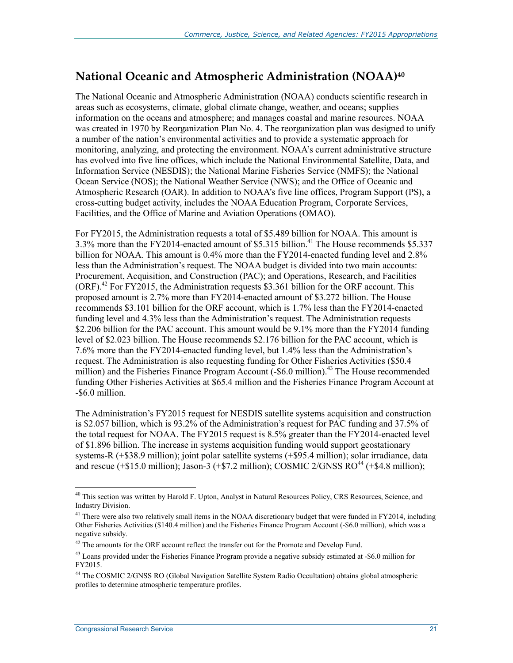#### **National Oceanic and Atmospheric Administration (NOAA)40**

The National Oceanic and Atmospheric Administration (NOAA) conducts scientific research in areas such as ecosystems, climate, global climate change, weather, and oceans; supplies information on the oceans and atmosphere; and manages coastal and marine resources. NOAA was created in 1970 by Reorganization Plan No. 4. The reorganization plan was designed to unify a number of the nation's environmental activities and to provide a systematic approach for monitoring, analyzing, and protecting the environment. NOAA's current administrative structure has evolved into five line offices, which include the National Environmental Satellite, Data, and Information Service (NESDIS); the National Marine Fisheries Service (NMFS); the National Ocean Service (NOS); the National Weather Service (NWS); and the Office of Oceanic and Atmospheric Research (OAR). In addition to NOAA's five line offices, Program Support (PS), a cross-cutting budget activity, includes the NOAA Education Program, Corporate Services, Facilities, and the Office of Marine and Aviation Operations (OMAO).

For FY2015, the Administration requests a total of \$5.489 billion for NOAA. This amount is 3.3% more than the FY2014-enacted amount of \$5.315 billion.<sup>41</sup> The House recommends \$5.337 billion for NOAA. This amount is 0.4% more than the FY2014-enacted funding level and 2.8% less than the Administration's request. The NOAA budget is divided into two main accounts: Procurement, Acquisition, and Construction (PAC); and Operations, Research, and Facilities (ORF).<sup>42</sup> For FY2015, the Administration requests \$3.361 billion for the ORF account. This proposed amount is 2.7% more than FY2014-enacted amount of \$3.272 billion. The House recommends \$3.101 billion for the ORF account, which is 1.7% less than the FY2014-enacted funding level and 4.3% less than the Administration's request. The Administration requests \$2.206 billion for the PAC account. This amount would be 9.1% more than the FY2014 funding level of \$2.023 billion. The House recommends \$2.176 billion for the PAC account, which is 7.6% more than the FY2014-enacted funding level, but 1.4% less than the Administration's request. The Administration is also requesting funding for Other Fisheries Activities (\$50.4 million) and the Fisheries Finance Program Account (-\$6.0 million).<sup>43</sup> The House recommended funding Other Fisheries Activities at \$65.4 million and the Fisheries Finance Program Account at -\$6.0 million.

The Administration's FY2015 request for NESDIS satellite systems acquisition and construction is \$2.057 billion, which is 93.2% of the Administration's request for PAC funding and 37.5% of the total request for NOAA. The FY2015 request is 8.5% greater than the FY2014-enacted level of \$1.896 billion. The increase in systems acquisition funding would support geostationary systems-R (+\$38.9 million); joint polar satellite systems (+\$95.4 million); solar irradiance, data and rescue  $(+\$15.0 \text{ million})$ ; Jason-3  $(+\$7.2 \text{ million})$ ; COSMIC  $2/\text{GNSS}$  RO<sup>44</sup>  $(+\$4.8 \text{ million})$ ;

<sup>&</sup>lt;sup>40</sup> This section was written by Harold F. Upton, Analyst in Natural Resources Policy, CRS Resources, Science, and Industry Division.

<sup>&</sup>lt;sup>41</sup> There were also two relatively small items in the NOAA discretionary budget that were funded in FY2014, including Other Fisheries Activities (\$140.4 million) and the Fisheries Finance Program Account (-\$6.0 million), which was a negative subsidy.

 $42$  The amounts for the ORF account reflect the transfer out for the Promote and Develop Fund.

 $^{43}$  Loans provided under the Fisheries Finance Program provide a negative subsidy estimated at -\$6.0 million for FY2015.

<sup>44</sup> The COSMIC 2/GNSS RO (Global Navigation Satellite System Radio Occultation) obtains global atmospheric profiles to determine atmospheric temperature profiles.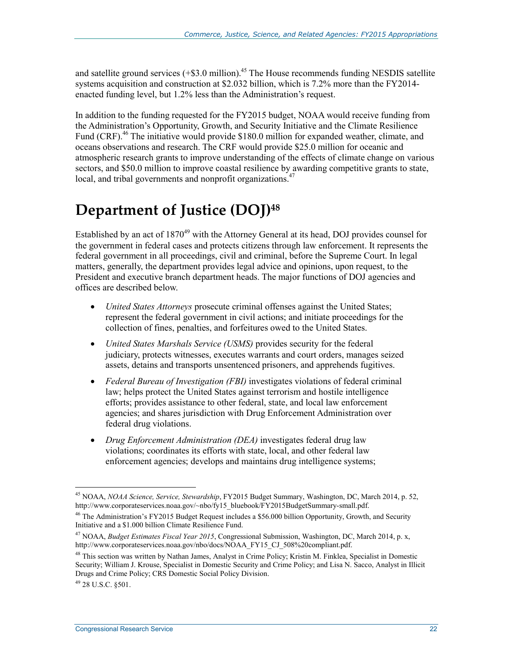and satellite ground services  $(+\$3.0 \text{ million})$ .<sup>45</sup> The House recommends funding NESDIS satellite systems acquisition and construction at \$2.032 billion, which is 7.2% more than the FY2014 enacted funding level, but 1.2% less than the Administration's request.

In addition to the funding requested for the FY2015 budget, NOAA would receive funding from the Administration's Opportunity, Growth, and Security Initiative and the Climate Resilience Fund (CRF).<sup>46</sup> The initiative would provide \$180.0 million for expanded weather, climate, and oceans observations and research. The CRF would provide \$25.0 million for oceanic and atmospheric research grants to improve understanding of the effects of climate change on various sectors, and \$50.0 million to improve coastal resilience by awarding competitive grants to state, local, and tribal governments and nonprofit organizations.<sup>47</sup>

# **Department of Justice (DOJ)48**

Established by an act of 1870<sup>49</sup> with the Attorney General at its head, DOJ provides counsel for the government in federal cases and protects citizens through law enforcement. It represents the federal government in all proceedings, civil and criminal, before the Supreme Court. In legal matters, generally, the department provides legal advice and opinions, upon request, to the President and executive branch department heads. The major functions of DOJ agencies and offices are described below.

- *United States Attorneys* prosecute criminal offenses against the United States; represent the federal government in civil actions; and initiate proceedings for the collection of fines, penalties, and forfeitures owed to the United States.
- *United States Marshals Service (USMS)* provides security for the federal judiciary, protects witnesses, executes warrants and court orders, manages seized assets, detains and transports unsentenced prisoners, and apprehends fugitives.
- *Federal Bureau of Investigation (FBI)* investigates violations of federal criminal law; helps protect the United States against terrorism and hostile intelligence efforts; provides assistance to other federal, state, and local law enforcement agencies; and shares jurisdiction with Drug Enforcement Administration over federal drug violations.
- *Drug Enforcement Administration (DEA)* investigates federal drug law violations; coordinates its efforts with state, local, and other federal law enforcement agencies; develops and maintains drug intelligence systems;

<sup>1</sup> 45 NOAA, *NOAA Science, Service, Stewardship*, FY2015 Budget Summary, Washington, DC, March 2014, p. 52, http://www.corporateservices.noaa.gov/~nbo/fy15\_bluebook/FY2015BudgetSummary-small.pdf.

<sup>&</sup>lt;sup>46</sup> The Administration's FY2015 Budget Request includes a \$56.000 billion Opportunity, Growth, and Security Initiative and a \$1.000 billion Climate Resilience Fund.

<sup>47</sup> NOAA, *Budget Estimates Fiscal Year 2015*, Congressional Submission, Washington, DC, March 2014, p. x, http://www.corporateservices.noaa.gov/nbo/docs/NOAA\_FY15\_CJ\_508%20compliant.pdf.

<sup>&</sup>lt;sup>48</sup> This section was written by Nathan James, Analyst in Crime Policy; Kristin M. Finklea, Specialist in Domestic Security; William J. Krouse, Specialist in Domestic Security and Crime Policy; and Lisa N. Sacco, Analyst in Illicit Drugs and Crime Policy; CRS Domestic Social Policy Division.

 $^{49}$  28 U.S.C. 8501.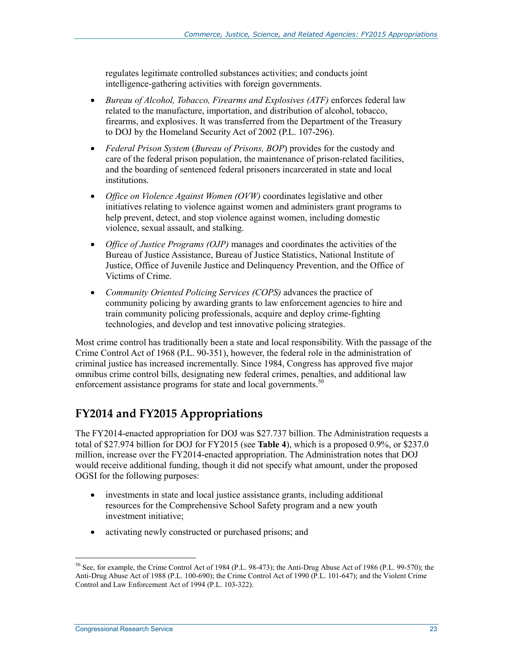regulates legitimate controlled substances activities; and conducts joint intelligence-gathering activities with foreign governments.

- *Bureau of Alcohol, Tobacco, Firearms and Explosives (ATF)* enforces federal law related to the manufacture, importation, and distribution of alcohol, tobacco, firearms, and explosives. It was transferred from the Department of the Treasury to DOJ by the Homeland Security Act of 2002 (P.L. 107-296).
- *Federal Prison System* (*Bureau of Prisons, BOP*) provides for the custody and care of the federal prison population, the maintenance of prison-related facilities, and the boarding of sentenced federal prisoners incarcerated in state and local institutions.
- *Office on Violence Against Women (OVW)* coordinates legislative and other initiatives relating to violence against women and administers grant programs to help prevent, detect, and stop violence against women, including domestic violence, sexual assault, and stalking.
- *Office of Justice Programs (OJP)* manages and coordinates the activities of the Bureau of Justice Assistance, Bureau of Justice Statistics, National Institute of Justice, Office of Juvenile Justice and Delinquency Prevention, and the Office of Victims of Crime.
- *Community Oriented Policing Services (COPS)* advances the practice of community policing by awarding grants to law enforcement agencies to hire and train community policing professionals, acquire and deploy crime-fighting technologies, and develop and test innovative policing strategies.

Most crime control has traditionally been a state and local responsibility. With the passage of the Crime Control Act of 1968 (P.L. 90-351), however, the federal role in the administration of criminal justice has increased incrementally. Since 1984, Congress has approved five major omnibus crime control bills, designating new federal crimes, penalties, and additional law enforcement assistance programs for state and local governments.<sup>50</sup>

## **FY2014 and FY2015 Appropriations**

The FY2014-enacted appropriation for DOJ was \$27.737 billion. The Administration requests a total of \$27.974 billion for DOJ for FY2015 (see **Table 4**), which is a proposed 0.9%, or \$237.0 million, increase over the FY2014-enacted appropriation. The Administration notes that DOJ would receive additional funding, though it did not specify what amount, under the proposed OGSI for the following purposes:

- investments in state and local justice assistance grants, including additional resources for the Comprehensive School Safety program and a new youth investment initiative;
- activating newly constructed or purchased prisons; and

<sup>&</sup>lt;sup>50</sup> See, for example, the Crime Control Act of 1984 (P.L. 98-473); the Anti-Drug Abuse Act of 1986 (P.L. 99-570); the Anti-Drug Abuse Act of 1988 (P.L. 100-690); the Crime Control Act of 1990 (P.L. 101-647); and the Violent Crime Control and Law Enforcement Act of 1994 (P.L. 103-322).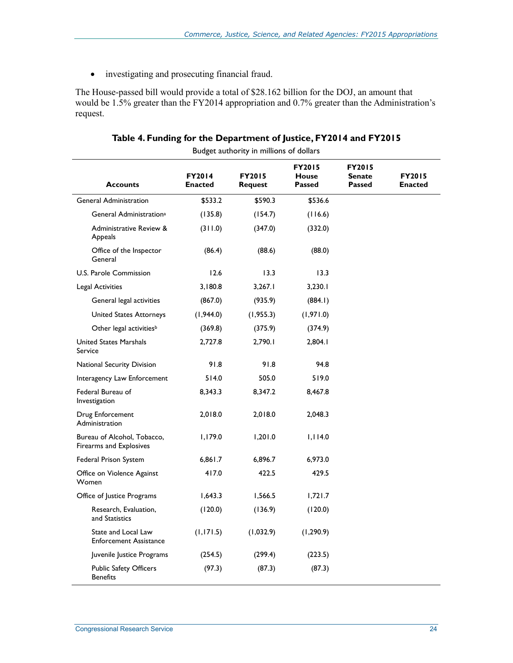• investigating and prosecuting financial fraud.

The House-passed bill would provide a total of \$28.162 billion for the DOJ, an amount that would be 1.5% greater than the FY2014 appropriation and 0.7% greater than the Administration's request.

| <b>Accounts</b>                                        | <b>FY2014</b><br><b>Enacted</b> | <b>FY2015</b><br>Request | <b>FY2015</b><br><b>House</b><br><b>Passed</b> | <b>FY2015</b><br><b>Senate</b><br><b>Passed</b> | <b>FY2015</b><br><b>Enacted</b> |
|--------------------------------------------------------|---------------------------------|--------------------------|------------------------------------------------|-------------------------------------------------|---------------------------------|
| <b>General Administration</b>                          | \$533.2                         | \$590.3                  | \$536.6                                        |                                                 |                                 |
| General Administration <sup>a</sup>                    | (135.8)                         | (154.7)                  | (116.6)                                        |                                                 |                                 |
| <b>Administrative Review &amp;</b><br>Appeals          | (311.0)                         | (347.0)                  | (332.0)                                        |                                                 |                                 |
| Office of the Inspector<br>General                     | (86.4)                          | (88.6)                   | (88.0)                                         |                                                 |                                 |
| U.S. Parole Commission                                 | 12.6                            | 13.3                     | 13.3                                           |                                                 |                                 |
| Legal Activities                                       | 3,180.8                         | 3,267.1                  | 3,230.1                                        |                                                 |                                 |
| General legal activities                               | (867.0)                         | (935.9)                  | (884.1)                                        |                                                 |                                 |
| <b>United States Attorneys</b>                         | (1,944.0)                       | (1, 955.3)               | (1,971.0)                                      |                                                 |                                 |
| Other legal activities <sup>b</sup>                    | (369.8)                         | (375.9)                  | (374.9)                                        |                                                 |                                 |
| United States Marshals<br>Service                      | 2,727.8                         | 2,790.1                  | 2,804.1                                        |                                                 |                                 |
| <b>National Security Division</b>                      | 91.8                            | 91.8                     | 94.8                                           |                                                 |                                 |
| Interagency Law Enforcement                            | 514.0                           | 505.0                    | 519.0                                          |                                                 |                                 |
| Federal Bureau of<br>Investigation                     | 8,343.3                         | 8,347.2                  | 8,467.8                                        |                                                 |                                 |
| Drug Enforcement<br>Administration                     | 2,018.0                         | 2,018.0                  | 2,048.3                                        |                                                 |                                 |
| Bureau of Alcohol, Tobacco,<br>Firearms and Explosives | 1,179.0                         | 1,201.0                  | 1,114.0                                        |                                                 |                                 |
| Federal Prison System                                  | 6,861.7                         | 6,896.7                  | 6,973.0                                        |                                                 |                                 |
| Office on Violence Against<br>Women                    | 417.0                           | 422.5                    | 429.5                                          |                                                 |                                 |
| Office of Justice Programs                             | 1,643.3                         | 1,566.5                  | 1,721.7                                        |                                                 |                                 |
| Research, Evaluation,<br>and Statistics                | (120.0)                         | (136.9)                  | (120.0)                                        |                                                 |                                 |
| State and Local Law<br><b>Enforcement Assistance</b>   | (1, 171.5)                      | (1,032.9)                | (1, 290.9)                                     |                                                 |                                 |
| Juvenile Justice Programs                              | (254.5)                         | (299.4)                  | (223.5)                                        |                                                 |                                 |
| <b>Public Safety Officers</b>                          | (97.3)                          | (87.3)                   | (87.3)                                         |                                                 |                                 |

**Table 4. Funding for the Department of Justice, FY2014 and FY2015**  Budget authority in millions of dollars

**Benefits**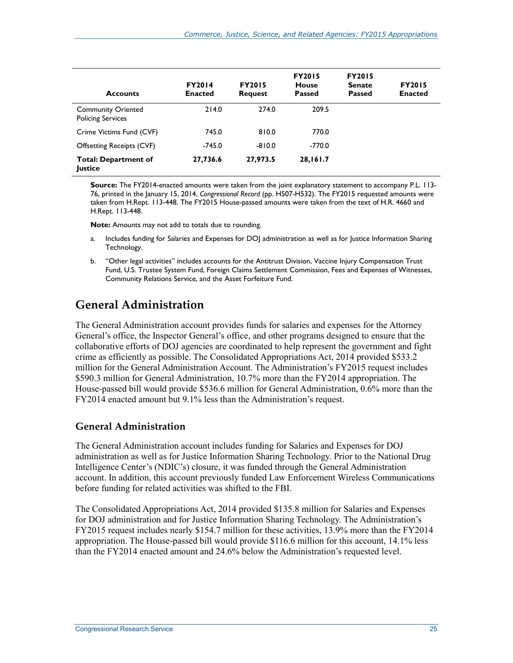| <b>Accounts</b>                                       | <b>FY2014</b><br><b>Enacted</b> | <b>FY2015</b><br><b>Request</b> | <b>FY2015</b><br><b>House</b><br><b>Passed</b> | <b>FY2015</b><br><b>Senate</b><br><b>Passed</b> | <b>FY2015</b><br><b>Enacted</b> |
|-------------------------------------------------------|---------------------------------|---------------------------------|------------------------------------------------|-------------------------------------------------|---------------------------------|
| <b>Community Oriented</b><br><b>Policing Services</b> | 214.0                           | 274.0                           | 209.5                                          |                                                 |                                 |
| Crime Victims Fund (CVF)                              | 745.0                           | 810.0                           | 770.0                                          |                                                 |                                 |
| <b>Offsetting Receipts (CVF)</b>                      | $-745.0$                        | $-810.0$                        | $-770.0$                                       |                                                 |                                 |
| <b>Total: Department of</b><br>Justice                | 27,736.6                        | 27,973.5                        | 28,161.7                                       |                                                 |                                 |

**Source:** The FY2014-enacted amounts were taken from the joint explanatory statement to accompany P.L. 113- 76, printed in the January 15, 2014, *Congressional Record* (pp. H507-H532). The FY2015 requested amounts were taken from H.Rept. 113-448. The FY2015 House-passed amounts were taken from the text of H.R. 4660 and H.Rept. 113-448.

**Note:** Amounts may not add to totals due to rounding.

- a. Includes funding for Salaries and Expenses for DOJ administration as well as for Justice Information Sharing Technology.
- b. "Other legal activities" includes accounts for the Antitrust Division, Vaccine Injury Compensation Trust Fund, U.S. Trustee System Fund, Foreign Claims Settlement Commission, Fees and Expenses of Witnesses, Community Relations Service, and the Asset Forfeiture Fund.

#### **General Administration**

The General Administration account provides funds for salaries and expenses for the Attorney General's office, the Inspector General's office, and other programs designed to ensure that the collaborative efforts of DOJ agencies are coordinated to help represent the government and fight crime as efficiently as possible. The Consolidated Appropriations Act, 2014 provided \$533.2 million for the General Administration Account. The Administration's FY2015 request includes \$590.3 million for General Administration, 10.7% more than the FY2014 appropriation. The House-passed bill would provide \$536.6 million for General Administration, 0.6% more than the FY2014 enacted amount but 9.1% less than the Administration's request.

#### **General Administration**

The General Administration account includes funding for Salaries and Expenses for DOJ administration as well as for Justice Information Sharing Technology. Prior to the National Drug Intelligence Center's (NDIC's) closure, it was funded through the General Administration account. In addition, this account previously funded Law Enforcement Wireless Communications before funding for related activities was shifted to the FBI.

The Consolidated Appropriations Act, 2014 provided \$135.8 million for Salaries and Expenses for DOJ administration and for Justice Information Sharing Technology. The Administration's FY2015 request includes nearly \$154.7 million for these activities, 13.9% more than the FY2014 appropriation. The House-passed bill would provide \$116.6 million for this account, 14.1% less than the FY2014 enacted amount and 24.6% below the Administration's requested level.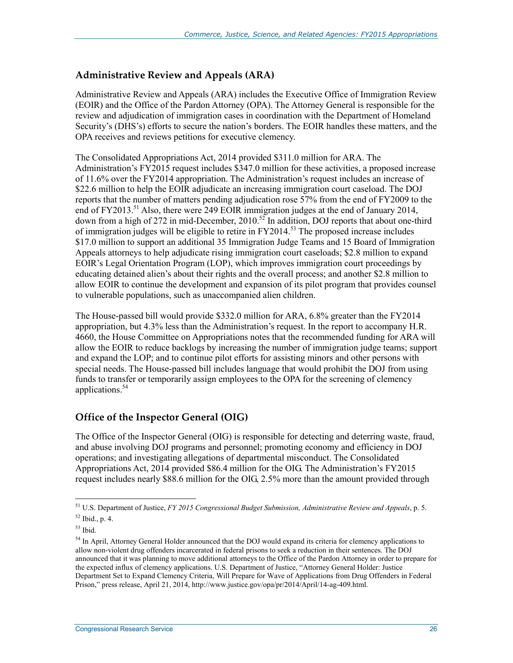#### **Administrative Review and Appeals (ARA)**

Administrative Review and Appeals (ARA) includes the Executive Office of Immigration Review (EOIR) and the Office of the Pardon Attorney (OPA). The Attorney General is responsible for the review and adjudication of immigration cases in coordination with the Department of Homeland Security's (DHS's) efforts to secure the nation's borders. The EOIR handles these matters, and the OPA receives and reviews petitions for executive clemency.

The Consolidated Appropriations Act, 2014 provided \$311.0 million for ARA. The Administration's FY2015 request includes \$347.0 million for these activities, a proposed increase of 11.6% over the FY2014 appropriation. The Administration's request includes an increase of \$22.6 million to help the EOIR adjudicate an increasing immigration court caseload. The DOJ reports that the number of matters pending adjudication rose 57% from the end of FY2009 to the end of FY2013.<sup>51</sup> Also, there were 249 EOIR immigration judges at the end of January 2014, down from a high of 272 in mid-December, 2010.<sup>52</sup> In addition, DOJ reports that about one-third of immigration judges will be eligible to retire in  $FY2014<sup>53</sup>$  The proposed increase includes \$17.0 million to support an additional 35 Immigration Judge Teams and 15 Board of Immigration Appeals attorneys to help adjudicate rising immigration court caseloads; \$2.8 million to expand EOIR's Legal Orientation Program (LOP), which improves immigration court proceedings by educating detained alien's about their rights and the overall process; and another \$2.8 million to allow EOIR to continue the development and expansion of its pilot program that provides counsel to vulnerable populations, such as unaccompanied alien children.

The House-passed bill would provide \$332.0 million for ARA, 6.8% greater than the FY2014 appropriation, but 4.3% less than the Administration's request. In the report to accompany H.R. 4660, the House Committee on Appropriations notes that the recommended funding for ARA will allow the EOIR to reduce backlogs by increasing the number of immigration judge teams; support and expand the LOP; and to continue pilot efforts for assisting minors and other persons with special needs. The House-passed bill includes language that would prohibit the DOJ from using funds to transfer or temporarily assign employees to the OPA for the screening of clemency applications.<sup>54</sup>

#### **Office of the Inspector General (OIG)**

The Office of the Inspector General (OIG) is responsible for detecting and deterring waste, fraud, and abuse involving DOJ programs and personnel; promoting economy and efficiency in DOJ operations; and investigating allegations of departmental misconduct. The Consolidated Appropriations Act, 2014 provided \$86.4 million for the OIG. The Administration's FY2015 request includes nearly \$88.6 million for the OIG, 2.5% more than the amount provided through

<sup>51</sup> U.S. Department of Justice, *FY 2015 Congressional Budget Submission, Administrative Review and Appeals*, p. 5.

<sup>52</sup> Ibid., p. 4.

<sup>53</sup> Ibid.

<sup>&</sup>lt;sup>54</sup> In April, Attorney General Holder announced that the DOJ would expand its criteria for clemency applications to allow non-violent drug offenders incarcerated in federal prisons to seek a reduction in their sentences. The DOJ announced that it was planning to move additional attorneys to the Office of the Pardon Attorney in order to prepare for the expected influx of clemency applications. U.S. Department of Justice, "Attorney General Holder: Justice Department Set to Expand Clemency Criteria, Will Prepare for Wave of Applications from Drug Offenders in Federal Prison," press release, April 21, 2014, http://www.justice.gov/opa/pr/2014/April/14-ag-409.html.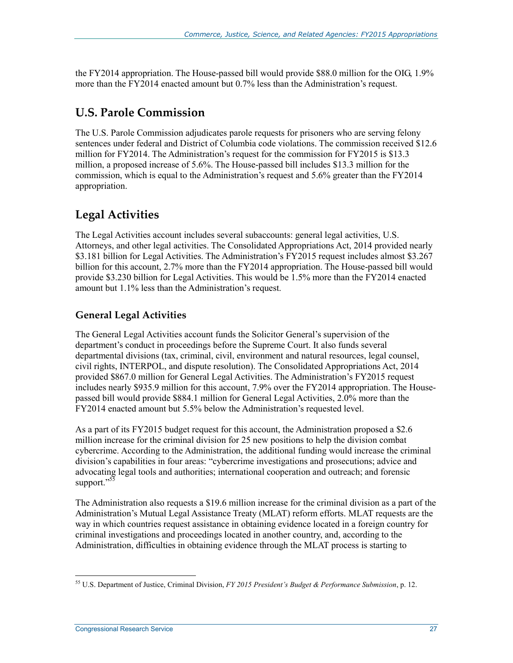the FY2014 appropriation. The House-passed bill would provide \$88.0 million for the OIG, 1.9% more than the FY2014 enacted amount but 0.7% less than the Administration's request.

#### **U.S. Parole Commission**

The U.S. Parole Commission adjudicates parole requests for prisoners who are serving felony sentences under federal and District of Columbia code violations. The commission received \$12.6 million for FY2014. The Administration's request for the commission for FY2015 is \$13.3 million, a proposed increase of 5.6%. The House-passed bill includes \$13.3 million for the commission, which is equal to the Administration's request and 5.6% greater than the FY2014 appropriation.

## **Legal Activities**

The Legal Activities account includes several subaccounts: general legal activities, U.S. Attorneys, and other legal activities. The Consolidated Appropriations Act, 2014 provided nearly \$3.181 billion for Legal Activities. The Administration's FY2015 request includes almost \$3.267 billion for this account, 2.7% more than the FY2014 appropriation. The House-passed bill would provide \$3.230 billion for Legal Activities. This would be 1.5% more than the FY2014 enacted amount but 1.1% less than the Administration's request.

#### **General Legal Activities**

The General Legal Activities account funds the Solicitor General's supervision of the department's conduct in proceedings before the Supreme Court. It also funds several departmental divisions (tax, criminal, civil, environment and natural resources, legal counsel, civil rights, INTERPOL, and dispute resolution). The Consolidated Appropriations Act, 2014 provided \$867.0 million for General Legal Activities. The Administration's FY2015 request includes nearly \$935.9 million for this account, 7.9% over the FY2014 appropriation. The Housepassed bill would provide \$884.1 million for General Legal Activities, 2.0% more than the FY2014 enacted amount but 5.5% below the Administration's requested level.

As a part of its FY2015 budget request for this account, the Administration proposed a \$2.6 million increase for the criminal division for 25 new positions to help the division combat cybercrime. According to the Administration, the additional funding would increase the criminal division's capabilities in four areas: "cybercrime investigations and prosecutions; advice and advocating legal tools and authorities; international cooperation and outreach; and forensic support."<sup>55</sup>

The Administration also requests a \$19.6 million increase for the criminal division as a part of the Administration's Mutual Legal Assistance Treaty (MLAT) reform efforts. MLAT requests are the way in which countries request assistance in obtaining evidence located in a foreign country for criminal investigations and proceedings located in another country, and, according to the Administration, difficulties in obtaining evidence through the MLAT process is starting to

<sup>&</sup>lt;u>.</u> 55 U.S. Department of Justice, Criminal Division, *FY 2015 President's Budget & Performance Submission*, p. 12.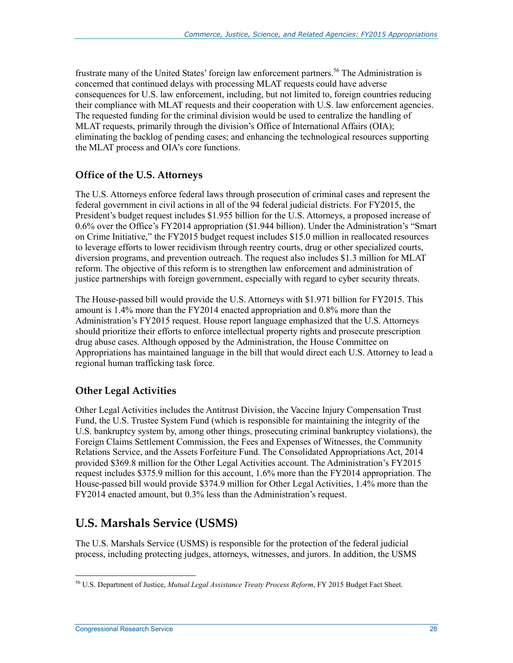frustrate many of the United States' foreign law enforcement partners.<sup>56</sup> The Administration is concerned that continued delays with processing MLAT requests could have adverse consequences for U.S. law enforcement, including, but not limited to, foreign countries reducing their compliance with MLAT requests and their cooperation with U.S. law enforcement agencies. The requested funding for the criminal division would be used to centralize the handling of MLAT requests, primarily through the division's Office of International Affairs (OIA); eliminating the backlog of pending cases; and enhancing the technological resources supporting the MLAT process and OIA's core functions.

#### **Office of the U.S. Attorneys**

The U.S. Attorneys enforce federal laws through prosecution of criminal cases and represent the federal government in civil actions in all of the 94 federal judicial districts. For FY2015, the President's budget request includes \$1.955 billion for the U.S. Attorneys, a proposed increase of 0.6% over the Office's FY2014 appropriation (\$1.944 billion). Under the Administration's "Smart on Crime Initiative," the FY2015 budget request includes \$15.0 million in reallocated resources to leverage efforts to lower recidivism through reentry courts, drug or other specialized courts, diversion programs, and prevention outreach. The request also includes \$1.3 million for MLAT reform. The objective of this reform is to strengthen law enforcement and administration of justice partnerships with foreign government, especially with regard to cyber security threats.

The House-passed bill would provide the U.S. Attorneys with \$1.971 billion for FY2015. This amount is 1.4% more than the FY2014 enacted appropriation and 0.8% more than the Administration's FY2015 request. House report language emphasized that the U.S. Attorneys should prioritize their efforts to enforce intellectual property rights and prosecute prescription drug abuse cases. Although opposed by the Administration, the House Committee on Appropriations has maintained language in the bill that would direct each U.S. Attorney to lead a regional human trafficking task force.

#### **Other Legal Activities**

Other Legal Activities includes the Antitrust Division, the Vaccine Injury Compensation Trust Fund, the U.S. Trustee System Fund (which is responsible for maintaining the integrity of the U.S. bankruptcy system by, among other things, prosecuting criminal bankruptcy violations), the Foreign Claims Settlement Commission, the Fees and Expenses of Witnesses, the Community Relations Service, and the Assets Forfeiture Fund. The Consolidated Appropriations Act, 2014 provided \$369.8 million for the Other Legal Activities account. The Administration's FY2015 request includes \$375.9 million for this account, 1.6% more than the FY2014 appropriation. The House-passed bill would provide \$374.9 million for Other Legal Activities, 1.4% more than the FY2014 enacted amount, but 0.3% less than the Administration's request.

## **U.S. Marshals Service (USMS)**

The U.S. Marshals Service (USMS) is responsible for the protection of the federal judicial process, including protecting judges, attorneys, witnesses, and jurors. In addition, the USMS

<sup>&</sup>lt;u>.</u> 56 U.S. Department of Justice, *Mutual Legal Assistance Treaty Process Reform*, FY 2015 Budget Fact Sheet.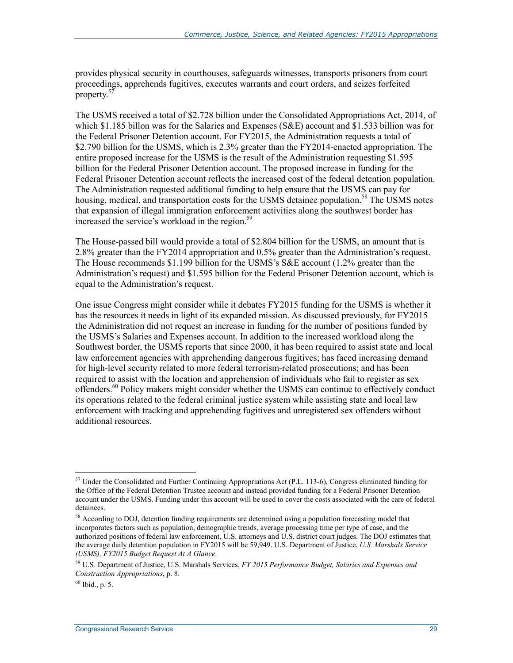provides physical security in courthouses, safeguards witnesses, transports prisoners from court proceedings, apprehends fugitives, executes warrants and court orders, and seizes forfeited property.<sup>57</sup>

The USMS received a total of \$2.728 billion under the Consolidated Appropriations Act, 2014, of which \$1.185 billon was for the Salaries and Expenses (S&E) account and \$1.533 billion was for the Federal Prisoner Detention account. For FY2015, the Administration requests a total of \$2.790 billion for the USMS, which is 2.3% greater than the FY2014-enacted appropriation. The entire proposed increase for the USMS is the result of the Administration requesting \$1.595 billion for the Federal Prisoner Detention account. The proposed increase in funding for the Federal Prisoner Detention account reflects the increased cost of the federal detention population. The Administration requested additional funding to help ensure that the USMS can pay for housing, medical, and transportation costs for the USMS detainee population.<sup>58</sup> The USMS notes that expansion of illegal immigration enforcement activities along the southwest border has increased the service's workload in the region.<sup>59</sup>

The House-passed bill would provide a total of \$2.804 billion for the USMS, an amount that is 2.8% greater than the FY2014 appropriation and 0.5% greater than the Administration's request. The House recommends \$1.199 billion for the USMS's S&E account (1.2% greater than the Administration's request) and \$1.595 billion for the Federal Prisoner Detention account, which is equal to the Administration's request.

One issue Congress might consider while it debates FY2015 funding for the USMS is whether it has the resources it needs in light of its expanded mission. As discussed previously, for FY2015 the Administration did not request an increase in funding for the number of positions funded by the USMS's Salaries and Expenses account. In addition to the increased workload along the Southwest border, the USMS reports that since 2000, it has been required to assist state and local law enforcement agencies with apprehending dangerous fugitives; has faced increasing demand for high-level security related to more federal terrorism-related prosecutions; and has been required to assist with the location and apprehension of individuals who fail to register as sex offenders.60 Policy makers might consider whether the USMS can continue to effectively conduct its operations related to the federal criminal justice system while assisting state and local law enforcement with tracking and apprehending fugitives and unregistered sex offenders without additional resources.

 $57$  Under the Consolidated and Further Continuing Appropriations Act (P.L. 113-6), Congress eliminated funding for the Office of the Federal Detention Trustee account and instead provided funding for a Federal Prisoner Detention account under the USMS. Funding under this account will be used to cover the costs associated with the care of federal detainees.

<sup>58</sup> According to DOJ, detention funding requirements are determined using a population forecasting model that incorporates factors such as population, demographic trends, average processing time per type of case, and the authorized positions of federal law enforcement, U.S. attorneys and U.S. district court judges. The DOJ estimates that the average daily detention population in FY2015 will be 59,949. U.S. Department of Justice, *U.S. Marshals Service (USMS), FY2015 Budget Request At A Glance*.

<sup>59</sup> U.S. Department of Justice, U.S. Marshals Services, *FY 2015 Performance Budget, Salaries and Expenses and Construction Appropriations*, p. 8.

 $60$  Ibid., p. 5.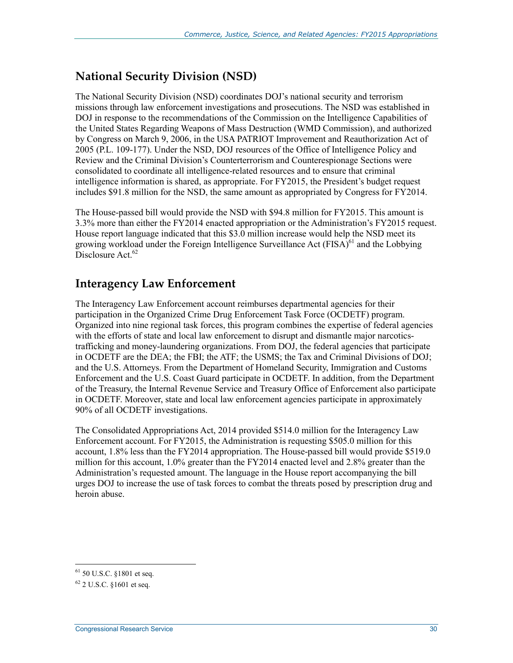## **National Security Division (NSD)**

The National Security Division (NSD) coordinates DOJ's national security and terrorism missions through law enforcement investigations and prosecutions. The NSD was established in DOJ in response to the recommendations of the Commission on the Intelligence Capabilities of the United States Regarding Weapons of Mass Destruction (WMD Commission), and authorized by Congress on March 9, 2006, in the USA PATRIOT Improvement and Reauthorization Act of 2005 (P.L. 109-177). Under the NSD, DOJ resources of the Office of Intelligence Policy and Review and the Criminal Division's Counterterrorism and Counterespionage Sections were consolidated to coordinate all intelligence-related resources and to ensure that criminal intelligence information is shared, as appropriate. For FY2015, the President's budget request includes \$91.8 million for the NSD, the same amount as appropriated by Congress for FY2014.

The House-passed bill would provide the NSD with \$94.8 million for FY2015. This amount is 3.3% more than either the FY2014 enacted appropriation or the Administration's FY2015 request. House report language indicated that this \$3.0 million increase would help the NSD meet its growing workload under the Foreign Intelligence Surveillance Act  $(FISA)^{61}$  and the Lobbying Disclosure Act  $62$ 

#### **Interagency Law Enforcement**

The Interagency Law Enforcement account reimburses departmental agencies for their participation in the Organized Crime Drug Enforcement Task Force (OCDETF) program. Organized into nine regional task forces, this program combines the expertise of federal agencies with the efforts of state and local law enforcement to disrupt and dismantle major narcoticstrafficking and money-laundering organizations. From DOJ, the federal agencies that participate in OCDETF are the DEA; the FBI; the ATF; the USMS; the Tax and Criminal Divisions of DOJ; and the U.S. Attorneys. From the Department of Homeland Security, Immigration and Customs Enforcement and the U.S. Coast Guard participate in OCDETF. In addition, from the Department of the Treasury, the Internal Revenue Service and Treasury Office of Enforcement also participate in OCDETF. Moreover, state and local law enforcement agencies participate in approximately 90% of all OCDETF investigations.

The Consolidated Appropriations Act, 2014 provided \$514.0 million for the Interagency Law Enforcement account. For FY2015, the Administration is requesting \$505.0 million for this account, 1.8% less than the FY2014 appropriation. The House-passed bill would provide \$519.0 million for this account, 1.0% greater than the FY2014 enacted level and 2.8% greater than the Administration's requested amount. The language in the House report accompanying the bill urges DOJ to increase the use of task forces to combat the threats posed by prescription drug and heroin abuse.

 $61$  50 U.S.C. §1801 et seq.

<sup>62 2</sup> U.S.C. §1601 et seq.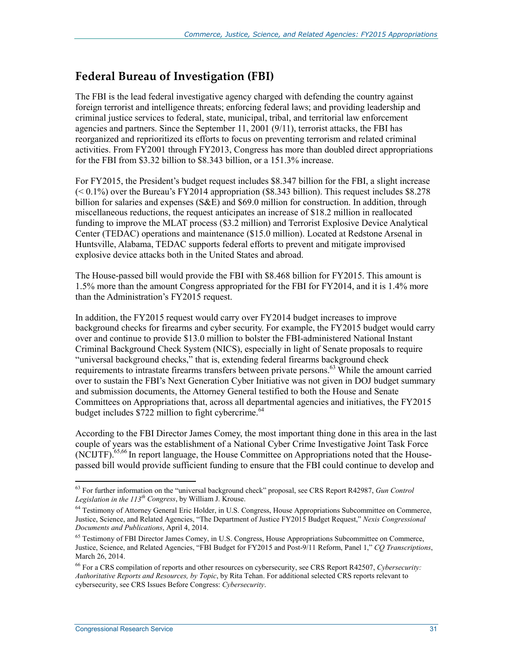### **Federal Bureau of Investigation (FBI)**

The FBI is the lead federal investigative agency charged with defending the country against foreign terrorist and intelligence threats; enforcing federal laws; and providing leadership and criminal justice services to federal, state, municipal, tribal, and territorial law enforcement agencies and partners. Since the September 11, 2001 (9/11), terrorist attacks, the FBI has reorganized and reprioritized its efforts to focus on preventing terrorism and related criminal activities. From FY2001 through FY2013, Congress has more than doubled direct appropriations for the FBI from \$3.32 billion to \$8.343 billion, or a 151.3% increase.

For FY2015, the President's budget request includes \$8.347 billion for the FBI, a slight increase  $( $0.1\%$ ) over the Bureau's FY2014 approximation (§8.343 billion). This request includes $8.278$ billion for salaries and expenses (S&E) and \$69.0 million for construction. In addition, through miscellaneous reductions, the request anticipates an increase of \$18.2 million in reallocated funding to improve the MLAT process (\$3.2 million) and Terrorist Explosive Device Analytical Center (TEDAC) operations and maintenance (\$15.0 million). Located at Redstone Arsenal in Huntsville, Alabama, TEDAC supports federal efforts to prevent and mitigate improvised explosive device attacks both in the United States and abroad.

The House-passed bill would provide the FBI with \$8.468 billion for FY2015. This amount is 1.5% more than the amount Congress appropriated for the FBI for FY2014, and it is 1.4% more than the Administration's FY2015 request.

In addition, the FY2015 request would carry over FY2014 budget increases to improve background checks for firearms and cyber security. For example, the FY2015 budget would carry over and continue to provide \$13.0 million to bolster the FBI-administered National Instant Criminal Background Check System (NICS), especially in light of Senate proposals to require "universal background checks," that is, extending federal firearms background check requirements to intrastate firearms transfers between private persons.<sup>63</sup> While the amount carried over to sustain the FBI's Next Generation Cyber Initiative was not given in DOJ budget summary and submission documents, the Attorney General testified to both the House and Senate Committees on Appropriations that, across all departmental agencies and initiatives, the FY2015 budget includes  $\hat{\bar{\mathbf{y}}}_{722}$  million to fight cybercrime.<sup>64</sup>

According to the FBI Director James Comey, the most important thing done in this area in the last couple of years was the establishment of a National Cyber Crime Investigative Joint Task Force (NCIJTF).<sup>65,66</sup> In report language, the House Committee on Appropriations noted that the Housepassed bill would provide sufficient funding to ensure that the FBI could continue to develop and

<sup>&</sup>lt;u>.</u> 63 For further information on the "universal background check" proposal, see CRS Report R42987, *Gun Control Legislation in the 113th Congress*, by William J. Krouse.

<sup>&</sup>lt;sup>64</sup> Testimony of Attorney General Eric Holder, in U.S. Congress, House Appropriations Subcommittee on Commerce, Justice, Science, and Related Agencies, "The Department of Justice FY2015 Budget Request," *Nexis Congressional Documents and Publications*, April 4, 2014.

<sup>&</sup>lt;sup>65</sup> Testimony of FBI Director James Comey, in U.S. Congress, House Appropriations Subcommittee on Commerce, Justice, Science, and Related Agencies, "FBI Budget for FY2015 and Post-9/11 Reform, Panel 1," *CQ Transcriptions*, March 26, 2014.

<sup>66</sup> For a CRS compilation of reports and other resources on cybersecurity, see CRS Report R42507, *Cybersecurity: Authoritative Reports and Resources, by Topic*, by Rita Tehan. For additional selected CRS reports relevant to cybersecurity, see CRS Issues Before Congress: *Cybersecurity*.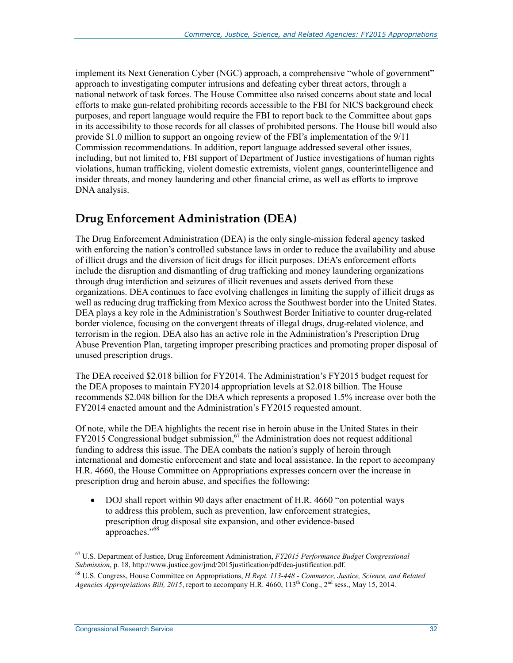implement its Next Generation Cyber (NGC) approach, a comprehensive "whole of government" approach to investigating computer intrusions and defeating cyber threat actors, through a national network of task forces. The House Committee also raised concerns about state and local efforts to make gun-related prohibiting records accessible to the FBI for NICS background check purposes, and report language would require the FBI to report back to the Committee about gaps in its accessibility to those records for all classes of prohibited persons. The House bill would also provide \$1.0 million to support an ongoing review of the FBI's implementation of the 9/11 Commission recommendations. In addition, report language addressed several other issues, including, but not limited to, FBI support of Department of Justice investigations of human rights violations, human trafficking, violent domestic extremists, violent gangs, counterintelligence and insider threats, and money laundering and other financial crime, as well as efforts to improve DNA analysis.

### **Drug Enforcement Administration (DEA)**

The Drug Enforcement Administration (DEA) is the only single-mission federal agency tasked with enforcing the nation's controlled substance laws in order to reduce the availability and abuse of illicit drugs and the diversion of licit drugs for illicit purposes. DEA's enforcement efforts include the disruption and dismantling of drug trafficking and money laundering organizations through drug interdiction and seizures of illicit revenues and assets derived from these organizations. DEA continues to face evolving challenges in limiting the supply of illicit drugs as well as reducing drug trafficking from Mexico across the Southwest border into the United States. DEA plays a key role in the Administration's Southwest Border Initiative to counter drug-related border violence, focusing on the convergent threats of illegal drugs, drug-related violence, and terrorism in the region. DEA also has an active role in the Administration's Prescription Drug Abuse Prevention Plan, targeting improper prescribing practices and promoting proper disposal of unused prescription drugs.

The DEA received \$2.018 billion for FY2014. The Administration's FY2015 budget request for the DEA proposes to maintain FY2014 appropriation levels at \$2.018 billion. The House recommends \$2.048 billion for the DEA which represents a proposed 1.5% increase over both the FY2014 enacted amount and the Administration's FY2015 requested amount.

Of note, while the DEA highlights the recent rise in heroin abuse in the United States in their  $FY2015$  Congressional budget submission,<sup>67</sup> the Administration does not request additional funding to address this issue. The DEA combats the nation's supply of heroin through international and domestic enforcement and state and local assistance. In the report to accompany H.R. 4660, the House Committee on Appropriations expresses concern over the increase in prescription drug and heroin abuse, and specifies the following:

• DOJ shall report within 90 days after enactment of H.R. 4660 "on potential ways to address this problem, such as prevention, law enforcement strategies, prescription drug disposal site expansion, and other evidence-based approaches."<sup>68</sup>

<sup>67</sup> U.S. Department of Justice, Drug Enforcement Administration, *FY2015 Performance Budget Congressional Submission*, p. 18, http://www.justice.gov/jmd/2015justification/pdf/dea-justification.pdf.

<sup>68</sup> U.S. Congress, House Committee on Appropriations, *H.Rept. 113-448 - Commerce, Justice, Science, and Related Agencies Appropriations Bill, 2015*, report to accompany H.R. 4660, 113<sup>th</sup> Cong., 2<sup>nd</sup> sess., May 15, 2014.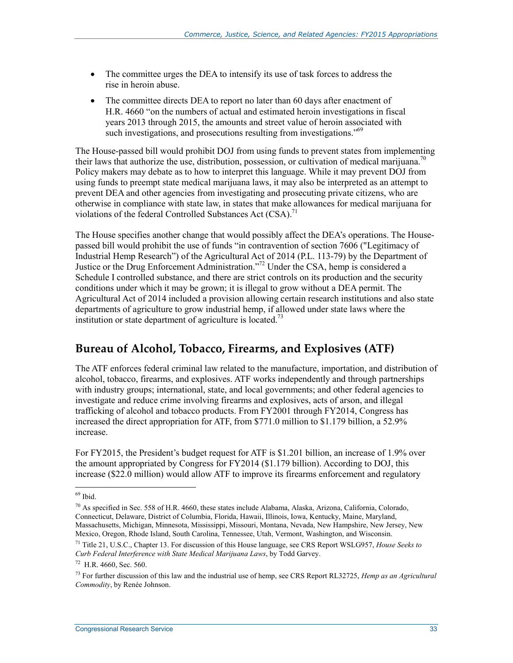- The committee urges the DEA to intensify its use of task forces to address the rise in heroin abuse.
- The committee directs DEA to report no later than 60 days after enactment of H.R. 4660 "on the numbers of actual and estimated heroin investigations in fiscal years 2013 through 2015, the amounts and street value of heroin associated with such investigations, and prosecutions resulting from investigations.<sup>569</sup>

The House-passed bill would prohibit DOJ from using funds to prevent states from implementing their laws that authorize the use, distribution, possession, or cultivation of medical marijuana.<sup>70</sup> Policy makers may debate as to how to interpret this language. While it may prevent DOJ from using funds to preempt state medical marijuana laws, it may also be interpreted as an attempt to prevent DEA and other agencies from investigating and prosecuting private citizens, who are otherwise in compliance with state law, in states that make allowances for medical marijuana for violations of the federal Controlled Substances Act  $(CSA)$ .<sup>71</sup>

The House specifies another change that would possibly affect the DEA's operations. The Housepassed bill would prohibit the use of funds "in contravention of section 7606 ("Legitimacy of Industrial Hemp Research") of the Agricultural Act of 2014 (P.L. 113-79) by the Department of Justice or the Drug Enforcement Administration."72 Under the CSA, hemp is considered a Schedule I controlled substance, and there are strict controls on its production and the security conditions under which it may be grown; it is illegal to grow without a DEA permit. The Agricultural Act of 2014 included a provision allowing certain research institutions and also state departments of agriculture to grow industrial hemp, if allowed under state laws where the institution or state department of agriculture is located.<sup>73</sup>

### **Bureau of Alcohol, Tobacco, Firearms, and Explosives (ATF)**

The ATF enforces federal criminal law related to the manufacture, importation, and distribution of alcohol, tobacco, firearms, and explosives. ATF works independently and through partnerships with industry groups; international, state, and local governments; and other federal agencies to investigate and reduce crime involving firearms and explosives, acts of arson, and illegal trafficking of alcohol and tobacco products. From FY2001 through FY2014, Congress has increased the direct appropriation for ATF, from \$771.0 million to \$1.179 billion, a 52.9% increase.

For FY2015, the President's budget request for ATF is \$1.201 billion, an increase of 1.9% over the amount appropriated by Congress for FY2014 (\$1.179 billion). According to DOJ, this increase (\$22.0 million) would allow ATF to improve its firearms enforcement and regulatory

<sup>69</sup> Ibid.

<sup>70</sup> As specified in Sec. 558 of H.R. 4660, these states include Alabama, Alaska, Arizona, California, Colorado, Connecticut, Delaware, District of Columbia, Florida, Hawaii, Illinois, Iowa, Kentucky, Maine, Maryland, Massachusetts, Michigan, Minnesota, Mississippi, Missouri, Montana, Nevada, New Hampshire, New Jersey, New Mexico, Oregon, Rhode Island, South Carolina, Tennessee, Utah, Vermont, Washington, and Wisconsin.

<sup>71</sup> Title 21, U.S.C., Chapter 13. For discussion of this House language, see CRS Report WSLG957, *House Seeks to Curb Federal Interference with State Medical Marijuana Laws*, by Todd Garvey.

<sup>72</sup> H.R. 4660, Sec. 560.

<sup>73</sup> For further discussion of this law and the industrial use of hemp, see CRS Report RL32725, *Hemp as an Agricultural Commodity*, by Renée Johnson.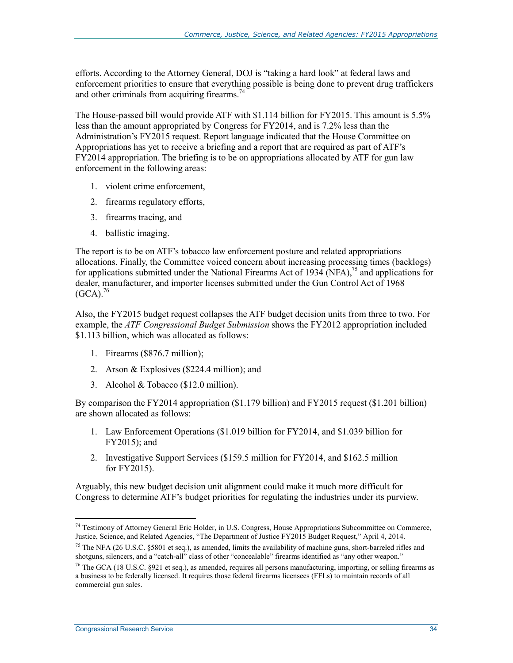efforts. According to the Attorney General, DOJ is "taking a hard look" at federal laws and enforcement priorities to ensure that everything possible is being done to prevent drug traffickers and other criminals from acquiring firearms.<sup>74</sup>

The House-passed bill would provide ATF with \$1.114 billion for FY2015. This amount is 5.5% less than the amount appropriated by Congress for FY2014, and is 7.2% less than the Administration's FY2015 request. Report language indicated that the House Committee on Appropriations has yet to receive a briefing and a report that are required as part of ATF's FY2014 appropriation. The briefing is to be on appropriations allocated by ATF for gun law enforcement in the following areas:

- 1. violent crime enforcement,
- 2. firearms regulatory efforts,
- 3. firearms tracing, and
- 4. ballistic imaging.

The report is to be on ATF's tobacco law enforcement posture and related appropriations allocations. Finally, the Committee voiced concern about increasing processing times (backlogs) for applications submitted under the National Firearms Act of 1934 (NFA),<sup>75</sup> and applications for dealer, manufacturer, and importer licenses submitted under the Gun Control Act of 1968  $(GCA).^{76}$ 

Also, the FY2015 budget request collapses the ATF budget decision units from three to two. For example, the *ATF Congressional Budget Submission* shows the FY2012 appropriation included \$1.113 billion, which was allocated as follows:

- 1. Firearms (\$876.7 million);
- 2. Arson & Explosives (\$224.4 million); and
- 3. Alcohol & Tobacco (\$12.0 million).

By comparison the FY2014 appropriation (\$1.179 billion) and FY2015 request (\$1.201 billion) are shown allocated as follows:

- 1. Law Enforcement Operations (\$1.019 billion for FY2014, and \$1.039 billion for FY2015); and
- 2. Investigative Support Services (\$159.5 million for FY2014, and \$162.5 million for FY2015).

Arguably, this new budget decision unit alignment could make it much more difficult for Congress to determine ATF's budget priorities for regulating the industries under its purview.

<sup>1</sup> <sup>74</sup> Testimony of Attorney General Eric Holder, in U.S. Congress, House Appropriations Subcommittee on Commerce, Justice, Science, and Related Agencies, "The Department of Justice FY2015 Budget Request," April 4, 2014.

<sup>&</sup>lt;sup>75</sup> The NFA (26 U.S.C. §5801 et seq.), as amended, limits the availability of machine guns, short-barreled rifles and shotguns, silencers, and a "catch-all" class of other "concealable" firearms identified as "any other weapon."

<sup>76</sup> The GCA (18 U.S.C. §921 et seq.), as amended, requires all persons manufacturing, importing, or selling firearms as a business to be federally licensed. It requires those federal firearms licensees (FFLs) to maintain records of all commercial gun sales.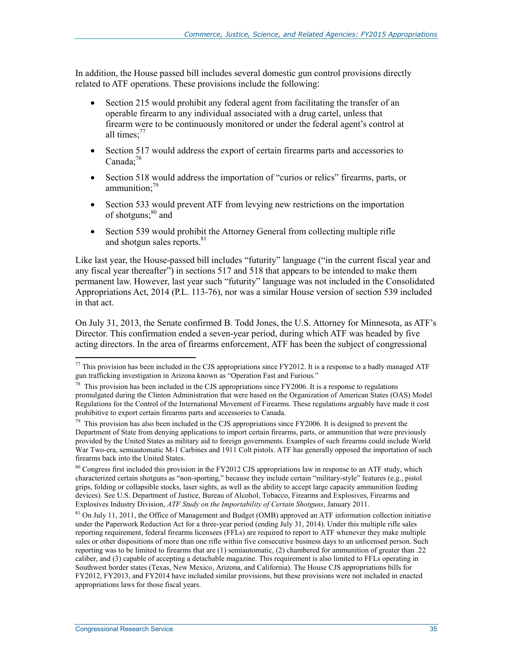In addition, the House passed bill includes several domestic gun control provisions directly related to ATF operations. These provisions include the following:

- Section 215 would prohibit any federal agent from facilitating the transfer of an operable firearm to any individual associated with a drug cartel, unless that firearm were to be continuously monitored or under the federal agent's control at all times; $^{77}$
- Section 517 would address the export of certain firearms parts and accessories to Canada: $^{78}$
- Section 518 would address the importation of "curios or relics" firearms, parts, or ammunition;<sup>79</sup>
- Section 533 would prevent ATF from levying new restrictions on the importation of shotguns;<sup>80</sup> and
- Section 539 would prohibit the Attorney General from collecting multiple rifle and shotgun sales reports.<sup>81</sup>

Like last year, the House-passed bill includes "futurity" language ("in the current fiscal year and any fiscal year thereafter") in sections 517 and 518 that appears to be intended to make them permanent law. However, last year such "futurity" language was not included in the Consolidated Appropriations Act, 2014 (P.L. 113-76), nor was a similar House version of section 539 included in that act.

On July 31, 2013, the Senate confirmed B. Todd Jones, the U.S. Attorney for Minnesota, as ATF's Director. This confirmation ended a seven-year period, during which ATF was headed by five acting directors. In the area of firearms enforcement, ATF has been the subject of congressional

 $77$  This provision has been included in the CJS appropriations since FY2012. It is a response to a badly managed ATF gun trafficking investigation in Arizona known as "Operation Fast and Furious."

<sup>78</sup> This provision has been included in the CJS appropriations since FY2006. It is a response to regulations promulgated during the Clinton Administration that were based on the Organization of American States (OAS) Model Regulations for the Control of the International Movement of Firearms. These regulations arguably have made it cost prohibitive to export certain firearms parts and accessories to Canada.

 $79$  This provision has also been included in the CJS appropriations since FY2006. It is designed to prevent the Department of State from denying applications to import certain firearms, parts, or ammunition that were previously provided by the United States as military aid to foreign governments. Examples of such firearms could include World War Two-era, semiautomatic M-1 Carbines and 1911 Colt pistols. ATF has generally opposed the importation of such firearms back into the United States.

<sup>&</sup>lt;sup>80</sup> Congress first included this provision in the FY2012 CJS appropriations law in response to an ATF study, which characterized certain shotguns as "non-sporting," because they include certain "military-style" features (e.g., pistol grips, folding or collapsible stocks, laser sights, as well as the ability to accept large capacity ammunition feeding devices). See U.S. Department of Justice, Bureau of Alcohol, Tobacco, Firearms and Explosives, Firearms and Explosives Industry Division, *ATF Study on the Importability of Certain Shotguns*, January 2011.

 $81$  On July 11, 2011, the Office of Management and Budget (OMB) approved an ATF information collection initiative under the Paperwork Reduction Act for a three-year period (ending July 31, 2014). Under this multiple rifle sales reporting requirement, federal firearms licensees (FFLs) are required to report to ATF whenever they make multiple sales or other dispositions of more than one rifle within five consecutive business days to an unlicensed person. Such reporting was to be limited to firearms that are (1) semiautomatic, (2) chambered for ammunition of greater than .22 caliber, and (3) capable of accepting a detachable magazine. This requirement is also limited to FFLs operating in Southwest border states (Texas, New Mexico, Arizona, and California). The House CJS appropriations bills for FY2012, FY2013, and FY2014 have included similar provisions, but these provisions were not included in enacted appropriations laws for those fiscal years.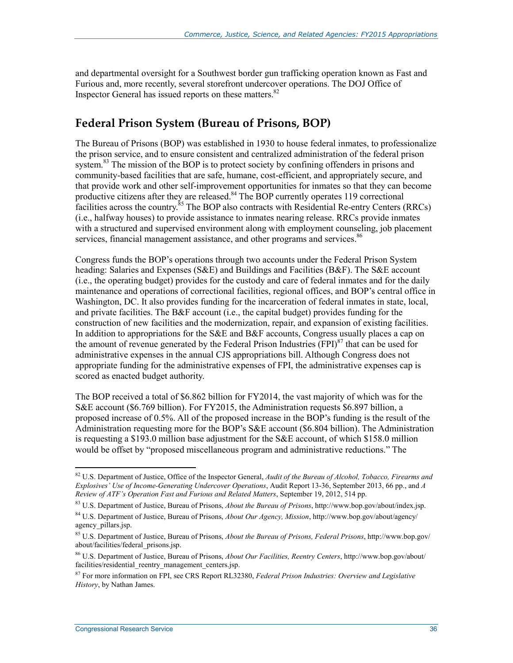and departmental oversight for a Southwest border gun trafficking operation known as Fast and Furious and, more recently, several storefront undercover operations. The DOJ Office of Inspector General has issued reports on these matters.<sup>82</sup>

### **Federal Prison System (Bureau of Prisons, BOP)**

The Bureau of Prisons (BOP) was established in 1930 to house federal inmates, to professionalize the prison service, and to ensure consistent and centralized administration of the federal prison system.<sup>83</sup> The mission of the BOP is to protect society by confining offenders in prisons and community-based facilities that are safe, humane, cost-efficient, and appropriately secure, and that provide work and other self-improvement opportunities for inmates so that they can become productive citizens after they are released.<sup>84</sup> The BOP currently operates 119 correctional facilities across the country.<sup>85</sup> The BOP also contracts with Residential Re-entry Centers (RRCs) (i.e., halfway houses) to provide assistance to inmates nearing release. RRCs provide inmates with a structured and supervised environment along with employment counseling, job placement services, financial management assistance, and other programs and services.<sup>86</sup>

Congress funds the BOP's operations through two accounts under the Federal Prison System heading: Salaries and Expenses (S&E) and Buildings and Facilities (B&F). The S&E account (i.e., the operating budget) provides for the custody and care of federal inmates and for the daily maintenance and operations of correctional facilities, regional offices, and BOP's central office in Washington, DC. It also provides funding for the incarceration of federal inmates in state, local, and private facilities. The B&F account (i.e., the capital budget) provides funding for the construction of new facilities and the modernization, repair, and expansion of existing facilities. In addition to appropriations for the S&E and B&F accounts, Congress usually places a cap on the amount of revenue generated by the Federal Prison Industries  $(FPI)^{87}$  that can be used for administrative expenses in the annual CJS appropriations bill. Although Congress does not appropriate funding for the administrative expenses of FPI, the administrative expenses cap is scored as enacted budget authority.

The BOP received a total of \$6.862 billion for FY2014, the vast majority of which was for the S&E account (\$6.769 billion). For FY2015, the Administration requests \$6.897 billion, a proposed increase of 0.5%. All of the proposed increase in the BOP's funding is the result of the Administration requesting more for the BOP's S&E account (\$6.804 billion). The Administration is requesting a \$193.0 million base adjustment for the S&E account, of which \$158.0 million would be offset by "proposed miscellaneous program and administrative reductions." The

<sup>82</sup> U.S. Department of Justice, Office of the Inspector General, *Audit of the Bureau of Alcohol, Tobacco, Firearms and Explosives' Use of Income-Generating Undercover Operations*, Audit Report 13-36, September 2013, 66 pp., and *A Review of ATF's Operation Fast and Furious and Related Matters*, September 19, 2012, 514 pp.

<sup>83</sup> U.S. Department of Justice, Bureau of Prisons, *About the Bureau of Prisons*, http://www.bop.gov/about/index.jsp.

<sup>84</sup> U.S. Department of Justice, Bureau of Prisons, *About Our Agency, Mission*, http://www.bop.gov/about/agency/ agency pillars.jsp.

<sup>85</sup> U.S. Department of Justice, Bureau of Prisons, *About the Bureau of Prisons, Federal Prisons*, http://www.bop.gov/ about/facilities/federal\_prisons.jsp.

<sup>86</sup> U.S. Department of Justice, Bureau of Prisons, *About Our Facilities, Reentry Centers*, http://www.bop.gov/about/ facilities/residential\_reentry\_management\_centers.jsp.

<sup>87</sup> For more information on FPI, see CRS Report RL32380, *Federal Prison Industries: Overview and Legislative History*, by Nathan James.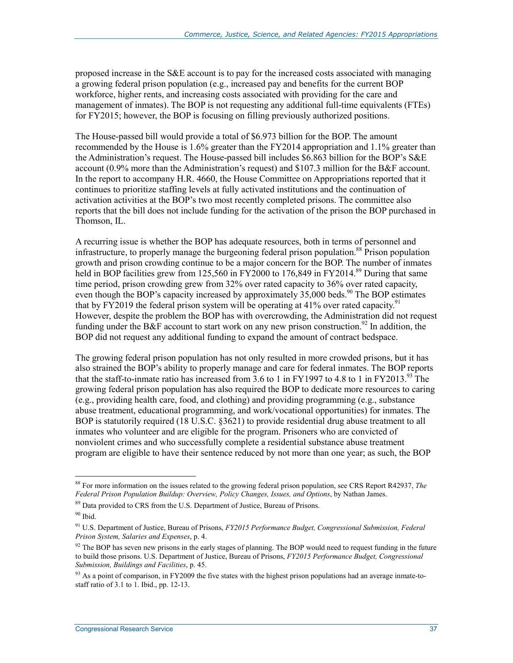proposed increase in the S&E account is to pay for the increased costs associated with managing a growing federal prison population (e.g., increased pay and benefits for the current BOP workforce, higher rents, and increasing costs associated with providing for the care and management of inmates). The BOP is not requesting any additional full-time equivalents (FTEs) for FY2015; however, the BOP is focusing on filling previously authorized positions.

The House-passed bill would provide a total of \$6.973 billion for the BOP. The amount recommended by the House is 1.6% greater than the FY2014 appropriation and 1.1% greater than the Administration's request. The House-passed bill includes \$6.863 billion for the BOP's S&E account (0.9% more than the Administration's request) and \$107.3 million for the B&F account. In the report to accompany H.R. 4660, the House Committee on Appropriations reported that it continues to prioritize staffing levels at fully activated institutions and the continuation of activation activities at the BOP's two most recently completed prisons. The committee also reports that the bill does not include funding for the activation of the prison the BOP purchased in Thomson, IL.

A recurring issue is whether the BOP has adequate resources, both in terms of personnel and infrastructure, to properly manage the burgeoning federal prison population.<sup>88</sup> Prison population growth and prison crowding continue to be a major concern for the BOP. The number of inmates held in BOP facilities grew from 125,560 in FY2000 to 176,849 in FY2014.<sup>89</sup> During that same time period, prison crowding grew from 32% over rated capacity to 36% over rated capacity, even though the BOP's capacity increased by approximately  $35,000$  beds.<sup>90</sup> The BOP estimates that by FY2019 the federal prison system will be operating at 41% over rated capacity.<sup>91</sup> However, despite the problem the BOP has with overcrowding, the Administration did not request funding under the B&F account to start work on any new prison construction.<sup>92</sup> In addition, the BOP did not request any additional funding to expand the amount of contract bedspace.

The growing federal prison population has not only resulted in more crowded prisons, but it has also strained the BOP's ability to properly manage and care for federal inmates. The BOP reports that the staff-to-inmate ratio has increased from 3.6 to 1 in FY1997 to 4.8 to 1 in FY2013.<sup>93</sup> The growing federal prison population has also required the BOP to dedicate more resources to caring (e.g., providing health care, food, and clothing) and providing programming (e.g., substance abuse treatment, educational programming, and work/vocational opportunities) for inmates. The BOP is statutorily required (18 U.S.C. §3621) to provide residential drug abuse treatment to all inmates who volunteer and are eligible for the program. Prisoners who are convicted of nonviolent crimes and who successfully complete a residential substance abuse treatment program are eligible to have their sentence reduced by not more than one year; as such, the BOP

<u>.</u>

<sup>88</sup> For more information on the issues related to the growing federal prison population, see CRS Report R42937, *The Federal Prison Population Buildup: Overview, Policy Changes, Issues, and Options*, by Nathan James.

<sup>&</sup>lt;sup>89</sup> Data provided to CRS from the U.S. Department of Justice, Bureau of Prisons.

<sup>90</sup> Ibid.

<sup>91</sup> U.S. Department of Justice, Bureau of Prisons, *FY2015 Performance Budget, Congressional Submission, Federal Prison System, Salaries and Expenses*, p. 4.

 $92$  The BOP has seven new prisons in the early stages of planning. The BOP would need to request funding in the future to build those prisons. U.S. Department of Justice, Bureau of Prisons, *FY2015 Performance Budget, Congressional Submission, Buildings and Facilities*, p. 45.

<sup>&</sup>lt;sup>93</sup> As a point of comparison, in FY2009 the five states with the highest prison populations had an average inmate-tostaff ratio of 3.1 to 1. Ibid., pp. 12-13.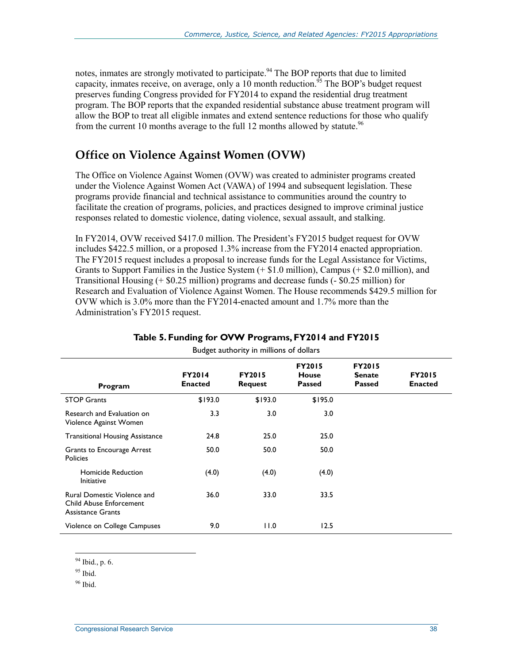notes, inmates are strongly motivated to participate.<sup>94</sup> The BOP reports that due to limited capacity, inmates receive, on average, only a  $10$  month reduction.<sup>95</sup> The BOP's budget request preserves funding Congress provided for FY2014 to expand the residential drug treatment program. The BOP reports that the expanded residential substance abuse treatment program will allow the BOP to treat all eligible inmates and extend sentence reductions for those who qualify from the current 10 months average to the full 12 months allowed by statute.<sup>96</sup>

### **Office on Violence Against Women (OVW)**

The Office on Violence Against Women (OVW) was created to administer programs created under the Violence Against Women Act (VAWA) of 1994 and subsequent legislation. These programs provide financial and technical assistance to communities around the country to facilitate the creation of programs, policies, and practices designed to improve criminal justice responses related to domestic violence, dating violence, sexual assault, and stalking.

In FY2014, OVW received \$417.0 million. The President's FY2015 budget request for OVW includes \$422.5 million, or a proposed 1.3% increase from the FY2014 enacted appropriation. The FY2015 request includes a proposal to increase funds for the Legal Assistance for Victims, Grants to Support Families in the Justice System (+ \$1.0 million), Campus (+ \$2.0 million), and Transitional Housing (+ \$0.25 million) programs and decrease funds (- \$0.25 million) for Research and Evaluation of Violence Against Women. The House recommends \$429.5 million for OVW which is 3.0% more than the FY2014-enacted amount and 1.7% more than the Administration's FY2015 request.

| Budget authority in millions of dollars                                                   |                                 |                          |                                         |                                                 |                                 |  |  |  |
|-------------------------------------------------------------------------------------------|---------------------------------|--------------------------|-----------------------------------------|-------------------------------------------------|---------------------------------|--|--|--|
| Program                                                                                   | <b>FY2014</b><br><b>Enacted</b> | <b>FY2015</b><br>Request | <b>FY2015</b><br>House<br><b>Passed</b> | <b>FY2015</b><br><b>Senate</b><br><b>Passed</b> | <b>FY2015</b><br><b>Enacted</b> |  |  |  |
| <b>STOP Grants</b>                                                                        | \$193.0                         | \$193.0                  | \$195.0                                 |                                                 |                                 |  |  |  |
| Research and Evaluation on<br>Violence Against Women                                      | 3.3                             | 3.0                      | 3.0                                     |                                                 |                                 |  |  |  |
| <b>Transitional Housing Assistance</b>                                                    | 24.8                            | 25.0                     | 25.0                                    |                                                 |                                 |  |  |  |
| Grants to Encourage Arrest<br><b>Policies</b>                                             | 50.0                            | 50.0                     | 50.0                                    |                                                 |                                 |  |  |  |
| Homicide Reduction<br>Initiative                                                          | (4.0)                           | (4.0)                    | (4.0)                                   |                                                 |                                 |  |  |  |
| <b>Rural Domestic Violence and</b><br>Child Abuse Enforcement<br><b>Assistance Grants</b> | 36.0                            | 33.0                     | 33.5                                    |                                                 |                                 |  |  |  |
| Violence on College Campuses                                                              | 9.0                             | 11.0                     | 12.5                                    |                                                 |                                 |  |  |  |

#### **Table 5. Funding for OVW Programs, FY2014 and FY2015**

1 <sup>94</sup> Ibid., p. 6.

 $96$  Ibid.

 $95$  Ibid.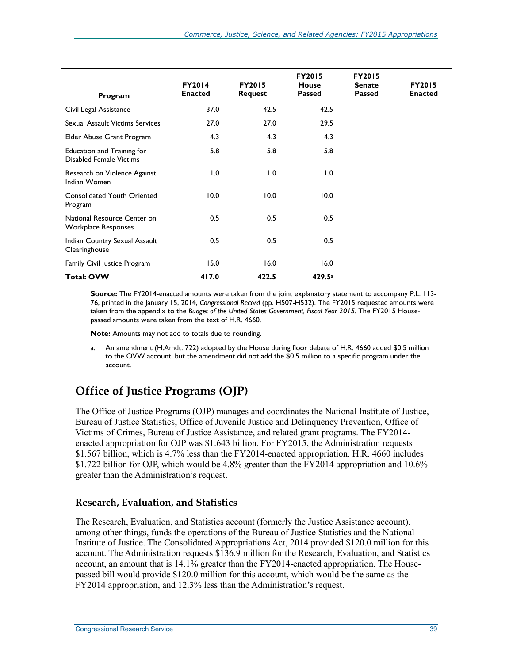| Program                                                      | <b>FY2014</b><br><b>Enacted</b> | <b>FY2015</b><br><b>Request</b> | <b>FY2015</b><br>House<br><b>Passed</b> | <b>FY2015</b><br><b>Senate</b><br><b>Passed</b> | <b>FY2015</b><br><b>Enacted</b> |
|--------------------------------------------------------------|---------------------------------|---------------------------------|-----------------------------------------|-------------------------------------------------|---------------------------------|
| Civil Legal Assistance                                       | 37.0                            | 42.5                            | 42.5                                    |                                                 |                                 |
| Sexual Assault Victims Services                              | 27.0                            | 27.0                            | 29.5                                    |                                                 |                                 |
| Elder Abuse Grant Program                                    | 4.3                             | 4.3                             | 4.3                                     |                                                 |                                 |
| <b>Education and Training for</b><br>Disabled Female Victims | 5.8                             | 5.8                             | 5.8                                     |                                                 |                                 |
| Research on Violence Against<br>Indian Women                 | 1.0                             | 1.0                             | 1.0                                     |                                                 |                                 |
| <b>Consolidated Youth Oriented</b><br>Program                | 10.0                            | 10.0                            | 10.0                                    |                                                 |                                 |
| National Resource Center on<br><b>Workplace Responses</b>    | 0.5                             | 0.5                             | 0.5                                     |                                                 |                                 |
| Indian Country Sexual Assault<br>Clearinghouse               | 0.5                             | 0.5                             | 0.5                                     |                                                 |                                 |
| Family Civil Justice Program                                 | 15.0                            | 16.0                            | 16.0                                    |                                                 |                                 |
| <b>Total: OVW</b>                                            | 417.0                           | 422.5                           | 429.5a                                  |                                                 |                                 |

**Source:** The FY2014-enacted amounts were taken from the joint explanatory statement to accompany P.L. 113- 76, printed in the January 15, 2014, *Congressional Record* (pp. H507-H532). The FY2015 requested amounts were taken from the appendix to the *Budget of the United States Government, Fiscal Year 2015*. The FY2015 Housepassed amounts were taken from the text of H.R. 4660.

**Note:** Amounts may not add to totals due to rounding.

a. An amendment (H.Amdt. 722) adopted by the House during floor debate of H.R. 4660 added \$0.5 million to the OVW account, but the amendment did not add the \$0.5 million to a specific program under the account.

# **Office of Justice Programs (OJP)**

The Office of Justice Programs (OJP) manages and coordinates the National Institute of Justice, Bureau of Justice Statistics, Office of Juvenile Justice and Delinquency Prevention, Office of Victims of Crimes, Bureau of Justice Assistance, and related grant programs. The FY2014 enacted appropriation for OJP was \$1.643 billion. For FY2015, the Administration requests \$1.567 billion, which is 4.7% less than the FY2014-enacted appropriation. H.R. 4660 includes \$1.722 billion for OJP, which would be 4.8% greater than the FY2014 appropriation and 10.6% greater than the Administration's request.

#### **Research, Evaluation, and Statistics**

The Research, Evaluation, and Statistics account (formerly the Justice Assistance account), among other things, funds the operations of the Bureau of Justice Statistics and the National Institute of Justice. The Consolidated Appropriations Act, 2014 provided \$120.0 million for this account. The Administration requests \$136.9 million for the Research, Evaluation, and Statistics account, an amount that is 14.1% greater than the FY2014-enacted appropriation. The Housepassed bill would provide \$120.0 million for this account, which would be the same as the FY2014 appropriation, and 12.3% less than the Administration's request.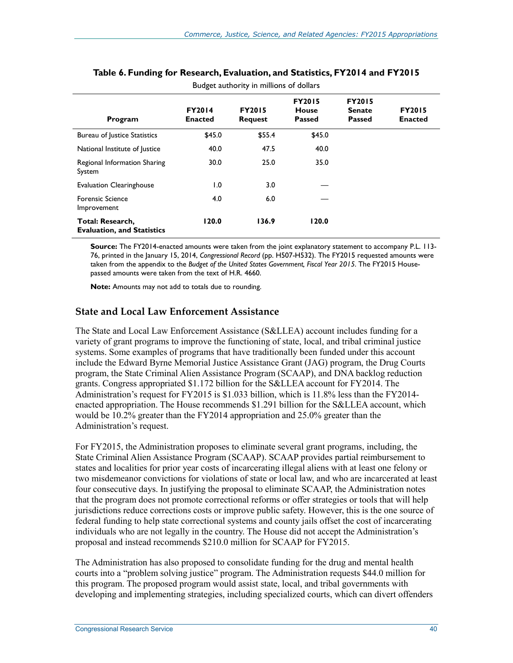| Program                                               | <b>FY2014</b><br><b>Enacted</b> | <b>FY2015</b><br><b>Request</b> | <b>FY2015</b><br>House<br><b>Passed</b> | <b>FY2015</b><br><b>Senate</b><br><b>Passed</b> | <b>FY2015</b><br><b>Enacted</b> |
|-------------------------------------------------------|---------------------------------|---------------------------------|-----------------------------------------|-------------------------------------------------|---------------------------------|
| <b>Bureau of Justice Statistics</b>                   | \$45.0                          | \$55.4                          | \$45.0                                  |                                                 |                                 |
| National Institute of Justice                         | 40.0                            | 47.5                            | 40.0                                    |                                                 |                                 |
| Regional Information Sharing<br>System                | 30.0                            | 25.0                            | 35.0                                    |                                                 |                                 |
| <b>Evaluation Clearinghouse</b>                       | 0. ا                            | 3.0                             |                                         |                                                 |                                 |
| <b>Forensic Science</b><br>Improvement                | 4.0                             | 6.0                             |                                         |                                                 |                                 |
| Total: Research,<br><b>Evaluation, and Statistics</b> | 120.0                           | 136.9                           | 120.0                                   |                                                 |                                 |

#### **Table 6. Funding for Research, Evaluation, and Statistics, FY2014 and FY2015**  Budget authority in millions of dollars

**Source:** The FY2014-enacted amounts were taken from the joint explanatory statement to accompany P.L. 113- 76, printed in the January 15, 2014, *Congressional Record* (pp. H507-H532). The FY2015 requested amounts were taken from the appendix to the *Budget of the United States Government, Fiscal Year 2015*. The FY2015 Housepassed amounts were taken from the text of H.R. 4660.

**Note:** Amounts may not add to totals due to rounding.

#### **State and Local Law Enforcement Assistance**

The State and Local Law Enforcement Assistance (S&LLEA) account includes funding for a variety of grant programs to improve the functioning of state, local, and tribal criminal justice systems. Some examples of programs that have traditionally been funded under this account include the Edward Byrne Memorial Justice Assistance Grant (JAG) program, the Drug Courts program, the State Criminal Alien Assistance Program (SCAAP), and DNA backlog reduction grants. Congress appropriated \$1.172 billion for the S&LLEA account for FY2014. The Administration's request for FY2015 is \$1.033 billion, which is 11.8% less than the FY2014 enacted appropriation. The House recommends \$1.291 billion for the S&LLEA account, which would be 10.2% greater than the FY2014 appropriation and 25.0% greater than the Administration's request.

For FY2015, the Administration proposes to eliminate several grant programs, including, the State Criminal Alien Assistance Program (SCAAP). SCAAP provides partial reimbursement to states and localities for prior year costs of incarcerating illegal aliens with at least one felony or two misdemeanor convictions for violations of state or local law, and who are incarcerated at least four consecutive days. In justifying the proposal to eliminate SCAAP, the Administration notes that the program does not promote correctional reforms or offer strategies or tools that will help jurisdictions reduce corrections costs or improve public safety. However, this is the one source of federal funding to help state correctional systems and county jails offset the cost of incarcerating individuals who are not legally in the country. The House did not accept the Administration's proposal and instead recommends \$210.0 million for SCAAP for FY2015.

The Administration has also proposed to consolidate funding for the drug and mental health courts into a "problem solving justice" program. The Administration requests \$44.0 million for this program. The proposed program would assist state, local, and tribal governments with developing and implementing strategies, including specialized courts, which can divert offenders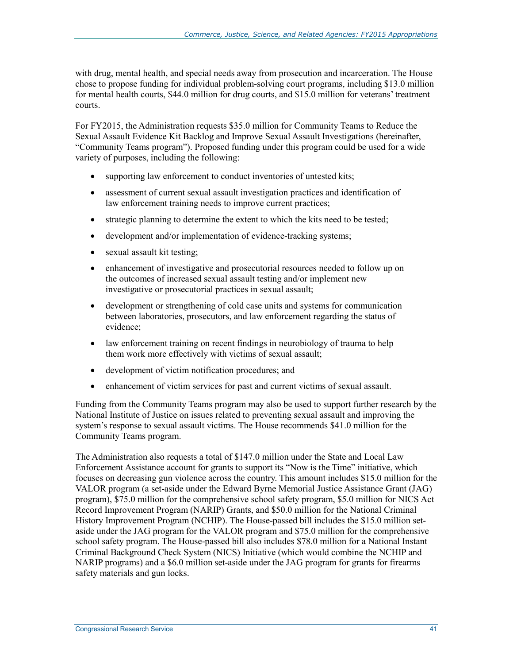with drug, mental health, and special needs away from prosecution and incarceration. The House chose to propose funding for individual problem-solving court programs, including \$13.0 million for mental health courts, \$44.0 million for drug courts, and \$15.0 million for veterans' treatment courts.

For FY2015, the Administration requests \$35.0 million for Community Teams to Reduce the Sexual Assault Evidence Kit Backlog and Improve Sexual Assault Investigations (hereinafter, "Community Teams program"). Proposed funding under this program could be used for a wide variety of purposes, including the following:

- supporting law enforcement to conduct inventories of untested kits;
- assessment of current sexual assault investigation practices and identification of law enforcement training needs to improve current practices;
- strategic planning to determine the extent to which the kits need to be tested;
- development and/or implementation of evidence-tracking systems;
- sexual assault kit testing;
- enhancement of investigative and prosecutorial resources needed to follow up on the outcomes of increased sexual assault testing and/or implement new investigative or prosecutorial practices in sexual assault;
- development or strengthening of cold case units and systems for communication between laboratories, prosecutors, and law enforcement regarding the status of evidence;
- law enforcement training on recent findings in neurobiology of trauma to help them work more effectively with victims of sexual assault;
- development of victim notification procedures; and
- enhancement of victim services for past and current victims of sexual assault.

Funding from the Community Teams program may also be used to support further research by the National Institute of Justice on issues related to preventing sexual assault and improving the system's response to sexual assault victims. The House recommends \$41.0 million for the Community Teams program.

The Administration also requests a total of \$147.0 million under the State and Local Law Enforcement Assistance account for grants to support its "Now is the Time" initiative, which focuses on decreasing gun violence across the country. This amount includes \$15.0 million for the VALOR program (a set-aside under the Edward Byrne Memorial Justice Assistance Grant (JAG) program), \$75.0 million for the comprehensive school safety program, \$5.0 million for NICS Act Record Improvement Program (NARIP) Grants, and \$50.0 million for the National Criminal History Improvement Program (NCHIP). The House-passed bill includes the \$15.0 million setaside under the JAG program for the VALOR program and \$75.0 million for the comprehensive school safety program. The House-passed bill also includes \$78.0 million for a National Instant Criminal Background Check System (NICS) Initiative (which would combine the NCHIP and NARIP programs) and a \$6.0 million set-aside under the JAG program for grants for firearms safety materials and gun locks.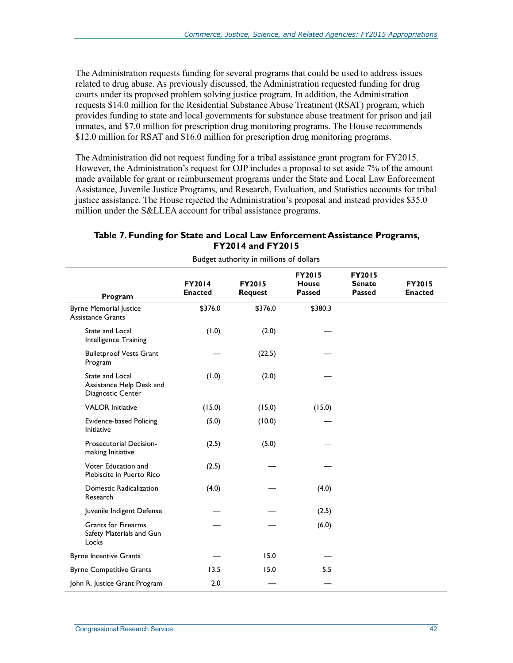The Administration requests funding for several programs that could be used to address issues related to drug abuse. As previously discussed, the Administration requested funding for drug courts under its proposed problem solving justice program. In addition, the Administration requests \$14.0 million for the Residential Substance Abuse Treatment (RSAT) program, which provides funding to state and local governments for substance abuse treatment for prison and jail inmates, and \$7.0 million for prescription drug monitoring programs. The House recommends \$12.0 million for RSAT and \$16.0 million for prescription drug monitoring programs.

The Administration did not request funding for a tribal assistance grant program for FY2015. However, the Administration's request for OJP includes a proposal to set aside 7% of the amount made available for grant or reimbursement programs under the State and Local Law Enforcement Assistance, Juvenile Justice Programs, and Research, Evaluation, and Statistics accounts for tribal justice assistance. The House rejected the Administration's proposal and instead provides \$35.0 million under the S&LLEA account for tribal assistance programs.

#### **Table 7. Funding for State and Local Law Enforcement Assistance Programs, FY2014 and FY2015**

| Program                                                          | FY2014<br><b>Enacted</b> | FY2015<br><b>Request</b> | FY2015<br>House<br><b>Passed</b> | <b>FY2015</b><br><b>Senate</b><br><b>Passed</b> | <b>FY2015</b><br><b>Enacted</b> |
|------------------------------------------------------------------|--------------------------|--------------------------|----------------------------------|-------------------------------------------------|---------------------------------|
| <b>Byrne Memorial Justice</b><br><b>Assistance Grants</b>        | \$376.0                  | \$376.0                  | \$380.3                          |                                                 |                                 |
| State and Local<br>Intelligence Training                         | (0.1)                    | (2.0)                    |                                  |                                                 |                                 |
| <b>Bulletproof Vests Grant</b><br>Program                        |                          | (22.5)                   |                                  |                                                 |                                 |
| State and Local<br>Assistance Help Desk and<br>Diagnostic Center | (1.0)                    | (2.0)                    |                                  |                                                 |                                 |
| <b>VALOR</b> Initiative                                          | (15.0)                   | (15.0)                   | (15.0)                           |                                                 |                                 |
| <b>Evidence-based Policing</b><br><b>Initiative</b>              | (5.0)                    | (10.0)                   |                                  |                                                 |                                 |
| Prosecutorial Decision-<br>making Initiative                     | (2.5)                    | (5.0)                    |                                  |                                                 |                                 |
| Voter Education and<br>Plebiscite in Puerto Rico                 | (2.5)                    |                          |                                  |                                                 |                                 |
| Domestic Radicalization<br>Research                              | (4.0)                    |                          | (4.0)                            |                                                 |                                 |
| Juvenile Indigent Defense                                        |                          |                          | (2.5)                            |                                                 |                                 |
| <b>Grants for Firearms</b><br>Safety Materials and Gun<br>Locks  |                          |                          | (6.0)                            |                                                 |                                 |
| <b>Byrne Incentive Grants</b>                                    |                          | 15.0                     |                                  |                                                 |                                 |
| <b>Byrne Competitive Grants</b>                                  | 13.5                     | 15.0                     | 5.5                              |                                                 |                                 |
| John R. Justice Grant Program                                    | 2.0                      |                          |                                  |                                                 |                                 |

Budget authority in millions of dollars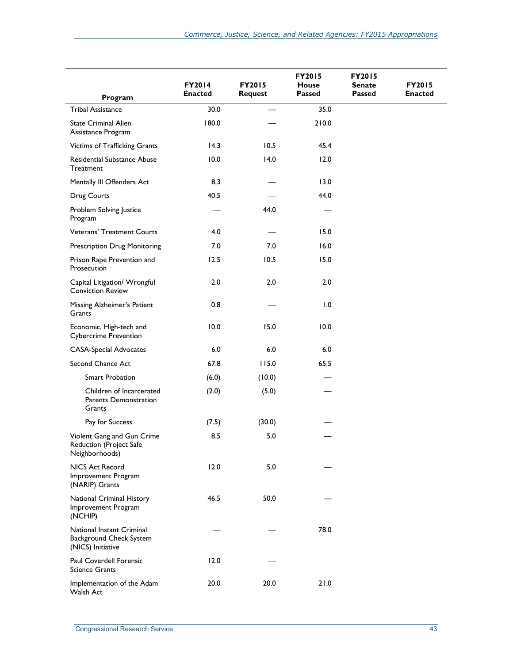|                                                                           | FY2014<br><b>Enacted</b> | <b>FY2015</b><br><b>Request</b> | <b>FY2015</b><br>House<br><b>Passed</b> | <b>FY2015</b><br><b>Senate</b><br><b>Passed</b> | <b>FY2015</b><br><b>Enacted</b> |
|---------------------------------------------------------------------------|--------------------------|---------------------------------|-----------------------------------------|-------------------------------------------------|---------------------------------|
| Program                                                                   |                          |                                 |                                         |                                                 |                                 |
| <b>Tribal Assistance</b>                                                  | 30.0                     |                                 | 35.0                                    |                                                 |                                 |
| <b>State Criminal Alien</b><br>Assistance Program                         | 180.0                    |                                 | 210.0                                   |                                                 |                                 |
| Victims of Trafficking Grants                                             | 14.3                     | 10.5                            | 45.4                                    |                                                 |                                 |
| Residential Substance Abuse<br>Treatment                                  | 10.0                     | 14.0                            | 12.0                                    |                                                 |                                 |
| Mentally III Offenders Act                                                | 8.3                      |                                 | 13.0                                    |                                                 |                                 |
| Drug Courts                                                               | 40.5                     |                                 | 44.0                                    |                                                 |                                 |
| Problem Solving Justice<br>Program                                        |                          | 44.0                            |                                         |                                                 |                                 |
| Veterans' Treatment Courts                                                | 4.0                      |                                 | 15.0                                    |                                                 |                                 |
| <b>Prescription Drug Monitoring</b>                                       | 7.0                      | 7.0                             | 16.0                                    |                                                 |                                 |
| Prison Rape Prevention and<br>Prosecution                                 | 12.5                     | 10.5                            | 15.0                                    |                                                 |                                 |
| Capital Litigation/ Wrongful<br><b>Conviction Review</b>                  | 2.0                      | 2.0                             | 2.0                                     |                                                 |                                 |
| Missing Alzheimer's Patient<br>Grants                                     | 0.8                      |                                 | 1.0                                     |                                                 |                                 |
| Economic, High-tech and<br><b>Cybercrime Prevention</b>                   | 10.0                     | 15.0                            | 10.0                                    |                                                 |                                 |
| <b>CASA-Special Advocates</b>                                             | 6.0                      | $6.0$                           | 6.0                                     |                                                 |                                 |
| Second Chance Act                                                         | 67.8                     | 115.0                           | 65.5                                    |                                                 |                                 |
| <b>Smart Probation</b>                                                    | (6.0)                    | (10.0)                          |                                         |                                                 |                                 |
| Children of Incarcerated<br>Parents Demonstration<br>Grants               | (2.0)                    | (5.0)                           |                                         |                                                 |                                 |
| Pay for Success                                                           | (7.5)                    | (30.0)                          |                                         |                                                 |                                 |
| Violent Gang and Gun Crime<br>Reduction (Project Safe<br>Neighborhoods)   | 8.5                      | 5.0                             |                                         |                                                 |                                 |
| <b>NICS Act Record</b><br>Improvement Program<br>(NARIP) Grants           | 12.0                     | 5.0                             |                                         |                                                 |                                 |
| National Criminal History<br>Improvement Program<br>(NCHIP)               | 46.5                     | 50.0                            |                                         |                                                 |                                 |
| National Instant Criminal<br>Background Check System<br>(NICS) Initiative |                          |                                 | 78.0                                    |                                                 |                                 |
| Paul Coverdell Forensic<br><b>Science Grants</b>                          | 12.0                     |                                 |                                         |                                                 |                                 |
| Implementation of the Adam<br>Walsh Act                                   | 20.0                     | 20.0                            | 21.0                                    |                                                 |                                 |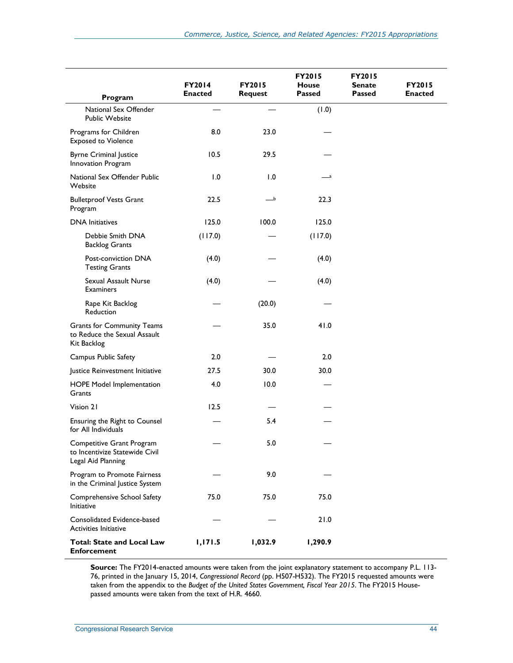|                                                                                   | FY2014<br><b>Enacted</b> | <b>FY2015</b><br>Request | <b>FY2015</b><br>House<br>Passed | <b>FY2015</b><br><b>Senate</b><br>Passed | <b>FY2015</b><br><b>Enacted</b> |
|-----------------------------------------------------------------------------------|--------------------------|--------------------------|----------------------------------|------------------------------------------|---------------------------------|
| Program                                                                           |                          |                          |                                  |                                          |                                 |
| National Sex Offender<br><b>Public Website</b>                                    |                          |                          | (0.1)                            |                                          |                                 |
| Programs for Children<br><b>Exposed to Violence</b>                               | 8.0                      | 23.0                     |                                  |                                          |                                 |
| <b>Byrne Criminal Justice</b><br>Innovation Program                               | 10.5                     | 29.5                     |                                  |                                          |                                 |
| National Sex Offender Public<br>Website                                           | 1.0                      | 1.0                      |                                  |                                          |                                 |
| <b>Bulletproof Vests Grant</b><br>Program                                         | 22.5                     | $\overline{\phantom{a}}$ | 22.3                             |                                          |                                 |
| <b>DNA</b> Initiatives                                                            | 125.0                    | 100.0                    | 125.0                            |                                          |                                 |
| Debbie Smith DNA<br><b>Backlog Grants</b>                                         | (117.0)                  |                          | (117.0)                          |                                          |                                 |
| Post-conviction DNA<br><b>Testing Grants</b>                                      | (4.0)                    |                          | (4.0)                            |                                          |                                 |
| Sexual Assault Nurse<br>Examiners                                                 | (4.0)                    |                          | (4.0)                            |                                          |                                 |
| Rape Kit Backlog<br>Reduction                                                     |                          | (20.0)                   |                                  |                                          |                                 |
| <b>Grants for Community Teams</b><br>to Reduce the Sexual Assault<br>Kit Backlog  |                          | 35.0                     | 41.0                             |                                          |                                 |
| Campus Public Safety                                                              | 2.0                      |                          | 2.0                              |                                          |                                 |
| Justice Reinvestment Initiative                                                   | 27.5                     | 30.0                     | 30.0                             |                                          |                                 |
| HOPE Model Implementation<br>Grants                                               | 4.0                      | 10.0                     |                                  |                                          |                                 |
| Vision 21                                                                         | 12.5                     |                          |                                  |                                          |                                 |
| Ensuring the Right to Counsel<br>for All Individuals                              |                          | 5.4                      |                                  |                                          |                                 |
| Competitive Grant Program<br>to Incentivize Statewide Civil<br>Legal Aid Planning |                          | $5.0$                    |                                  |                                          |                                 |
| Program to Promote Fairness<br>in the Criminal Justice System                     |                          | 9.0                      |                                  |                                          |                                 |
| Comprehensive School Safety<br>Initiative                                         | 75.0                     | 75.0                     | 75.0                             |                                          |                                 |
| Consolidated Evidence-based<br>Activities Initiative                              |                          |                          | 21.0                             |                                          |                                 |
| <b>Total: State and Local Law</b><br><b>Enforcement</b>                           | 1,171.5                  | 1,032.9                  | 1,290.9                          |                                          |                                 |

**Source:** The FY2014-enacted amounts were taken from the joint explanatory statement to accompany P.L. 113- 76, printed in the January 15, 2014, *Congressional Record* (pp. H507-H532). The FY2015 requested amounts were taken from the appendix to the *Budget of the United States Government, Fiscal Year 2015*. The FY2015 Housepassed amounts were taken from the text of H.R. 4660.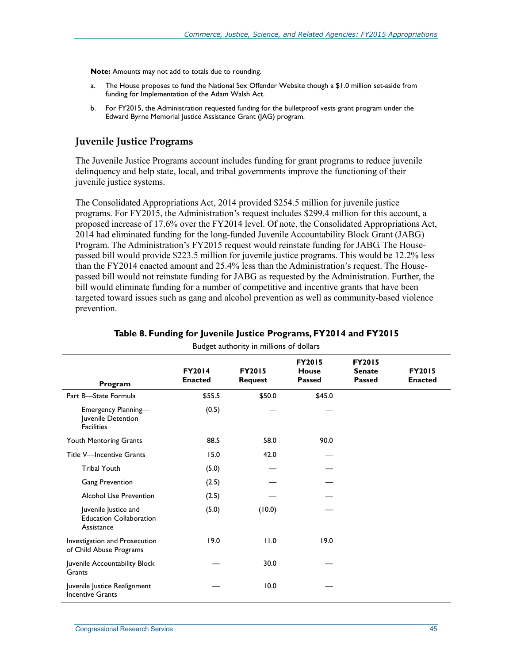**Note:** Amounts may not add to totals due to rounding.

- a. The House proposes to fund the National Sex Offender Website though a \$1.0 million set-aside from funding for Implementation of the Adam Walsh Act.
- b. For FY2015, the Administration requested funding for the bulletproof vests grant program under the Edward Byrne Memorial Justice Assistance Grant (JAG) program.

#### **Juvenile Justice Programs**

The Juvenile Justice Programs account includes funding for grant programs to reduce juvenile delinquency and help state, local, and tribal governments improve the functioning of their juvenile justice systems.

The Consolidated Appropriations Act, 2014 provided \$254.5 million for juvenile justice programs. For FY2015, the Administration's request includes \$299.4 million for this account, a proposed increase of 17.6% over the FY2014 level. Of note, the Consolidated Appropriations Act, 2014 had eliminated funding for the long-funded Juvenile Accountability Block Grant (JABG) Program. The Administration's FY2015 request would reinstate funding for JABG. The Housepassed bill would provide \$223.5 million for juvenile justice programs. This would be 12.2% less than the FY2014 enacted amount and 25.4% less than the Administration's request. The Housepassed bill would not reinstate funding for JABG as requested by the Administration. Further, the bill would eliminate funding for a number of competitive and incentive grants that have been targeted toward issues such as gang and alcohol prevention as well as community-based violence prevention.

| Program                                                              | <b>FY2014</b><br><b>Enacted</b> | <b>FY2015</b><br><b>Request</b> | <b>FY2015</b><br><b>House</b><br><b>Passed</b> | <b>FY2015</b><br><b>Senate</b><br><b>Passed</b> | <b>FY2015</b><br><b>Enacted</b> |
|----------------------------------------------------------------------|---------------------------------|---------------------------------|------------------------------------------------|-------------------------------------------------|---------------------------------|
| Part B-State Formula                                                 | \$55.5                          | \$50.0                          | \$45.0                                         |                                                 |                                 |
| Emergency Planning-<br>Juvenile Detention<br><b>Facilities</b>       | (0.5)                           |                                 |                                                |                                                 |                                 |
| Youth Mentoring Grants                                               | 88.5                            | 58.0                            | 90.0                                           |                                                 |                                 |
| <b>Title V-Incentive Grants</b>                                      | 15.0                            | 42.0                            |                                                |                                                 |                                 |
| <b>Tribal Youth</b>                                                  | (5.0)                           |                                 |                                                |                                                 |                                 |
| <b>Gang Prevention</b>                                               | (2.5)                           |                                 |                                                |                                                 |                                 |
| <b>Alcohol Use Prevention</b>                                        | (2.5)                           |                                 |                                                |                                                 |                                 |
| Juvenile Justice and<br><b>Education Collaboration</b><br>Assistance | (5.0)                           | (10.0)                          |                                                |                                                 |                                 |
| Investigation and Prosecution<br>of Child Abuse Programs             | 19.0                            | 11.0                            | 19.0                                           |                                                 |                                 |
| Juvenile Accountability Block<br>Grants                              |                                 | 30.0                            |                                                |                                                 |                                 |
| Juvenile Justice Realignment<br><b>Incentive Grants</b>              |                                 | 10.0                            |                                                |                                                 |                                 |

#### **Table 8. Funding for Juvenile Justice Programs, FY2014 and FY2015**

Budget authority in millions of dollars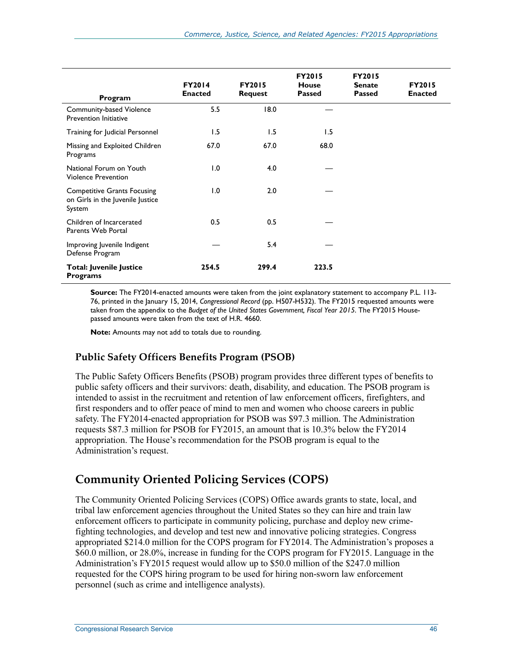| Program                                                                          | <b>FY2014</b><br><b>Enacted</b> | <b>FY2015</b><br><b>Request</b> | <b>FY2015</b><br><b>House</b><br><b>Passed</b> | <b>FY2015</b><br><b>Senate</b><br><b>Passed</b> | <b>FY2015</b><br><b>Enacted</b> |
|----------------------------------------------------------------------------------|---------------------------------|---------------------------------|------------------------------------------------|-------------------------------------------------|---------------------------------|
| Community-based Violence<br><b>Prevention Initiative</b>                         | 5.5                             | 18.0                            |                                                |                                                 |                                 |
| Training for Judicial Personnel                                                  | 1.5                             | 1.5                             | 1.5                                            |                                                 |                                 |
| Missing and Exploited Children<br>Programs                                       | 67.0                            | 67.0                            | 68.0                                           |                                                 |                                 |
| National Forum on Youth<br><b>Violence Prevention</b>                            | 1.0                             | 4.0                             |                                                |                                                 |                                 |
| <b>Competitive Grants Focusing</b><br>on Girls in the Juvenile Justice<br>System | 1.0                             | 2.0                             |                                                |                                                 |                                 |
| Children of Incarcerated<br>Parents Web Portal                                   | 0.5                             | 0.5                             |                                                |                                                 |                                 |
| Improving Juvenile Indigent<br>Defense Program                                   |                                 | 5.4                             |                                                |                                                 |                                 |
| Total: Juvenile Justice<br><b>Programs</b>                                       | 254.5                           | 299.4                           | 223.5                                          |                                                 |                                 |

**Source:** The FY2014-enacted amounts were taken from the joint explanatory statement to accompany P.L. 113- 76, printed in the January 15, 2014, *Congressional Record* (pp. H507-H532). The FY2015 requested amounts were taken from the appendix to the *Budget of the United States Government, Fiscal Year 2015*. The FY2015 Housepassed amounts were taken from the text of H.R. 4660.

**Note:** Amounts may not add to totals due to rounding.

#### **Public Safety Officers Benefits Program (PSOB)**

The Public Safety Officers Benefits (PSOB) program provides three different types of benefits to public safety officers and their survivors: death, disability, and education. The PSOB program is intended to assist in the recruitment and retention of law enforcement officers, firefighters, and first responders and to offer peace of mind to men and women who choose careers in public safety. The FY2014-enacted appropriation for PSOB was \$97.3 million. The Administration requests \$87.3 million for PSOB for FY2015, an amount that is 10.3% below the FY2014 appropriation. The House's recommendation for the PSOB program is equal to the Administration's request.

### **Community Oriented Policing Services (COPS)**

The Community Oriented Policing Services (COPS) Office awards grants to state, local, and tribal law enforcement agencies throughout the United States so they can hire and train law enforcement officers to participate in community policing, purchase and deploy new crimefighting technologies, and develop and test new and innovative policing strategies. Congress appropriated \$214.0 million for the COPS program for FY2014. The Administration's proposes a \$60.0 million, or 28.0%, increase in funding for the COPS program for FY2015. Language in the Administration's FY2015 request would allow up to \$50.0 million of the \$247.0 million requested for the COPS hiring program to be used for hiring non-sworn law enforcement personnel (such as crime and intelligence analysts).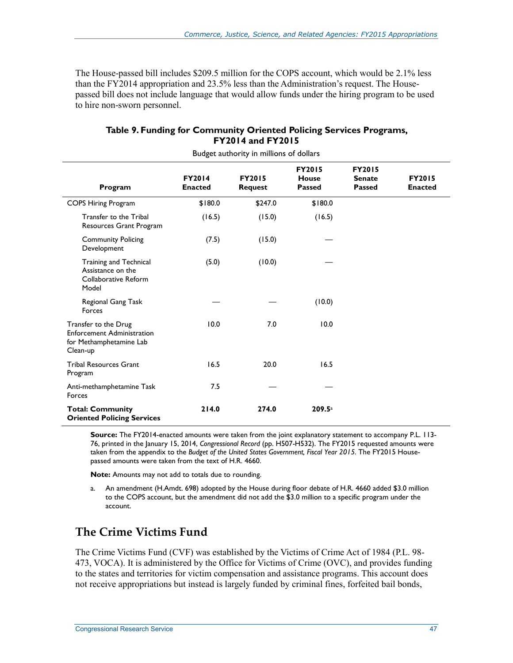The House-passed bill includes \$209.5 million for the COPS account, which would be 2.1% less than the FY2014 appropriation and 23.5% less than the Administration's request. The Housepassed bill does not include language that would allow funds under the hiring program to be used to hire non-sworn personnel.

| Budget authority in millions of dollars                                                          |                                 |                                 |                                                |                                                 |                          |  |  |  |
|--------------------------------------------------------------------------------------------------|---------------------------------|---------------------------------|------------------------------------------------|-------------------------------------------------|--------------------------|--|--|--|
| Program                                                                                          | <b>FY2014</b><br><b>Enacted</b> | <b>FY2015</b><br><b>Request</b> | <b>FY2015</b><br><b>House</b><br><b>Passed</b> | <b>FY2015</b><br><b>Senate</b><br><b>Passed</b> | FY2015<br><b>Enacted</b> |  |  |  |
| <b>COPS Hiring Program</b>                                                                       | \$180.0                         | \$247.0                         | \$180.0                                        |                                                 |                          |  |  |  |
| Transfer to the Tribal<br>Resources Grant Program                                                | (16.5)                          | (15.0)                          | (16.5)                                         |                                                 |                          |  |  |  |
| <b>Community Policing</b><br>Development                                                         | (7.5)                           | (15.0)                          |                                                |                                                 |                          |  |  |  |
| Training and Technical<br>Assistance on the<br>Collaborative Reform<br>Model                     | (5.0)                           | (10.0)                          |                                                |                                                 |                          |  |  |  |
| Regional Gang Task<br>Forces                                                                     |                                 |                                 | (10.0)                                         |                                                 |                          |  |  |  |
| Transfer to the Drug<br><b>Enforcement Administration</b><br>for Methamphetamine Lab<br>Clean-up | 10.0                            | 7.0                             | 10.0                                           |                                                 |                          |  |  |  |
| <b>Tribal Resources Grant</b><br>Program                                                         | 16.5                            | 20.0                            | 16.5                                           |                                                 |                          |  |  |  |
| Anti-methamphetamine Task<br>Forces                                                              | 7.5                             |                                 |                                                |                                                 |                          |  |  |  |
| <b>Total: Community</b><br><b>Oriented Policing Services</b>                                     | 214.0                           | 274.0                           | 209.5 <sup>a</sup>                             |                                                 |                          |  |  |  |

#### **Table 9. Funding for Community Oriented Policing Services Programs, FY2014 and FY2015**

**Source:** The FY2014-enacted amounts were taken from the joint explanatory statement to accompany P.L. 113- 76, printed in the January 15, 2014, *Congressional Record* (pp. H507-H532). The FY2015 requested amounts were taken from the appendix to the *Budget of the United States Government, Fiscal Year 2015*. The FY2015 Housepassed amounts were taken from the text of H.R. 4660.

**Note:** Amounts may not add to totals due to rounding.

a. An amendment (H.Amdt. 698) adopted by the House during floor debate of H.R. 4660 added \$3.0 million to the COPS account, but the amendment did not add the \$3.0 million to a specific program under the account.

#### **The Crime Victims Fund**

The Crime Victims Fund (CVF) was established by the Victims of Crime Act of 1984 (P.L. 98- 473, VOCA). It is administered by the Office for Victims of Crime (OVC), and provides funding to the states and territories for victim compensation and assistance programs. This account does not receive appropriations but instead is largely funded by criminal fines, forfeited bail bonds,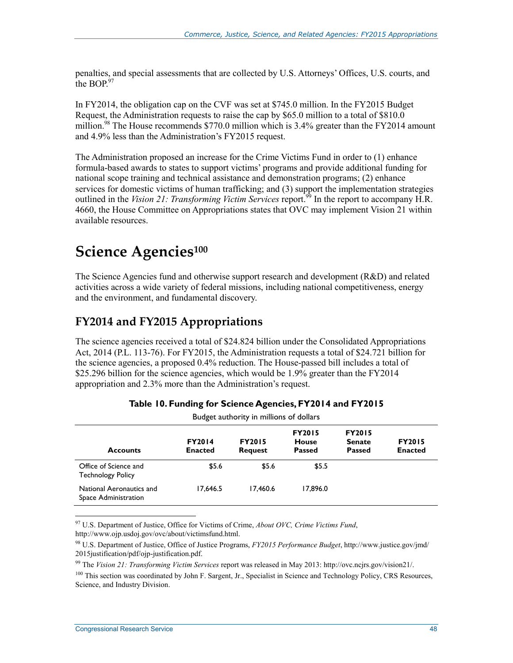penalties, and special assessments that are collected by U.S. Attorneys' Offices, U.S. courts, and the BOP.97

In FY2014, the obligation cap on the CVF was set at \$745.0 million. In the FY2015 Budget Request, the Administration requests to raise the cap by \$65.0 million to a total of \$810.0 million.<sup>98</sup> The House recommends \$770.0 million which is 3.4% greater than the FY2014 amount and 4.9% less than the Administration's FY2015 request.

The Administration proposed an increase for the Crime Victims Fund in order to (1) enhance formula-based awards to states to support victims' programs and provide additional funding for national scope training and technical assistance and demonstration programs; (2) enhance services for domestic victims of human trafficking; and (3) support the implementation strategies outlined in the *Vision 21: Transforming Victim Services* report.<sup>99</sup> In the report to accompany H.R. 4660, the House Committee on Appropriations states that OVC may implement Vision 21 within available resources.

# **Science Agencies100**

The Science Agencies fund and otherwise support research and development (R&D) and related activities across a wide variety of federal missions, including national competitiveness, energy and the environment, and fundamental discovery.

### **FY2014 and FY2015 Appropriations**

The science agencies received a total of \$24.824 billion under the Consolidated Appropriations Act, 2014 (P.L. 113-76). For FY2015, the Administration requests a total of \$24.721 billion for the science agencies, a proposed 0.4% reduction. The House-passed bill includes a total of \$25.296 billion for the science agencies, which would be 1.9% greater than the FY2014 appropriation and 2.3% more than the Administration's request.

| Budget authority in millions of dollars           |                                 |                                 |                                         |                                                 |                                 |  |  |
|---------------------------------------------------|---------------------------------|---------------------------------|-----------------------------------------|-------------------------------------------------|---------------------------------|--|--|
| <b>Accounts</b>                                   | <b>FY2014</b><br><b>Enacted</b> | <b>FY2015</b><br><b>Request</b> | <b>FY2015</b><br>House<br><b>Passed</b> | <b>FY2015</b><br><b>Senate</b><br><b>Passed</b> | <b>FY2015</b><br><b>Enacted</b> |  |  |
| Office of Science and<br><b>Technology Policy</b> | \$5.6                           | \$5.6                           | \$5.5                                   |                                                 |                                 |  |  |
| National Aeronautics and<br>Space Administration  | 17,646.5                        | 17.460.6                        | 17,896.0                                |                                                 |                                 |  |  |

#### **Table 10. Funding for Science Agencies, FY2014 and FY2015**

1 97 U.S. Department of Justice, Office for Victims of Crime, *About OVC, Crime Victims Fund*, http://www.ojp.usdoj.gov/ovc/about/victimsfund.html.

98 U.S. Department of Justice, Office of Justice Programs, *FY2015 Performance Budget*, http://www.justice.gov/jmd/ 2015justification/pdf/ojp-justification.pdf.

99 The *Vision 21: Transforming Victim Services* report was released in May 2013: http://ovc.ncjrs.gov/vision21/.

<sup>&</sup>lt;sup>100</sup> This section was coordinated by John F. Sargent, Jr., Specialist in Science and Technology Policy, CRS Resources, Science, and Industry Division.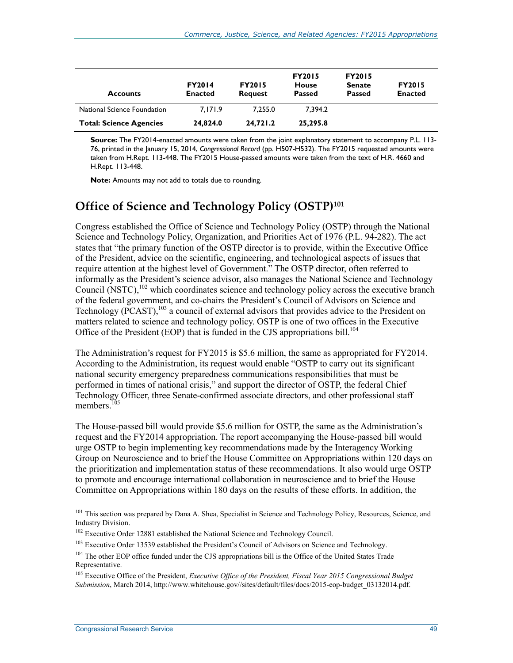| <b>Accounts</b>                | <b>FY2014</b><br><b>Enacted</b> | <b>FY2015</b><br><b>Request</b> | <b>FY2015</b><br><b>House</b><br><b>Passed</b> | <b>FY2015</b><br><b>Senate</b><br><b>Passed</b> | <b>FY2015</b><br><b>Enacted</b> |
|--------------------------------|---------------------------------|---------------------------------|------------------------------------------------|-------------------------------------------------|---------------------------------|
| National Science Foundation    | 7.171.9                         | 7.255.0                         | 7.394.2                                        |                                                 |                                 |
| <b>Total: Science Agencies</b> | 24.824.0                        | 24.721.2                        | 25.295.8                                       |                                                 |                                 |

**Source:** The FY2014-enacted amounts were taken from the joint explanatory statement to accompany P.L. 113- 76, printed in the January 15, 2014, *Congressional Record* (pp. H507-H532). The FY2015 requested amounts were taken from H.Rept. 113-448. The FY2015 House-passed amounts were taken from the text of H.R. 4660 and H.Rept. 113-448.

**Note:** Amounts may not add to totals due to rounding.

### **Office of Science and Technology Policy (OSTP)101**

Congress established the Office of Science and Technology Policy (OSTP) through the National Science and Technology Policy, Organization, and Priorities Act of 1976 (P.L. 94-282). The act states that "the primary function of the OSTP director is to provide, within the Executive Office of the President, advice on the scientific, engineering, and technological aspects of issues that require attention at the highest level of Government." The OSTP director, often referred to informally as the President's science advisor, also manages the National Science and Technology Council (NSTC),<sup>102</sup> which coordinates science and technology policy across the executive branch of the federal government, and co-chairs the President's Council of Advisors on Science and Technology (PCAST), $^{103}$  a council of external advisors that provides advice to the President on matters related to science and technology policy. OSTP is one of two offices in the Executive Office of the President (EOP) that is funded in the CJS appropriations bill.<sup>104</sup>

The Administration's request for FY2015 is \$5.6 million, the same as appropriated for FY2014. According to the Administration, its request would enable "OSTP to carry out its significant national security emergency preparedness communications responsibilities that must be performed in times of national crisis," and support the director of OSTP, the federal Chief Technology Officer, three Senate-confirmed associate directors, and other professional staff members. $^{105}$ 

The House-passed bill would provide \$5.6 million for OSTP, the same as the Administration's request and the FY2014 appropriation. The report accompanying the House-passed bill would urge OSTP to begin implementing key recommendations made by the Interagency Working Group on Neuroscience and to brief the House Committee on Appropriations within 120 days on the prioritization and implementation status of these recommendations. It also would urge OSTP to promote and encourage international collaboration in neuroscience and to brief the House Committee on Appropriations within 180 days on the results of these efforts. In addition, the

<sup>&</sup>lt;sup>101</sup> This section was prepared by Dana A. Shea, Specialist in Science and Technology Policy, Resources, Science, and Industry Division.

<sup>&</sup>lt;sup>102</sup> Executive Order 12881 established the National Science and Technology Council.

<sup>&</sup>lt;sup>103</sup> Executive Order 13539 established the President's Council of Advisors on Science and Technology.

<sup>&</sup>lt;sup>104</sup> The other EOP office funded under the CJS appropriations bill is the Office of the United States Trade Representative.

<sup>105</sup> Executive Office of the President, *Executive Office of the President, Fiscal Year 2015 Congressional Budget Submission*, March 2014, http://www.whitehouse.gov//sites/default/files/docs/2015-eop-budget\_03132014.pdf.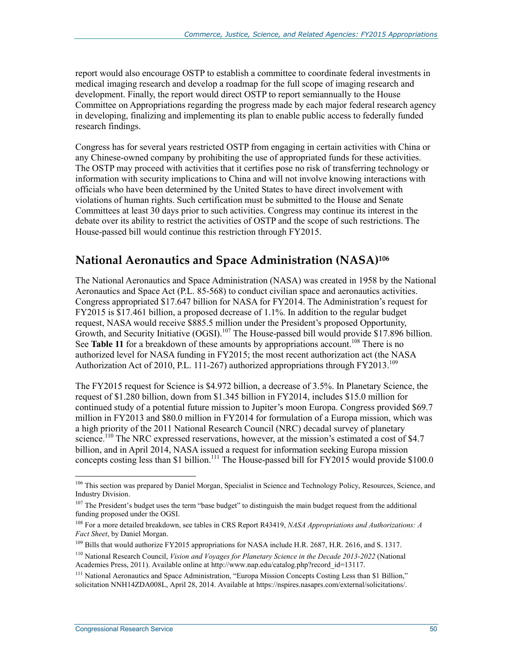report would also encourage OSTP to establish a committee to coordinate federal investments in medical imaging research and develop a roadmap for the full scope of imaging research and development. Finally, the report would direct OSTP to report semiannually to the House Committee on Appropriations regarding the progress made by each major federal research agency in developing, finalizing and implementing its plan to enable public access to federally funded research findings.

Congress has for several years restricted OSTP from engaging in certain activities with China or any Chinese-owned company by prohibiting the use of appropriated funds for these activities. The OSTP may proceed with activities that it certifies pose no risk of transferring technology or information with security implications to China and will not involve knowing interactions with officials who have been determined by the United States to have direct involvement with violations of human rights. Such certification must be submitted to the House and Senate Committees at least 30 days prior to such activities. Congress may continue its interest in the debate over its ability to restrict the activities of OSTP and the scope of such restrictions. The House-passed bill would continue this restriction through FY2015.

### **National Aeronautics and Space Administration (NASA)106**

The National Aeronautics and Space Administration (NASA) was created in 1958 by the National Aeronautics and Space Act (P.L. 85-568) to conduct civilian space and aeronautics activities. Congress appropriated \$17.647 billion for NASA for FY2014. The Administration's request for FY2015 is \$17.461 billion, a proposed decrease of 1.1%. In addition to the regular budget request, NASA would receive \$885.5 million under the President's proposed Opportunity, Growth, and Security Initiative (OGSI).<sup>107</sup> The House-passed bill would provide \$17.896 billion. See **Table 11** for a breakdown of these amounts by appropriations account.<sup>108</sup> There is no authorized level for NASA funding in FY2015; the most recent authorization act (the NASA Authorization Act of 2010, P.L. 111-267) authorized appropriations through FY2013.<sup>109</sup>

The FY2015 request for Science is \$4.972 billion, a decrease of 3.5%. In Planetary Science, the request of \$1.280 billion, down from \$1.345 billion in FY2014, includes \$15.0 million for continued study of a potential future mission to Jupiter's moon Europa. Congress provided \$69.7 million in FY2013 and \$80.0 million in FY2014 for formulation of a Europa mission, which was a high priority of the 2011 National Research Council (NRC) decadal survey of planetary science.<sup>110</sup> The NRC expressed reservations, however, at the mission's estimated a cost of \$4.7 billion, and in April 2014, NASA issued a request for information seeking Europa mission concepts costing less than \$1 billion.<sup>111</sup> The House-passed bill for FY2015 would provide \$100.0

<u>.</u>

<sup>&</sup>lt;sup>106</sup> This section was prepared by Daniel Morgan, Specialist in Science and Technology Policy, Resources, Science, and Industry Division.

<sup>&</sup>lt;sup>107</sup> The President's budget uses the term "base budget" to distinguish the main budget request from the additional funding proposed under the OGSI.

<sup>108</sup> For a more detailed breakdown, see tables in CRS Report R43419, *NASA Appropriations and Authorizations: A Fact Sheet*, by Daniel Morgan.

<sup>&</sup>lt;sup>109</sup> Bills that would authorize FY2015 appropriations for NASA include H.R. 2687, H.R. 2616, and S. 1317.

<sup>110</sup> National Research Council, *Vision and Voyages for Planetary Science in the Decade 2013-2022* (National Academies Press, 2011). Available online at http://www.nap.edu/catalog.php?record\_id=13117.

<sup>&</sup>lt;sup>111</sup> National Aeronautics and Space Administration, "Europa Mission Concepts Costing Less than \$1 Billion," solicitation NNH14ZDA008L, April 28, 2014. Available at https://nspires.nasaprs.com/external/solicitations/.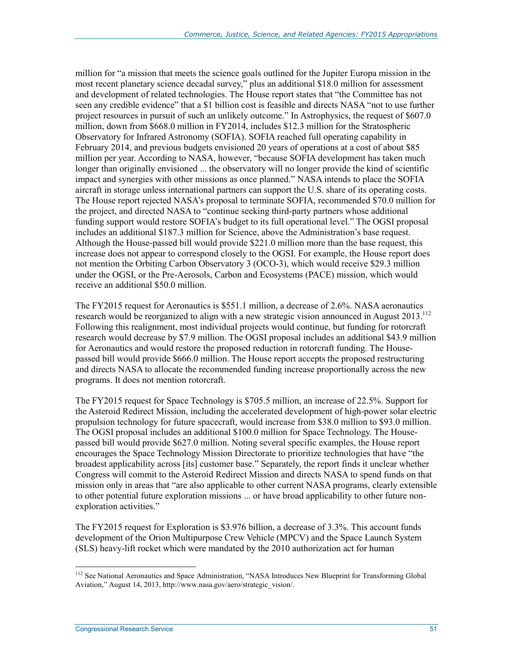million for "a mission that meets the science goals outlined for the Jupiter Europa mission in the most recent planetary science decadal survey," plus an additional \$18.0 million for assessment and development of related technologies. The House report states that "the Committee has not seen any credible evidence" that a \$1 billion cost is feasible and directs NASA "not to use further project resources in pursuit of such an unlikely outcome." In Astrophysics, the request of \$607.0 million, down from \$668.0 million in FY2014, includes \$12.3 million for the Stratospheric Observatory for Infrared Astronomy (SOFIA). SOFIA reached full operating capability in February 2014, and previous budgets envisioned 20 years of operations at a cost of about \$85 million per year. According to NASA, however, "because SOFIA development has taken much longer than originally envisioned ... the observatory will no longer provide the kind of scientific impact and synergies with other missions as once planned." NASA intends to place the SOFIA aircraft in storage unless international partners can support the U.S. share of its operating costs. The House report rejected NASA's proposal to terminate SOFIA, recommended \$70.0 million for the project, and directed NASA to "continue seeking third-party partners whose additional funding support would restore SOFIA's budget to its full operational level." The OGSI proposal includes an additional \$187.3 million for Science, above the Administration's base request. Although the House-passed bill would provide \$221.0 million more than the base request, this increase does not appear to correspond closely to the OGSI. For example, the House report does not mention the Orbiting Carbon Observatory 3 (OCO-3), which would receive \$29.3 million under the OGSI, or the Pre-Aerosols, Carbon and Ecosystems (PACE) mission, which would receive an additional \$50.0 million.

The FY2015 request for Aeronautics is \$551.1 million, a decrease of 2.6%. NASA aeronautics research would be reorganized to align with a new strategic vision announced in August 2013.<sup>112</sup> Following this realignment, most individual projects would continue, but funding for rotorcraft research would decrease by \$7.9 million. The OGSI proposal includes an additional \$43.9 million for Aeronautics and would restore the proposed reduction in rotorcraft funding. The Housepassed bill would provide \$666.0 million. The House report accepts the proposed restructuring and directs NASA to allocate the recommended funding increase proportionally across the new programs. It does not mention rotorcraft.

The FY2015 request for Space Technology is \$705.5 million, an increase of 22.5%. Support for the Asteroid Redirect Mission, including the accelerated development of high-power solar electric propulsion technology for future spacecraft, would increase from \$38.0 million to \$93.0 million. The OGSI proposal includes an additional \$100.0 million for Space Technology. The Housepassed bill would provide \$627.0 million. Noting several specific examples, the House report encourages the Space Technology Mission Directorate to prioritize technologies that have "the broadest applicability across [its] customer base." Separately, the report finds it unclear whether Congress will commit to the Asteroid Redirect Mission and directs NASA to spend funds on that mission only in areas that "are also applicable to other current NASA programs, clearly extensible to other potential future exploration missions ... or have broad applicability to other future nonexploration activities."

The FY2015 request for Exploration is \$3.976 billion, a decrease of 3.3%. This account funds development of the Orion Multipurpose Crew Vehicle (MPCV) and the Space Launch System (SLS) heavy-lift rocket which were mandated by the 2010 authorization act for human

<sup>1</sup> <sup>112</sup> See National Aeronautics and Space Administration, "NASA Introduces New Blueprint for Transforming Global Aviation," August 14, 2013, http://www.nasa.gov/aero/strategic\_vision/.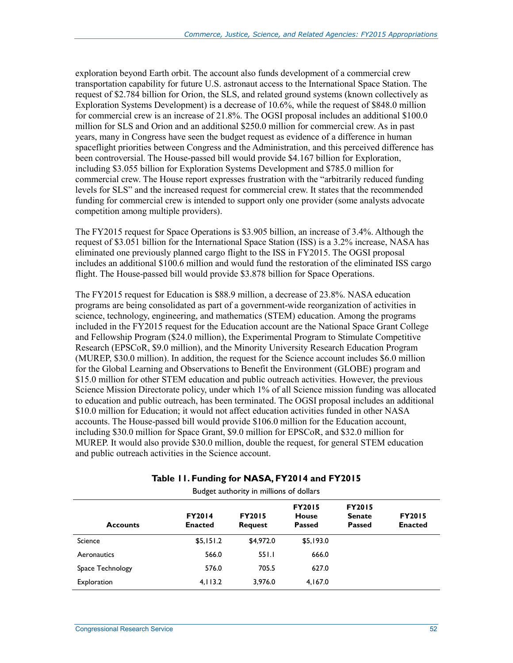exploration beyond Earth orbit. The account also funds development of a commercial crew transportation capability for future U.S. astronaut access to the International Space Station. The request of \$2.784 billion for Orion, the SLS, and related ground systems (known collectively as Exploration Systems Development) is a decrease of 10.6%, while the request of \$848.0 million for commercial crew is an increase of 21.8%. The OGSI proposal includes an additional \$100.0 million for SLS and Orion and an additional \$250.0 million for commercial crew. As in past years, many in Congress have seen the budget request as evidence of a difference in human spaceflight priorities between Congress and the Administration, and this perceived difference has been controversial. The House-passed bill would provide \$4.167 billion for Exploration, including \$3.055 billion for Exploration Systems Development and \$785.0 million for commercial crew. The House report expresses frustration with the "arbitrarily reduced funding levels for SLS" and the increased request for commercial crew. It states that the recommended funding for commercial crew is intended to support only one provider (some analysts advocate competition among multiple providers).

The FY2015 request for Space Operations is \$3.905 billion, an increase of 3.4%. Although the request of \$3.051 billion for the International Space Station (ISS) is a 3.2% increase, NASA has eliminated one previously planned cargo flight to the ISS in FY2015. The OGSI proposal includes an additional \$100.6 million and would fund the restoration of the eliminated ISS cargo flight. The House-passed bill would provide \$3.878 billion for Space Operations.

The FY2015 request for Education is \$88.9 million, a decrease of 23.8%. NASA education programs are being consolidated as part of a government-wide reorganization of activities in science, technology, engineering, and mathematics (STEM) education. Among the programs included in the FY2015 request for the Education account are the National Space Grant College and Fellowship Program (\$24.0 million), the Experimental Program to Stimulate Competitive Research (EPSCoR, \$9.0 million), and the Minority University Research Education Program (MUREP, \$30.0 million). In addition, the request for the Science account includes \$6.0 million for the Global Learning and Observations to Benefit the Environment (GLOBE) program and \$15.0 million for other STEM education and public outreach activities. However, the previous Science Mission Directorate policy, under which 1% of all Science mission funding was allocated to education and public outreach, has been terminated. The OGSI proposal includes an additional \$10.0 million for Education; it would not affect education activities funded in other NASA accounts. The House-passed bill would provide \$106.0 million for the Education account, including \$30.0 million for Space Grant, \$9.0 million for EPSCoR, and \$32.0 million for MUREP. It would also provide \$30.0 million, double the request, for general STEM education and public outreach activities in the Science account.

| Budget authority in millions of dollars |                                 |                                 |                                                |                                                 |                                 |  |  |  |
|-----------------------------------------|---------------------------------|---------------------------------|------------------------------------------------|-------------------------------------------------|---------------------------------|--|--|--|
| <b>Accounts</b>                         | <b>FY2014</b><br><b>Enacted</b> | <b>FY2015</b><br><b>Request</b> | <b>FY2015</b><br><b>House</b><br><b>Passed</b> | <b>FY2015</b><br><b>Senate</b><br><b>Passed</b> | <b>FY2015</b><br><b>Enacted</b> |  |  |  |
| Science                                 | \$5,151.2                       | \$4,972.0                       | \$5,193.0                                      |                                                 |                                 |  |  |  |
| Aeronautics                             | 566.0                           | 551.1                           | 666.0                                          |                                                 |                                 |  |  |  |
| Space Technology                        | 576.0                           | 705.5                           | 627.0                                          |                                                 |                                 |  |  |  |
| Exploration                             | 4,113.2                         | 3,976.0                         | 4,167.0                                        |                                                 |                                 |  |  |  |

#### **Table 11. Funding for NASA, FY2014 and FY2015**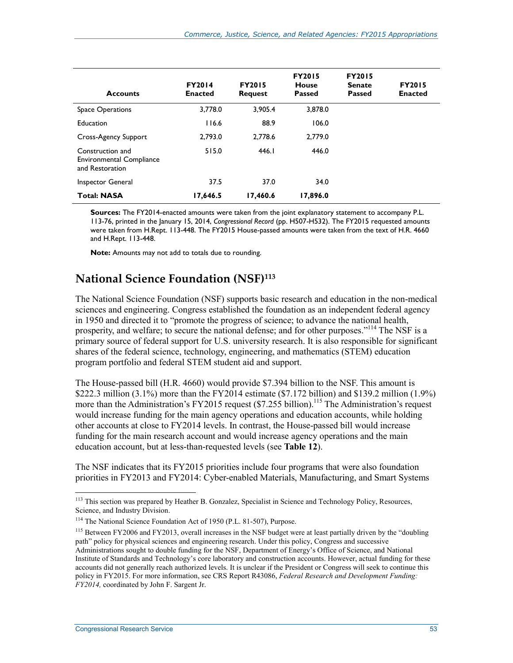| <b>Accounts</b>                                                        | <b>FY2014</b><br><b>Enacted</b> | <b>FY2015</b><br><b>Request</b> | <b>FY2015</b><br>House<br><b>Passed</b> | <b>FY2015</b><br><b>Senate</b><br><b>Passed</b> | <b>FY2015</b><br><b>Enacted</b> |
|------------------------------------------------------------------------|---------------------------------|---------------------------------|-----------------------------------------|-------------------------------------------------|---------------------------------|
| <b>Space Operations</b>                                                | 3,778.0                         | 3.905.4                         | 3,878.0                                 |                                                 |                                 |
| Education                                                              | 116.6                           | 88.9                            | 106.0                                   |                                                 |                                 |
| <b>Cross-Agency Support</b>                                            | 2.793.0                         | 2.778.6                         | 2.779.0                                 |                                                 |                                 |
| Construction and<br><b>Environmental Compliance</b><br>and Restoration | 515.0                           | 446.I                           | 446.0                                   |                                                 |                                 |
| Inspector General                                                      | 37.5                            | 37.0                            | 34.0                                    |                                                 |                                 |
| <b>Total: NASA</b>                                                     | 17,646.5                        | 17,460.6                        | 17,896.0                                |                                                 |                                 |

**Sources:** The FY2014-enacted amounts were taken from the joint explanatory statement to accompany P.L. 113-76, printed in the January 15, 2014, *Congressional Record* (pp. H507-H532). The FY2015 requested amounts were taken from H.Rept. 113-448. The FY2015 House-passed amounts were taken from the text of H.R. 4660 and H.Rept. 113-448.

**Note:** Amounts may not add to totals due to rounding.

#### **National Science Foundation (NSF)113**

The National Science Foundation (NSF) supports basic research and education in the non-medical sciences and engineering. Congress established the foundation as an independent federal agency in 1950 and directed it to "promote the progress of science; to advance the national health, prosperity, and welfare; to secure the national defense; and for other purposes."<sup>114</sup> The NSF is a primary source of federal support for U.S. university research. It is also responsible for significant shares of the federal science, technology, engineering, and mathematics (STEM) education program portfolio and federal STEM student aid and support.

The House-passed bill (H.R. 4660) would provide \$7.394 billion to the NSF. This amount is \$222.3 million (3.1%) more than the FY2014 estimate (\$7.172 billion) and \$139.2 million (1.9%) more than the Administration's FY2015 request (\$7.255 billion).<sup>115</sup> The Administration's request would increase funding for the main agency operations and education accounts, while holding other accounts at close to FY2014 levels. In contrast, the House-passed bill would increase funding for the main research account and would increase agency operations and the main education account, but at less-than-requested levels (see **Table 12**).

The NSF indicates that its FY2015 priorities include four programs that were also foundation priorities in FY2013 and FY2014: Cyber-enabled Materials, Manufacturing, and Smart Systems

<sup>113</sup> This section was prepared by Heather B. Gonzalez, Specialist in Science and Technology Policy, Resources, Science, and Industry Division.

<sup>&</sup>lt;sup>114</sup> The National Science Foundation Act of 1950 (P.L. 81-507), Purpose.

<sup>&</sup>lt;sup>115</sup> Between FY2006 and FY2013, overall increases in the NSF budget were at least partially driven by the "doubling" path" policy for physical sciences and engineering research. Under this policy, Congress and successive Administrations sought to double funding for the NSF, Department of Energy's Office of Science, and National Institute of Standards and Technology's core laboratory and construction accounts. However, actual funding for these accounts did not generally reach authorized levels. It is unclear if the President or Congress will seek to continue this policy in FY2015. For more information, see CRS Report R43086, *Federal Research and Development Funding: FY2014,* coordinated by John F. Sargent Jr.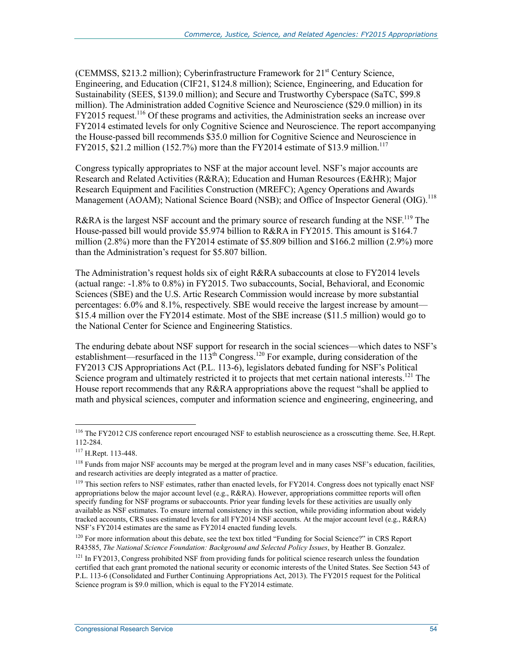(CEMMSS,  $$213.2$  million); Cyberinfrastructure Framework for  $21<sup>st</sup>$  Century Science, Engineering, and Education (CIF21, \$124.8 million); Science, Engineering, and Education for Sustainability (SEES, \$139.0 million); and Secure and Trustworthy Cyberspace (SaTC, \$99.8 million). The Administration added Cognitive Science and Neuroscience (\$29.0 million) in its FY2015 request.<sup>116</sup> Of these programs and activities, the Administration seeks an increase over FY2014 estimated levels for only Cognitive Science and Neuroscience. The report accompanying the House-passed bill recommends \$35.0 million for Cognitive Science and Neuroscience in FY2015,  $\frac{$21.2$ million (152.7%) more than the FY2014 estimate of $13.9 million.<sup>117</sup>$ 

Congress typically appropriates to NSF at the major account level. NSF's major accounts are Research and Related Activities (R&RA); Education and Human Resources (E&HR); Major Research Equipment and Facilities Construction (MREFC); Agency Operations and Awards Management (AOAM); National Science Board (NSB); and Office of Inspector General (OIG).<sup>118</sup>

R&RA is the largest NSF account and the primary source of research funding at the NSF.<sup>119</sup> The House-passed bill would provide \$5.974 billion to R&RA in FY2015. This amount is \$164.7 million (2.8%) more than the FY2014 estimate of \$5.809 billion and \$166.2 million (2.9%) more than the Administration's request for \$5.807 billion.

The Administration's request holds six of eight R&RA subaccounts at close to FY2014 levels (actual range: -1.8% to 0.8%) in FY2015. Two subaccounts, Social, Behavioral, and Economic Sciences (SBE) and the U.S. Artic Research Commission would increase by more substantial percentages: 6.0% and 8.1%, respectively. SBE would receive the largest increase by amount— \$15.4 million over the FY2014 estimate. Most of the SBE increase (\$11.5 million) would go to the National Center for Science and Engineering Statistics.

The enduring debate about NSF support for research in the social sciences—which dates to NSF's establishment—resurfaced in the  $113<sup>th</sup>$  Congress.<sup>120</sup> For example, during consideration of the FY2013 CJS Appropriations Act (P.L. 113-6), legislators debated funding for NSF's Political Science program and ultimately restricted it to projects that met certain national interests.<sup>121</sup> The House report recommends that any R&RA appropriations above the request "shall be applied to math and physical sciences, computer and information science and engineering, engineering, and

<sup>&</sup>lt;sup>116</sup> The FY2012 CJS conference report encouraged NSF to establish neuroscience as a crosscutting theme. See, H.Rept. 112-284.

<sup>117</sup> H.Rept. 113-448.

<sup>&</sup>lt;sup>118</sup> Funds from major NSF accounts may be merged at the program level and in many cases NSF's education, facilities, and research activities are deeply integrated as a matter of practice.

<sup>&</sup>lt;sup>119</sup> This section refers to NSF estimates, rather than enacted levels, for FY2014. Congress does not typically enact NSF appropriations below the major account level (e.g.,  $R&RA$ ). However, appropriations committee reports will often specify funding for NSF programs or subaccounts. Prior year funding levels for these activities are usually only available as NSF estimates. To ensure internal consistency in this section, while providing information about widely tracked accounts, CRS uses estimated levels for all FY2014 NSF accounts. At the major account level (e.g., R&RA) NSF's FY2014 estimates are the same as FY2014 enacted funding levels.

<sup>&</sup>lt;sup>120</sup> For more information about this debate, see the text box titled "Funding for Social Science?" in CRS Report R43585, *The National Science Foundation: Background and Selected Policy Issues*, by Heather B. Gonzalez.

<sup>&</sup>lt;sup>121</sup> In FY2013, Congress prohibited NSF from providing funds for political science research unless the foundation certified that each grant promoted the national security or economic interests of the United States. See Section 543 of P.L. 113-6 (Consolidated and Further Continuing Appropriations Act, 2013). The FY2015 request for the Political Science program is \$9.0 million, which is equal to the FY2014 estimate.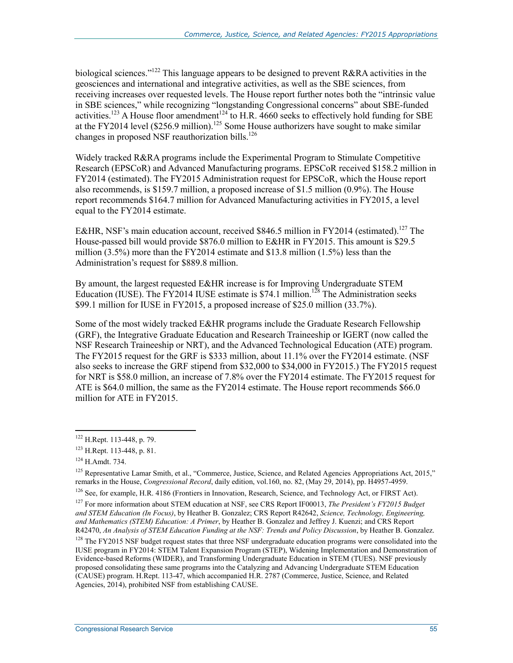biological sciences."<sup>122</sup> This language appears to be designed to prevent R&RA activities in the geosciences and international and integrative activities, as well as the SBE sciences, from receiving increases over requested levels. The House report further notes both the "intrinsic value in SBE sciences," while recognizing "longstanding Congressional concerns" about SBE-funded activities.<sup>123</sup> A House floor amendment<sup>124</sup> to H.R. 4660 seeks to effectively hold funding for SBE at the FY2014 level (\$256.9 million).<sup>125</sup> Some House authorizers have sought to make similar changes in proposed NSF reauthorization bills. $126$ 

Widely tracked R&RA programs include the Experimental Program to Stimulate Competitive Research (EPSCoR) and Advanced Manufacturing programs. EPSCoR received \$158.2 million in FY2014 (estimated). The FY2015 Administration request for EPSCoR, which the House report also recommends, is \$159.7 million, a proposed increase of \$1.5 million (0.9%). The House report recommends \$164.7 million for Advanced Manufacturing activities in FY2015, a level equal to the FY2014 estimate.

E&HR, NSF's main education account, received \$846.5 million in FY2014 (estimated).<sup>127</sup> The House-passed bill would provide \$876.0 million to E&HR in FY2015. This amount is \$29.5 million (3.5%) more than the FY2014 estimate and \$13.8 million (1.5%) less than the Administration's request for \$889.8 million.

By amount, the largest requested E&HR increase is for Improving Undergraduate STEM Education (IUSE). The FY2014 IUSE estimate is \$74.1 million.<sup>128</sup> The Administration seeks \$99.1 million for IUSE in FY2015, a proposed increase of \$25.0 million (33.7%).

Some of the most widely tracked E&HR programs include the Graduate Research Fellowship (GRF), the Integrative Graduate Education and Research Traineeship or IGERT (now called the NSF Research Traineeship or NRT), and the Advanced Technological Education (ATE) program. The FY2015 request for the GRF is \$333 million, about 11.1% over the FY2014 estimate. (NSF also seeks to increase the GRF stipend from \$32,000 to \$34,000 in FY2015.) The FY2015 request for NRT is \$58.0 million, an increase of 7.8% over the FY2014 estimate. The FY2015 request for ATE is \$64.0 million, the same as the FY2014 estimate. The House report recommends \$66.0 million for ATE in FY2015.

<u>.</u>

<sup>&</sup>lt;sup>122</sup> H.Rept. 113-448, p. 79.

<sup>123</sup> H.Rept. 113-448, p. 81.

<sup>124</sup> H.Amdt. 734.

<sup>&</sup>lt;sup>125</sup> Representative Lamar Smith, et al., "Commerce, Justice, Science, and Related Agencies Appropriations Act, 2015," remarks in the House, *Congressional Record*, daily edition, vol.160, no. 82, (May 29, 2014), pp. H4957-4959.

<sup>&</sup>lt;sup>126</sup> See, for example, H.R. 4186 (Frontiers in Innovation, Research, Science, and Technology Act, or FIRST Act).

<sup>127</sup> For more information about STEM education at NSF, see CRS Report IF00013, *The President's FY2015 Budget and STEM Education (In Focus)*, by Heather B. Gonzalez; CRS Report R42642, *Science, Technology, Engineering, and Mathematics (STEM) Education: A Primer*, by Heather B. Gonzalez and Jeffrey J. Kuenzi; and CRS Report R42470, *An Analysis of STEM Education Funding at the NSF: Trends and Policy Discussion*, by Heather B. Gonzalez.

 $128$  The FY2015 NSF budget request states that three NSF undergraduate education programs were consolidated into the IUSE program in FY2014: STEM Talent Expansion Program (STEP), Widening Implementation and Demonstration of Evidence-based Reforms (WIDER), and Transforming Undergraduate Education in STEM (TUES). NSF previously proposed consolidating these same programs into the Catalyzing and Advancing Undergraduate STEM Education (CAUSE) program. H.Rept. 113-47, which accompanied H.R. 2787 (Commerce, Justice, Science, and Related Agencies, 2014), prohibited NSF from establishing CAUSE.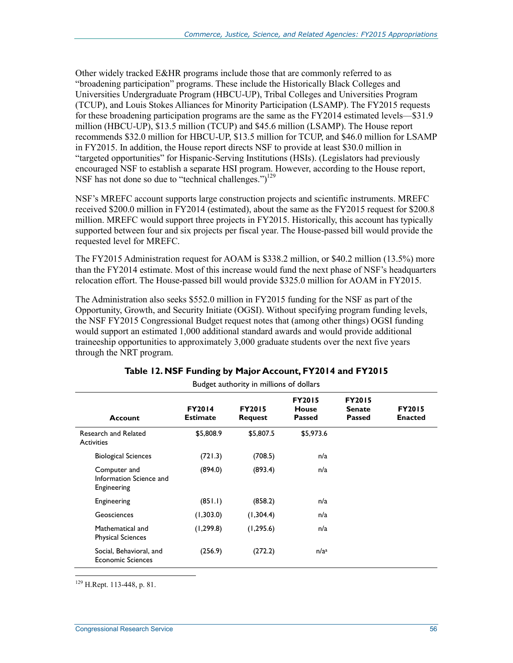Other widely tracked E&HR programs include those that are commonly referred to as "broadening participation" programs. These include the Historically Black Colleges and Universities Undergraduate Program (HBCU-UP), Tribal Colleges and Universities Program (TCUP), and Louis Stokes Alliances for Minority Participation (LSAMP). The FY2015 requests for these broadening participation programs are the same as the FY2014 estimated levels—\$31.9 million (HBCU-UP), \$13.5 million (TCUP) and \$45.6 million (LSAMP). The House report recommends \$32.0 million for HBCU-UP, \$13.5 million for TCUP, and \$46.0 million for LSAMP in FY2015. In addition, the House report directs NSF to provide at least \$30.0 million in "targeted opportunities" for Hispanic-Serving Institutions (HSIs). (Legislators had previously encouraged NSF to establish a separate HSI program. However, according to the House report, NSF has not done so due to "technical challenges.") $129$ 

NSF's MREFC account supports large construction projects and scientific instruments. MREFC received \$200.0 million in FY2014 (estimated), about the same as the FY2015 request for \$200.8 million. MREFC would support three projects in FY2015. Historically, this account has typically supported between four and six projects per fiscal year. The House-passed bill would provide the requested level for MREFC.

The FY2015 Administration request for AOAM is \$338.2 million, or \$40.2 million (13.5%) more than the FY2014 estimate. Most of this increase would fund the next phase of NSF's headquarters relocation effort. The House-passed bill would provide \$325.0 million for AOAM in FY2015.

The Administration also seeks \$552.0 million in FY2015 funding for the NSF as part of the Opportunity, Growth, and Security Initiate (OGSI). Without specifying program funding levels, the NSF FY2015 Congressional Budget request notes that (among other things) OGSI funding would support an estimated 1,000 additional standard awards and would provide additional traineeship opportunities to approximately 3,000 graduate students over the next five years through the NRT program.

| Budget authority in millions of dollars                |                                  |                                 |                                                |                                                 |                                 |  |  |  |  |
|--------------------------------------------------------|----------------------------------|---------------------------------|------------------------------------------------|-------------------------------------------------|---------------------------------|--|--|--|--|
| Account                                                | <b>FY2014</b><br><b>Estimate</b> | <b>FY2015</b><br><b>Request</b> | <b>FY2015</b><br><b>House</b><br><b>Passed</b> | <b>FY2015</b><br><b>Senate</b><br><b>Passed</b> | <b>FY2015</b><br><b>Enacted</b> |  |  |  |  |
| Research and Related<br><b>Activities</b>              | \$5,808.9                        | \$5,807.5                       | \$5,973.6                                      |                                                 |                                 |  |  |  |  |
| <b>Biological Sciences</b>                             | (721.3)                          | (708.5)                         | n/a                                            |                                                 |                                 |  |  |  |  |
| Computer and<br>Information Science and<br>Engineering | (894.0)                          | (893.4)                         | n/a                                            |                                                 |                                 |  |  |  |  |
| Engineering                                            | (851.1)                          | (858.2)                         | n/a                                            |                                                 |                                 |  |  |  |  |
| Geosciences                                            | (1,303.0)                        | (1,304.4)                       | n/a                                            |                                                 |                                 |  |  |  |  |
| Mathematical and<br><b>Physical Sciences</b>           | (1, 299.8)                       | (1, 295.6)                      | n/a                                            |                                                 |                                 |  |  |  |  |
| Social, Behavioral, and<br><b>Economic Sciences</b>    | (256.9)                          | (272.2)                         | n/a <sup>a</sup>                               |                                                 |                                 |  |  |  |  |

#### **Table 12. NSF Funding by Major Account, FY2014 and FY2015**

 $129$  H.Rept. 113-448, p. 81.

<u>.</u>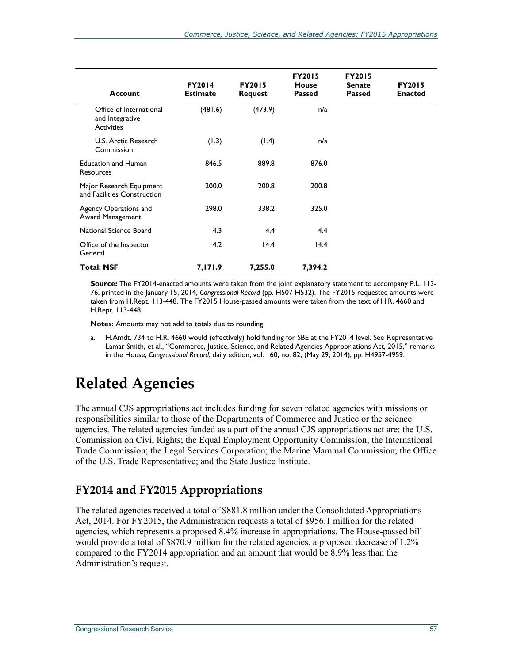| <b>Account</b>                                                  | <b>FY2014</b><br><b>Estimate</b> | <b>FY2015</b><br><b>Request</b> | <b>FY2015</b><br><b>House</b><br><b>Passed</b> | <b>FY2015</b><br><b>Senate</b><br><b>Passed</b> | <b>FY2015</b><br><b>Enacted</b> |
|-----------------------------------------------------------------|----------------------------------|---------------------------------|------------------------------------------------|-------------------------------------------------|---------------------------------|
| Office of International<br>and Integrative<br><b>Activities</b> | (481.6)                          | (473.9)                         | n/a                                            |                                                 |                                 |
| U.S. Arctic Research<br>Commission                              | (1.3)                            | (1.4)                           | n/a                                            |                                                 |                                 |
| <b>Education and Human</b><br>Resources                         | 846.5                            | 889.8                           | 876.0                                          |                                                 |                                 |
| Major Research Equipment<br>and Facilities Construction         | 200.0                            | 200.8                           | 200.8                                          |                                                 |                                 |
| Agency Operations and<br>Award Management                       | 298.0                            | 338.2                           | 325.0                                          |                                                 |                                 |
| National Science Board                                          | 4.3                              | 4.4                             | 4.4                                            |                                                 |                                 |
| Office of the Inspector<br>General                              | 14.2                             | 14.4                            | 14.4                                           |                                                 |                                 |
| <b>Total: NSF</b>                                               | 7,171.9                          | 7,255.0                         | 7,394.2                                        |                                                 |                                 |

**Source:** The FY2014-enacted amounts were taken from the joint explanatory statement to accompany P.L. 113- 76, printed in the January 15, 2014, *Congressional Record* (pp. H507-H532). The FY2015 requested amounts were taken from H.Rept. 113-448. The FY2015 House-passed amounts were taken from the text of H.R. 4660 and H.Rept. 113-448.

**Notes:** Amounts may not add to totals due to rounding.

H.Amdt. 734 to H.R. 4660 would (effectively) hold funding for SBE at the FY2014 level. See Representative Lamar Smith, et al., "Commerce, Justice, Science, and Related Agencies Appropriations Act, 2015," remarks in the House, *Congressional Record*, daily edition, vol. 160, no. 82, (May 29, 2014), pp. H4957-4959.

# **Related Agencies**

The annual CJS appropriations act includes funding for seven related agencies with missions or responsibilities similar to those of the Departments of Commerce and Justice or the science agencies. The related agencies funded as a part of the annual CJS appropriations act are: the U.S. Commission on Civil Rights; the Equal Employment Opportunity Commission; the International Trade Commission; the Legal Services Corporation; the Marine Mammal Commission; the Office of the U.S. Trade Representative; and the State Justice Institute.

### **FY2014 and FY2015 Appropriations**

The related agencies received a total of \$881.8 million under the Consolidated Appropriations Act, 2014. For FY2015, the Administration requests a total of \$956.1 million for the related agencies, which represents a proposed 8.4% increase in appropriations. The House-passed bill would provide a total of \$870.9 million for the related agencies, a proposed decrease of 1.2% compared to the FY2014 appropriation and an amount that would be 8.9% less than the Administration's request.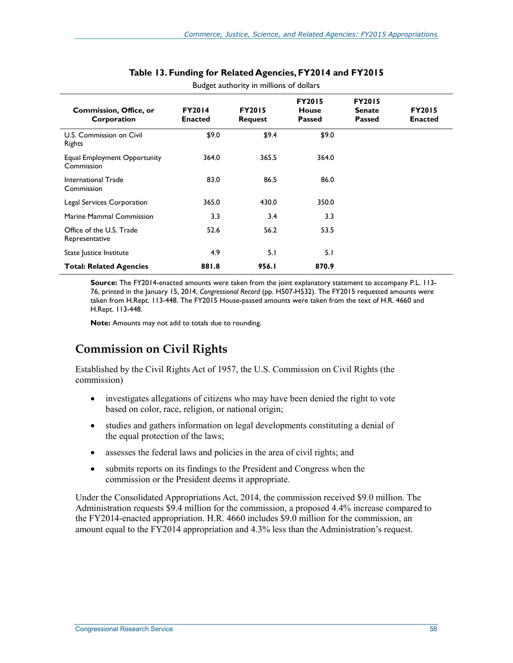| <b>Commission, Office, or</b><br>Corporation      | <b>FY2014</b><br><b>Enacted</b> | <b>FY2015</b><br><b>Request</b> | <b>FY2015</b><br><b>House</b><br><b>Passed</b> | <b>FY2015</b><br><b>Senate</b><br><b>Passed</b> | <b>FY2015</b><br><b>Enacted</b> |
|---------------------------------------------------|---------------------------------|---------------------------------|------------------------------------------------|-------------------------------------------------|---------------------------------|
| U.S. Commission on Civil<br>Rights                | \$9.0                           | \$9.4                           | \$9.0                                          |                                                 |                                 |
| <b>Equal Employment Opportunity</b><br>Commission | 364.0                           | 365.5                           | 364.0                                          |                                                 |                                 |
| International Trade<br>Commission                 | 83.0                            | 86.5                            | 86.0                                           |                                                 |                                 |
| Legal Services Corporation                        | 365.0                           | 430.0                           | 350.0                                          |                                                 |                                 |
| Marine Mammal Commission                          | 3.3                             | 3.4                             | 3.3                                            |                                                 |                                 |
| Office of the U.S. Trade<br>Representative        | 52.6                            | 56.2                            | 53.5                                           |                                                 |                                 |
| State Justice Institute                           | 4.9                             | 5.1                             | 5.1                                            |                                                 |                                 |
| <b>Total: Related Agencies</b>                    | 881.8                           | 956.I                           | 870.9                                          |                                                 |                                 |

#### **Table 13. Funding for Related Agencies, FY2014 and FY2015**  Budget authority in millions of dollars

**Source:** The FY2014-enacted amounts were taken from the joint explanatory statement to accompany P.L. 113- 76, printed in the January 15, 2014, *Congressional Record* (pp. H507-H532). The FY2015 requested amounts were taken from H.Rept. 113-448. The FY2015 House-passed amounts were taken from the text of H.R. 4660 and H.Rept. 113-448.

**Note:** Amounts may not add to totals due to rounding.

# **Commission on Civil Rights**

Established by the Civil Rights Act of 1957, the U.S. Commission on Civil Rights (the commission)

- investigates allegations of citizens who may have been denied the right to vote based on color, race, religion, or national origin;
- studies and gathers information on legal developments constituting a denial of the equal protection of the laws;
- assesses the federal laws and policies in the area of civil rights; and
- submits reports on its findings to the President and Congress when the commission or the President deems it appropriate.

Under the Consolidated Appropriations Act, 2014, the commission received \$9.0 million. The Administration requests \$9.4 million for the commission, a proposed 4.4% increase compared to the FY2014-enacted appropriation. H.R. 4660 includes \$9.0 million for the commission, an amount equal to the FY2014 appropriation and 4.3% less than the Administration's request.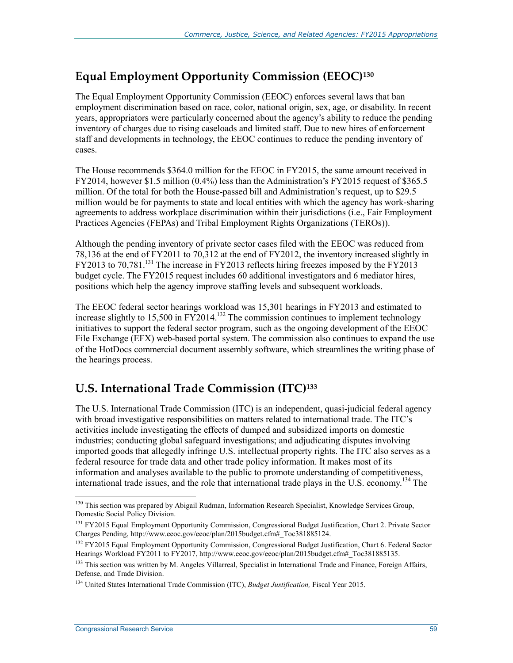## **Equal Employment Opportunity Commission (EEOC)130**

The Equal Employment Opportunity Commission (EEOC) enforces several laws that ban employment discrimination based on race, color, national origin, sex, age, or disability. In recent years, appropriators were particularly concerned about the agency's ability to reduce the pending inventory of charges due to rising caseloads and limited staff. Due to new hires of enforcement staff and developments in technology, the EEOC continues to reduce the pending inventory of cases.

The House recommends \$364.0 million for the EEOC in FY2015, the same amount received in FY2014, however \$1.5 million (0.4%) less than the Administration's FY2015 request of \$365.5 million. Of the total for both the House-passed bill and Administration's request, up to \$29.5 million would be for payments to state and local entities with which the agency has work-sharing agreements to address workplace discrimination within their jurisdictions (i.e., Fair Employment Practices Agencies (FEPAs) and Tribal Employment Rights Organizations (TEROs)).

Although the pending inventory of private sector cases filed with the EEOC was reduced from 78,136 at the end of FY2011 to 70,312 at the end of FY2012, the inventory increased slightly in FY2013 to 70,781.<sup>131</sup> The increase in FY2013 reflects hiring freezes imposed by the FY2013 budget cycle. The FY2015 request includes 60 additional investigators and 6 mediator hires, positions which help the agency improve staffing levels and subsequent workloads.

The EEOC federal sector hearings workload was 15,301 hearings in FY2013 and estimated to increase slightly to  $15,500$  in FY2014.<sup>132</sup> The commission continues to implement technology initiatives to support the federal sector program, such as the ongoing development of the EEOC File Exchange (EFX) web-based portal system. The commission also continues to expand the use of the HotDocs commercial document assembly software, which streamlines the writing phase of the hearings process.

# **U.S. International Trade Commission (ITC)133**

The U.S. International Trade Commission (ITC) is an independent, quasi-judicial federal agency with broad investigative responsibilities on matters related to international trade. The ITC's activities include investigating the effects of dumped and subsidized imports on domestic industries; conducting global safeguard investigations; and adjudicating disputes involving imported goods that allegedly infringe U.S. intellectual property rights. The ITC also serves as a federal resource for trade data and other trade policy information. It makes most of its information and analyses available to the public to promote understanding of competitiveness, international trade issues, and the role that international trade plays in the U.S. economy.134 The

<sup>&</sup>lt;sup>130</sup> This section was prepared by Abigail Rudman, Information Research Specialist, Knowledge Services Group, Domestic Social Policy Division.

<sup>&</sup>lt;sup>131</sup> FY2015 Equal Employment Opportunity Commission, Congressional Budget Justification, Chart 2. Private Sector Charges Pending, http://www.eeoc.gov/eeoc/plan/2015budget.cfm#\_Toc381885124.

<sup>&</sup>lt;sup>132</sup> FY2015 Equal Employment Opportunity Commission, Congressional Budget Justification, Chart 6. Federal Sector Hearings Workload FY2011 to FY2017, http://www.eeoc.gov/eeoc/plan/2015budget.cfm#\_Toc381885135.

<sup>&</sup>lt;sup>133</sup> This section was written by M. Angeles Villarreal, Specialist in International Trade and Finance, Foreign Affairs, Defense, and Trade Division.

<sup>134</sup> United States International Trade Commission (ITC), *Budget Justification,* Fiscal Year 2015.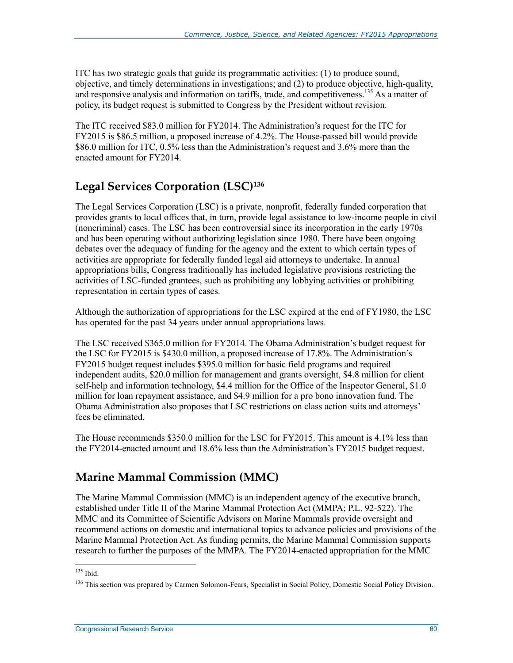ITC has two strategic goals that guide its programmatic activities: (1) to produce sound, objective, and timely determinations in investigations; and (2) to produce objective, high-quality, and responsive analysis and information on tariffs, trade, and competitiveness.<sup>135</sup> As a matter of policy, its budget request is submitted to Congress by the President without revision.

The ITC received \$83.0 million for FY2014. The Administration's request for the ITC for FY2015 is \$86.5 million, a proposed increase of 4.2%. The House-passed bill would provide \$86.0 million for ITC, 0.5% less than the Administration's request and 3.6% more than the enacted amount for FY2014.

### **Legal Services Corporation (LSC)136**

The Legal Services Corporation (LSC) is a private, nonprofit, federally funded corporation that provides grants to local offices that, in turn, provide legal assistance to low-income people in civil (noncriminal) cases. The LSC has been controversial since its incorporation in the early 1970s and has been operating without authorizing legislation since 1980. There have been ongoing debates over the adequacy of funding for the agency and the extent to which certain types of activities are appropriate for federally funded legal aid attorneys to undertake. In annual appropriations bills, Congress traditionally has included legislative provisions restricting the activities of LSC-funded grantees, such as prohibiting any lobbying activities or prohibiting representation in certain types of cases.

Although the authorization of appropriations for the LSC expired at the end of FY1980, the LSC has operated for the past 34 years under annual appropriations laws.

The LSC received \$365.0 million for FY2014. The Obama Administration's budget request for the LSC for FY2015 is \$430.0 million, a proposed increase of 17.8%. The Administration's FY2015 budget request includes \$395.0 million for basic field programs and required independent audits, \$20.0 million for management and grants oversight, \$4.8 million for client self-help and information technology, \$4.4 million for the Office of the Inspector General, \$1.0 million for loan repayment assistance, and \$4.9 million for a pro bono innovation fund. The Obama Administration also proposes that LSC restrictions on class action suits and attorneys' fees be eliminated.

The House recommends \$350.0 million for the LSC for FY2015. This amount is 4.1% less than the FY2014-enacted amount and 18.6% less than the Administration's FY2015 budget request.

### **Marine Mammal Commission (MMC)**

The Marine Mammal Commission (MMC) is an independent agency of the executive branch, established under Title II of the Marine Mammal Protection Act (MMPA; P.L. 92-522). The MMC and its Committee of Scientific Advisors on Marine Mammals provide oversight and recommend actions on domestic and international topics to advance policies and provisions of the Marine Mammal Protection Act. As funding permits, the Marine Mammal Commission supports research to further the purposes of the MMPA. The FY2014-enacted appropriation for the MMC

<sup>1</sup>  $135$  Ibid.

<sup>&</sup>lt;sup>136</sup> This section was prepared by Carmen Solomon-Fears, Specialist in Social Policy, Domestic Social Policy Division.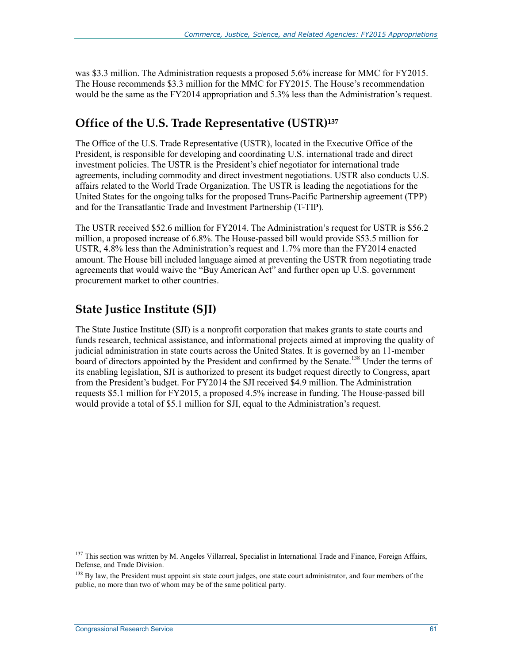was \$3.3 million. The Administration requests a proposed 5.6% increase for MMC for FY2015. The House recommends \$3.3 million for the MMC for FY2015. The House's recommendation would be the same as the FY2014 appropriation and 5.3% less than the Administration's request.

### **Office of the U.S. Trade Representative (USTR)137**

The Office of the U.S. Trade Representative (USTR), located in the Executive Office of the President, is responsible for developing and coordinating U.S. international trade and direct investment policies. The USTR is the President's chief negotiator for international trade agreements, including commodity and direct investment negotiations. USTR also conducts U.S. affairs related to the World Trade Organization. The USTR is leading the negotiations for the United States for the ongoing talks for the proposed Trans-Pacific Partnership agreement (TPP) and for the Transatlantic Trade and Investment Partnership (T-TIP).

The USTR received \$52.6 million for FY2014. The Administration's request for USTR is \$56.2 million, a proposed increase of 6.8%. The House-passed bill would provide \$53.5 million for USTR, 4.8% less than the Administration's request and 1.7% more than the FY2014 enacted amount. The House bill included language aimed at preventing the USTR from negotiating trade agreements that would waive the "Buy American Act" and further open up U.S. government procurement market to other countries.

### **State Justice Institute (SJI)**

The State Justice Institute (SJI) is a nonprofit corporation that makes grants to state courts and funds research, technical assistance, and informational projects aimed at improving the quality of judicial administration in state courts across the United States. It is governed by an 11-member board of directors appointed by the President and confirmed by the Senate.<sup>138</sup> Under the terms of its enabling legislation, SJI is authorized to present its budget request directly to Congress, apart from the President's budget. For FY2014 the SJI received \$4.9 million. The Administration requests \$5.1 million for FY2015, a proposed 4.5% increase in funding. The House-passed bill would provide a total of \$5.1 million for SJI, equal to the Administration's request.

<sup>&</sup>lt;sup>137</sup> This section was written by M. Angeles Villarreal, Specialist in International Trade and Finance, Foreign Affairs, Defense, and Trade Division.

<sup>&</sup>lt;sup>138</sup> By law, the President must appoint six state court judges, one state court administrator, and four members of the public, no more than two of whom may be of the same political party.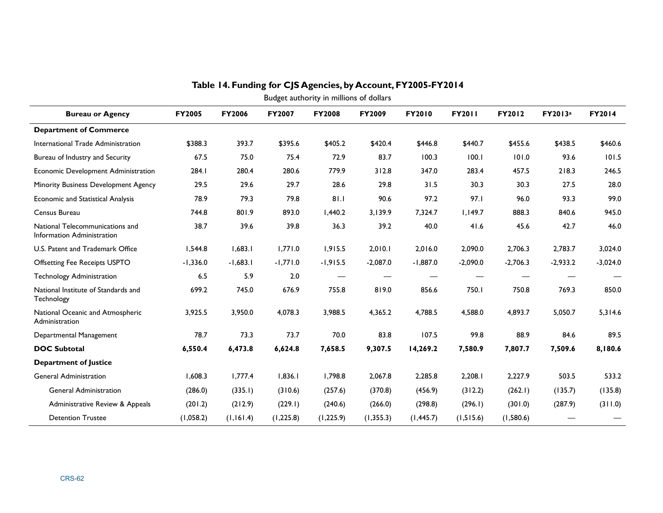|                                                               |               |            |            |                                         |            | Table 14. Funding for CJS Agencies, by Account, FY2005-FY2014 |               |            |                     |            |
|---------------------------------------------------------------|---------------|------------|------------|-----------------------------------------|------------|---------------------------------------------------------------|---------------|------------|---------------------|------------|
|                                                               |               |            |            | Budget authority in millions of dollars |            |                                                               |               |            |                     |            |
| <b>Bureau or Agency</b>                                       | <b>FY2005</b> | FY2006     | FY2007     | <b>FY2008</b>                           | FY2009     | FY2010                                                        | <b>FY2011</b> | FY2012     | FY2013 <sup>a</sup> | FY2014     |
| <b>Department of Commerce</b>                                 |               |            |            |                                         |            |                                                               |               |            |                     |            |
| International Trade Administration                            | \$388.3       | 393.7      | \$395.6    | \$405.2                                 | \$420.4    | \$446.8                                                       | \$440.7       | \$455.6    | \$438.5             | \$460.6    |
| Bureau of Industry and Security                               | 67.5          | 75.0       | 75.4       | 72.9                                    | 83.7       | 100.3                                                         | 100.1         | 101.0      | 93.6                | 101.5      |
| Economic Development Administration                           | 284.I         | 280.4      | 280.6      | 779.9                                   | 312.8      | 347.0                                                         | 283.4         | 457.5      | 218.3               | 246.5      |
| Minority Business Development Agency                          | 29.5          | 29.6       | 29.7       | 28.6                                    | 29.8       | 31.5                                                          | 30.3          | 30.3       | 27.5                | 28.0       |
| <b>Economic and Statistical Analysis</b>                      | 78.9          | 79.3       | 79.8       | 81.1                                    | 90.6       | 97.2                                                          | 97.1          | 96.0       | 93.3                | 99.0       |
| Census Bureau                                                 | 744.8         | 801.9      | 893.0      | 1,440.2                                 | 3,139.9    | 7,324.7                                                       | 1,149.7       | 888.3      | 840.6               | 945.0      |
| National Telecommunications and<br>Information Administration | 38.7          | 39.6       | 39.8       | 36.3                                    | 39.2       | 40.0                                                          | 41.6          | 45.6       | 42.7                | 46.0       |
| U.S. Patent and Trademark Office                              | 1,544.8       | 1,683.1    | 1,771.0    | 1,915.5                                 | 2,010.1    | 2,016.0                                                       | 2,090.0       | 2,706.3    | 2.783.7             | 3,024.0    |
| <b>Offsetting Fee Receipts USPTO</b>                          | $-1,336.0$    | $-1,683.1$ | $-1,771.0$ | $-1,915.5$                              | $-2,087.0$ | $-1,887.0$                                                    | $-2,090.0$    | $-2,706.3$ | $-2,933.2$          | $-3,024.0$ |
| Technology Administration                                     | 6.5           | 5.9        | 2.0        |                                         |            |                                                               |               |            |                     |            |
| National Institute of Standards and<br>Technology             | 699.2         | 745.0      | 676.9      | 755.8                                   | 819.0      | 856.6                                                         | 750.I         | 750.8      | 769.3               | 850.0      |
| National Oceanic and Atmospheric<br>Administration            | 3,925.5       | 3,950.0    | 4,078.3    | 3,988.5                                 | 4,365.2    | 4,788.5                                                       | 4,588.0       | 4,893.7    | 5,050.7             | 5,314.6    |
| Departmental Management                                       | 78.7          | 73.3       | 73.7       | 70.0                                    | 83.8       | 107.5                                                         | 99.8          | 88.9       | 84.6                | 89.5       |
| <b>DOC Subtotal</b>                                           | 6,550.4       | 6,473.8    | 6,624.8    | 7,658.5                                 | 9,307.5    | 14,269.2                                                      | 7,580.9       | 7,807.7    | 7,509.6             | 8,180.6    |
| <b>Department of Justice</b>                                  |               |            |            |                                         |            |                                                               |               |            |                     |            |
| <b>General Administration</b>                                 | 1,608.3       | 1,777.4    | 1,836.1    | 1,798.8                                 | 2,067.8    | 2,285.8                                                       | 2,208.1       | 2,227.9    | 503.5               | 533.2      |
| <b>General Administration</b>                                 | (286.0)       | (335.1)    | (310.6)    | (257.6)                                 | (370.8)    | (456.9)                                                       | (312.2)       | (262.1)    | (135.7)             | (135.8)    |
| Administrative Review & Appeals                               | (201.2)       | (212.9)    | (229.1)    | (240.6)                                 | (266.0)    | (298.8)                                                       | (296.1)       | (301.0)    | (287.9)             | (311.0)    |
| <b>Detention Trustee</b>                                      | (1,058.2)     | (1, 161.4) | (1,225.8)  | (1, 225.9)                              | (1, 355.3) | (1, 445.7)                                                    | (1, 515.6)    | (1,580.6)  |                     |            |

### **Table 14. Funding for CJS Agencies, by Account, FY2005-FY2014**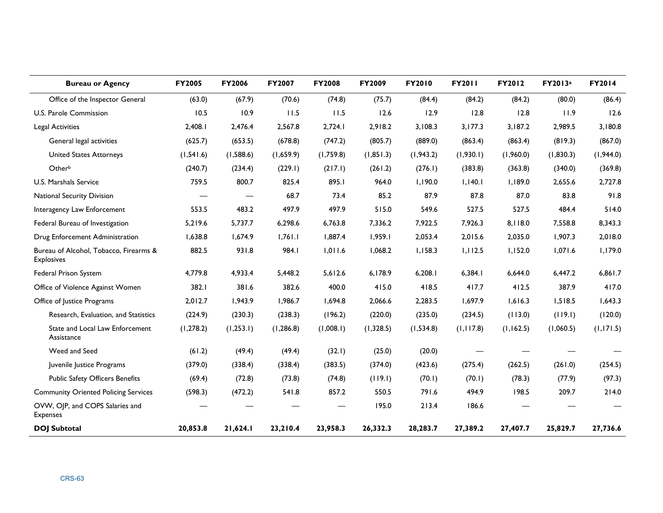| <b>Bureau or Agency</b>                                     | <b>FY2005</b> | <b>FY2006</b> | FY2007     | <b>FY2008</b> | FY2009     | FY2010     | <b>FY2011</b> | FY2012     | FY2013 <sup>a</sup> | FY2014     |
|-------------------------------------------------------------|---------------|---------------|------------|---------------|------------|------------|---------------|------------|---------------------|------------|
| Office of the Inspector General                             | (63.0)        | (67.9)        | (70.6)     | (74.8)        | (75.7)     | (84.4)     | (84.2)        | (84.2)     | (80.0)              | (86.4)     |
| U.S. Parole Commission                                      | 10.5          | 10.9          | 11.5       | 11.5          | 12.6       | 12.9       | 12.8          | 12.8       | 11.9                | 12.6       |
| Legal Activities                                            | 2,408.1       | 2,476.4       | 2,567.8    | 2,724.1       | 2,918.2    | 3,108.3    | 3,177.3       | 3,187.2    | 2,989.5             | 3,180.8    |
| General legal activities                                    | (625.7)       | (653.5)       | (678.8)    | (747.2)       | (805.7)    | (889.0)    | (863.4)       | (863.4)    | (819.3)             | (867.0)    |
| <b>United States Attorneys</b>                              | (1, 541.6)    | (1,588.6)     | (1,659.9)  | (1,759.8)     | (1, 851.3) | (1, 943.2) | (1,930.1)     | (1,960.0)  | (1,830.3)           | (1,944.0)  |
| Otherb                                                      | (240.7)       | (234.4)       | (229.1)    | (217.1)       | (261.2)    | (276.1)    | (383.8)       | (363.8)    | (340.0)             | (369.8)    |
| U.S. Marshals Service                                       | 759.5         | 800.7         | 825.4      | 895.1         | 964.0      | 1.190.0    | 1.140.1       | 1,189.0    | 2,655.6             | 2,727.8    |
| <b>National Security Division</b>                           |               |               | 68.7       | 73.4          | 85.2       | 87.9       | 87.8          | 87.0       | 83.8                | 91.8       |
| Interagency Law Enforcement                                 | 553.5         | 483.2         | 497.9      | 497.9         | 515.0      | 549.6      | 527.5         | 527.5      | 484.4               | 514.0      |
| Federal Bureau of Investigation                             | 5,219.6       | 5,737.7       | 6,298.6    | 6,763.8       | 7,336.2    | 7,922.5    | 7,926.3       | 8,118.0    | 7,558.8             | 8,343.3    |
| Drug Enforcement Administration                             | 1,638.8       | 1,674.9       | 1,761.1    | 1,887.4       | 1,959.1    | 2,053.4    | 2,015.6       | 2,035.0    | 1,907.3             | 2,018.0    |
| Bureau of Alcohol, Tobacco, Firearms &<br><b>Explosives</b> | 882.5         | 931.8         | 984.I      | 1,011.6       | 1,068.2    | 1,158.3    | 1,112.5       | 1,152.0    | 1,071.6             | 1,179.0    |
| Federal Prison System                                       | 4,779.8       | 4,933.4       | 5,448.2    | 5,612.6       | 6,178.9    | 6,208.1    | 6,384.1       | 6,644.0    | 6,447.2             | 6,861.7    |
| Office of Violence Against Women                            | 382.I         | 381.6         | 382.6      | 400.0         | 415.0      | 418.5      | 417.7         | 412.5      | 387.9               | 417.0      |
| Office of Justice Programs                                  | 2,012.7       | 1.943.9       | 1,986.7    | 1,694.8       | 2,066.6    | 2,283.5    | 1,697.9       | 1,616.3    | 1,518.5             | 1,643.3    |
| Research, Evaluation, and Statistics                        | (224.9)       | (230.3)       | (238.3)    | (196.2)       | (220.0)    | (235.0)    | (234.5)       | (113.0)    | (119.1)             | (120.0)    |
| State and Local Law Enforcement<br>Assistance               | (1, 278.2)    | (1, 253.1)    | (1, 286.8) | (1,008.1)     | (1,328.5)  | (1,534.8)  | (1, 117.8)    | (1, 162.5) | (1,060.5)           | (1, 171.5) |
| Weed and Seed                                               | (61.2)        | (49.4)        | (49.4)     | (32.1)        | (25.0)     | (20.0)     |               |            |                     |            |
| Juvenile Justice Programs                                   | (379.0)       | (338.4)       | (338.4)    | (383.5)       | (374.0)    | (423.6)    | (275.4)       | (262.5)    | (261.0)             | (254.5)    |
| <b>Public Safety Officers Benefits</b>                      | (69.4)        | (72.8)        | (73.8)     | (74.8)        | (119.1)    | (70.1)     | (70.1)        | (78.3)     | (77.9)              | (97.3)     |
| <b>Community Oriented Policing Services</b>                 | (598.3)       | (472.2)       | 541.8      | 857.2         | 550.5      | 791.6      | 494.9         | 198.5      | 209.7               | 214.0      |
| OVW, OJP, and COPS Salaries and<br><b>Expenses</b>          |               |               |            |               | 195.0      | 213.4      | 186.6         |            |                     |            |
| <b>DOJ Subtotal</b>                                         | 20,853.8      | 21,624.1      | 23,210.4   | 23,958.3      | 26,332.3   | 28,283.7   | 27,389.2      | 27,407.7   | 25,829.7            | 27,736.6   |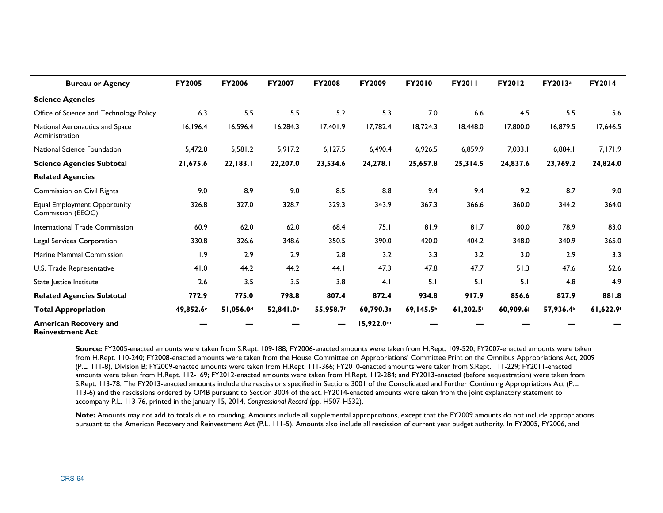| <b>Bureau or Agency</b>                                                                                                                                                                                                                                                                                                                                                                                                                                                                                                                                                                                                                                                                                                                                                                                                                                                                                                                                                                                                                                                                                                                                                                                                                                                                                                                                                                                                         | FY2005   | FY2006    | FY2007                | FY2008    | FY2009    | FY2010    | FY2011   | FY2012   | FY2013a   | FY2014   |
|---------------------------------------------------------------------------------------------------------------------------------------------------------------------------------------------------------------------------------------------------------------------------------------------------------------------------------------------------------------------------------------------------------------------------------------------------------------------------------------------------------------------------------------------------------------------------------------------------------------------------------------------------------------------------------------------------------------------------------------------------------------------------------------------------------------------------------------------------------------------------------------------------------------------------------------------------------------------------------------------------------------------------------------------------------------------------------------------------------------------------------------------------------------------------------------------------------------------------------------------------------------------------------------------------------------------------------------------------------------------------------------------------------------------------------|----------|-----------|-----------------------|-----------|-----------|-----------|----------|----------|-----------|----------|
| <b>Science Agencies</b>                                                                                                                                                                                                                                                                                                                                                                                                                                                                                                                                                                                                                                                                                                                                                                                                                                                                                                                                                                                                                                                                                                                                                                                                                                                                                                                                                                                                         |          |           |                       |           |           |           |          |          |           |          |
| Office of Science and Technology Policy                                                                                                                                                                                                                                                                                                                                                                                                                                                                                                                                                                                                                                                                                                                                                                                                                                                                                                                                                                                                                                                                                                                                                                                                                                                                                                                                                                                         | 6.3      | 5.5       | 5.5                   | 5.2       | 5.3       | 7.0       | 6.6      | 4.5      | 5.5       | 5.6      |
| National Aeronautics and Space<br>Administration                                                                                                                                                                                                                                                                                                                                                                                                                                                                                                                                                                                                                                                                                                                                                                                                                                                                                                                                                                                                                                                                                                                                                                                                                                                                                                                                                                                | 16,196.4 | 16,596.4  | 16,284.3              | 17,401.9  | 17,782.4  | 18,724.3  | 18,448.0 | 17,800.0 | 16,879.5  | 17,646.5 |
| National Science Foundation                                                                                                                                                                                                                                                                                                                                                                                                                                                                                                                                                                                                                                                                                                                                                                                                                                                                                                                                                                                                                                                                                                                                                                                                                                                                                                                                                                                                     | 5,472.8  | 5,581.2   | 5,917.2               | 6,127.5   | 6,490.4   | 6,926.5   | 6,859.9  | 7,033.1  | 6,884.1   | 7,171.9  |
| <b>Science Agencies Subtotal</b>                                                                                                                                                                                                                                                                                                                                                                                                                                                                                                                                                                                                                                                                                                                                                                                                                                                                                                                                                                                                                                                                                                                                                                                                                                                                                                                                                                                                | 21,675.6 | 22,183.1  | 22,207.0              | 23,534.6  | 24,278.1  | 25,657.8  | 25,314.5 | 24,837.6 | 23,769.2  | 24,824.0 |
| <b>Related Agencies</b>                                                                                                                                                                                                                                                                                                                                                                                                                                                                                                                                                                                                                                                                                                                                                                                                                                                                                                                                                                                                                                                                                                                                                                                                                                                                                                                                                                                                         |          |           |                       |           |           |           |          |          |           |          |
| Commission on Civil Rights                                                                                                                                                                                                                                                                                                                                                                                                                                                                                                                                                                                                                                                                                                                                                                                                                                                                                                                                                                                                                                                                                                                                                                                                                                                                                                                                                                                                      | 9.0      | 8.9       | 9.0                   | 8.5       | 8.8       | 9.4       | 9.4      | 9.2      | 8.7       | 9.0      |
| <b>Equal Employment Opportunity</b><br>Commission (EEOC)                                                                                                                                                                                                                                                                                                                                                                                                                                                                                                                                                                                                                                                                                                                                                                                                                                                                                                                                                                                                                                                                                                                                                                                                                                                                                                                                                                        | 326.8    | 327.0     | 328.7                 | 329.3     | 343.9     | 367.3     | 366.6    | 360.0    | 344.2     | 364.0    |
| International Trade Commission                                                                                                                                                                                                                                                                                                                                                                                                                                                                                                                                                                                                                                                                                                                                                                                                                                                                                                                                                                                                                                                                                                                                                                                                                                                                                                                                                                                                  | 60.9     | 62.0      | 62.0                  | 68.4      | 75.1      | 81.9      | 81.7     | 80.0     | 78.9      | 83.0     |
| Legal Services Corporation                                                                                                                                                                                                                                                                                                                                                                                                                                                                                                                                                                                                                                                                                                                                                                                                                                                                                                                                                                                                                                                                                                                                                                                                                                                                                                                                                                                                      | 330.8    | 326.6     | 348.6                 | 350.5     | 390.0     | 420.0     | 404.2    | 348.0    | 340.9     | 365.0    |
| Marine Mammal Commission                                                                                                                                                                                                                                                                                                                                                                                                                                                                                                                                                                                                                                                                                                                                                                                                                                                                                                                                                                                                                                                                                                                                                                                                                                                                                                                                                                                                        | 1.9      | 2.9       | 2.9                   | 2.8       | 3.2       | 3.3       | 3.2      | 3.0      | 2.9       | 3.3      |
| U.S. Trade Representative                                                                                                                                                                                                                                                                                                                                                                                                                                                                                                                                                                                                                                                                                                                                                                                                                                                                                                                                                                                                                                                                                                                                                                                                                                                                                                                                                                                                       | 41.0     | 44.2      | 44.2                  | 44.I      | 47.3      | 47.8      | 47.7     | 51.3     | 47.6      | 52.6     |
| State Justice Institute                                                                                                                                                                                                                                                                                                                                                                                                                                                                                                                                                                                                                                                                                                                                                                                                                                                                                                                                                                                                                                                                                                                                                                                                                                                                                                                                                                                                         | 2.6      | 3.5       | 3.5                   | 3.8       | 4.1       | 5.1       | 5.1      | 5.1      | 4.8       | 4.9      |
| <b>Related Agencies Subtotal</b>                                                                                                                                                                                                                                                                                                                                                                                                                                                                                                                                                                                                                                                                                                                                                                                                                                                                                                                                                                                                                                                                                                                                                                                                                                                                                                                                                                                                | 772.9    | 775.0     | 798.8                 | 807.4     | 872.4     | 934.8     | 917.9    | 856.6    | 827.9     | 881.8    |
| <b>Total Appropriation</b>                                                                                                                                                                                                                                                                                                                                                                                                                                                                                                                                                                                                                                                                                                                                                                                                                                                                                                                                                                                                                                                                                                                                                                                                                                                                                                                                                                                                      | 49,852.6 | 51,056.0d | 52,841.0 <sup>e</sup> | 55,958.7f | 60,790.3g | 69,145.5h | 61,202.5 | 60,909.6 | 57,936.4k | 61,622.9 |
| <b>American Recovery and</b><br><b>Reinvestment Act</b>                                                                                                                                                                                                                                                                                                                                                                                                                                                                                                                                                                                                                                                                                                                                                                                                                                                                                                                                                                                                                                                                                                                                                                                                                                                                                                                                                                         |          |           |                       |           | 15,922.0m |           |          |          |           |          |
| Source: FY2005-enacted amounts were taken from S.Rept. 109-188; FY2006-enacted amounts were taken from H.Rept. 109-520; FY2007-enacted amounts were taken<br>from H.Rept. 110-240; FY2008-enacted amounts were taken from the House Committee on Appropriations' Committee Print on the Omnibus Appropriations Act, 2009<br>(P.L. 111-8), Division B; FY2009-enacted amounts were taken from H.Rept. 111-366; FY2010-enacted amounts were taken from S.Rept. 111-229; FY2011-enacted<br>amounts were taken from H.Rept. 112-169; FY2012-enacted amounts were taken from H.Rept. 112-284; and FY2013-enacted (before sequestration) were taken from<br>S.Rept. 113-78. The FY2013-enacted amounts include the rescissions specified in Sections 3001 of the Consolidated and Further Continuing Appropriations Act (P.L.<br>113-6) and the rescissions ordered by OMB pursuant to Section 3004 of the act. FY2014-enacted amounts were taken from the joint explanatory statement to<br>accompany P.L. 113-76, printed in the January 15, 2014, Congressional Record (pp. H507-H532).<br>Note: Amounts may not add to totals due to rounding. Amounts include all supplemental appropriations, except that the FY2009 amounts do not include appropriations<br>pursuant to the American Recovery and Reinvestment Act (P.L. 111-5). Amounts also include all rescission of current year budget authority. In FY2005, FY2006, and |          |           |                       |           |           |           |          |          |           |          |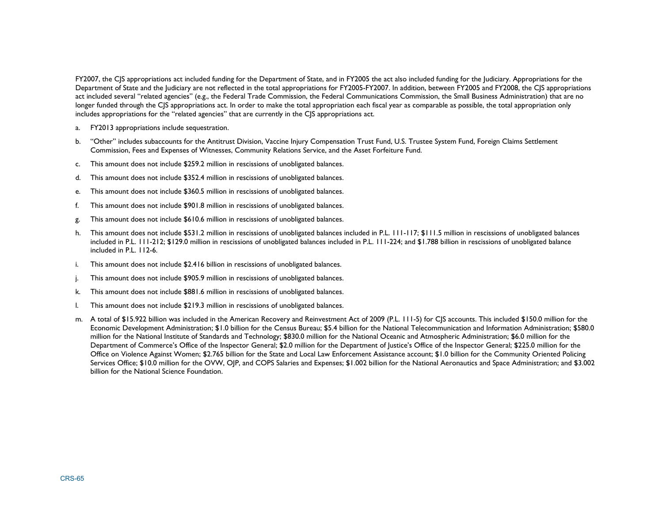FY2007, the CJS appropriations act included funding for the Department of State, and in FY2005 the act also included funding for the Judiciary. Appropriations for the Department of State and the Judiciary are not reflected in the total appropriations for FY2005-FY2007. In addition, between FY2005 and FY2008, the CJS appropriations act included several "related agencies" (e.g., the Federal Trade Commission, the Federal Communications Commission, the Small Business Administration) that are no longer funded through the CJS appropriations act. In order to make the total appropriation each fiscal year as comparable as possible, the total appropriation only includes appropriations for the "related agencies" that are currently in the CJS appropriations act.

- a. FY2013 appropriations include sequestration.
- b. "Other" includes subaccounts for the Antitrust Division, Vaccine Injury Compensation Trust Fund, U.S. Trustee System Fund, Foreign Claims Settlement Commission, Fees and Expenses of Witnesses, Community Relations Service, and the Asset Forfeiture Fund.
- c.This amount does not include \$259.2 million in rescissions of unobligated balances.
- d.This amount does not include \$352.4 million in rescissions of unobligated balances.
- e.This amount does not include \$360.5 million in rescissions of unobligated balances.
- f.This amount does not include \$901.8 million in rescissions of unobligated balances.
- g. This amount does not include \$610.6 million in rescissions of unobligated balances.
- h. This amount does not include \$531.2 million in rescissions of unobligated balances included in P.L. 111-117; \$111.5 million in rescissions of unobligated balances included in P.L. 111-212; \$129.0 million in rescissions of unobligated balances included in P.L. 111-224; and \$1.788 billion in rescissions of unobligated balance included in P.L. 112-6.
- i.This amount does not include \$2.416 billion in rescissions of unobligated balances.
- This amount does not include \$905.9 million in rescissions of unobligated balances.
- k.This amount does not include \$881.6 million in rescissions of unobligated balances.
- l.This amount does not include \$219.3 million in rescissions of unobligated balances.
- m. A total of \$15.922 billion was included in the American Recovery and Reinvestment Act of 2009 (P.L. 111-5) for CJS accounts. This included \$150.0 million for the Economic Development Administration; \$1.0 billion for the Census Bureau; \$5.4 billion for the National Telecommunication and Information Administration; \$580.0 million for the National Institute of Standards and Technology; \$830.0 million for the National Oceanic and Atmospheric Administration; \$6.0 million for the Department of Commerce's Office of the Inspector General; \$2.0 million for the Department of Justice's Office of the Inspector General; \$225.0 million for the Office on Violence Against Women; \$2.765 billion for the State and Local Law Enforcement Assistance account; \$1.0 billion for the Community Oriented Policing Services Office; \$10.0 million for the OVW, OJP, and COPS Salaries and Expenses; \$1.002 billion for the National Aeronautics and Space Administration; and \$3.002 FY2007, the CJS appropriations act included fund<br>
Department of State and the Judiciary are not related at included several "related agencies" (e.g., the Honger funded through the CJS appropriations contined include seque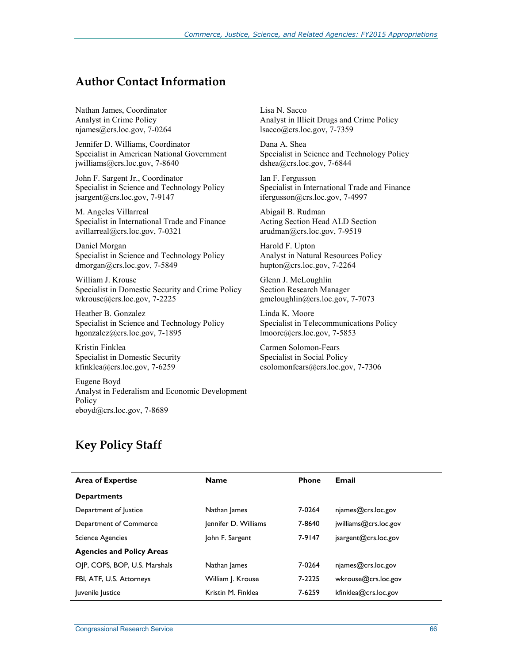#### **Author Contact Information**

Nathan James, Coordinator Analyst in Crime Policy njames@crs.loc.gov, 7-0264

Jennifer D. Williams, Coordinator Specialist in American National Government jwilliams@crs.loc.gov, 7-8640

John F. Sargent Jr., Coordinator Specialist in Science and Technology Policy jsargent@crs.loc.gov, 7-9147

M. Angeles Villarreal Specialist in International Trade and Finance avillarreal@crs.loc.gov, 7-0321

Daniel Morgan Specialist in Science and Technology Policy dmorgan@crs.loc.gov, 7-5849

William J. Krouse Specialist in Domestic Security and Crime Policy wkrouse@crs.loc.gov, 7-2225

Heather B. Gonzalez Specialist in Science and Technology Policy hgonzalez@crs.loc.gov, 7-1895

Kristin Finklea Specialist in Domestic Security kfinklea@crs.loc.gov, 7-6259

Eugene Boyd Analyst in Federalism and Economic Development Policy eboyd@crs.loc.gov, 7-8689

Lisa N. Sacco Analyst in Illicit Drugs and Crime Policy lsacco@crs.loc.gov, 7-7359

Dana A. Shea Specialist in Science and Technology Policy dshea@crs.loc.gov,  $7-6844$ 

Ian F. Fergusson Specialist in International Trade and Finance ifergusson@crs.loc.gov, 7-4997

Abigail B. Rudman Acting Section Head ALD Section arudman@crs.loc.gov, 7-9519

Harold F. Upton Analyst in Natural Resources Policy hupton@crs.loc.gov, 7-2264

Glenn J. McLoughlin Section Research Manager gmcloughlin@crs.loc.gov, 7-7073

Linda K. Moore Specialist in Telecommunications Policy lmoore@crs.loc.gov, 7-5853

Carmen Solomon-Fears Specialist in Social Policy csolomonfears@crs.loc.gov, 7-7306

### **Key Policy Staff**

| <b>Area of Expertise</b>         | <b>Name</b>          | <b>Phone</b> | <b>Email</b>          |
|----------------------------------|----------------------|--------------|-----------------------|
| <b>Departments</b>               |                      |              |                       |
| Department of Justice            | Nathan James         | 7-0264       | $n$ james@crs.loc.gov |
| Department of Commerce           | Jennifer D. Williams | 7-8640       | jwilliams@crs.loc.gov |
| <b>Science Agencies</b>          | John F. Sargent      | 7-9147       | jsargent@crs.loc.gov  |
| <b>Agencies and Policy Areas</b> |                      |              |                       |
| OJP, COPS, BOP, U.S. Marshals    | Nathan James         | 7-0264       | $n$ james@crs.loc.gov |
| FBI, ATF, U.S. Attorneys         | William J. Krouse    | 7-2225       | wkrouse@crs.loc.gov   |
| Juvenile Justice                 | Kristin M. Finklea   | 7-6259       | kfinklea@crs.loc.gov  |